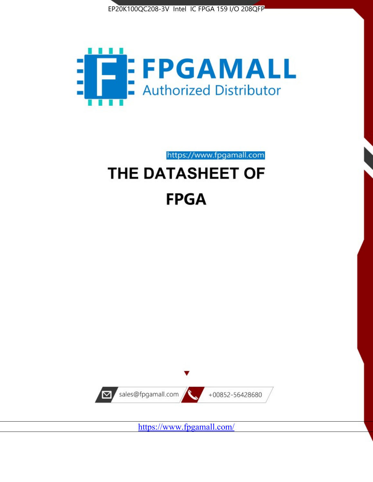



https://www.fpgamall.com

# THE DATASHEET OF **FPGA**



<https://www.fpgamall.com/>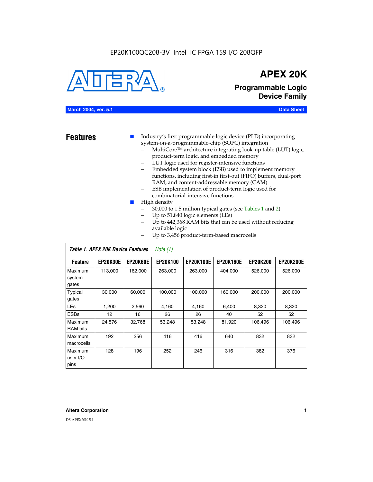

## **APEX 20K**

**Programmable Logic Device Family**

#### **March 2004, ver. 5.1 Data Sheet**

- **Features ■** Industry's first programmable logic device (PLD) incorporating system-on-a-programmable-chip (SOPC) integration
	- MultiCore™ architecture integrating look-up table (LUT) logic, product-term logic, and embedded memory
	- LUT logic used for register-intensive functions
	- Embedded system block (ESB) used to implement memory functions, including first-in first-out (FIFO) buffers, dual-port RAM, and content-addressable memory (CAM)
	- ESB implementation of product-term logic used for combinatorial-intensive functions
	- High density
		- 30,000 to 1.5 million typical gates (see Tables 1 and 2)
		- Up to 51,840 logic elements (LEs)
		- Up to 442,368 RAM bits that can be used without reducing available logic
		- Up to 3,456 product-term-based macrocells

|                             | Table 1. APEX 20K Device Features<br>Note $(1)$ |                 |                 |                  |                  |                 |                  |  |  |  |
|-----------------------------|-------------------------------------------------|-----------------|-----------------|------------------|------------------|-----------------|------------------|--|--|--|
| <b>Feature</b>              | <b>EP20K30E</b>                                 | <b>EP20K60E</b> | <b>EP20K100</b> | <b>EP20K100E</b> | <b>EP20K160E</b> | <b>EP20K200</b> | <b>EP20K200E</b> |  |  |  |
| Maximum<br>system<br>gates  | 113,000                                         | 162,000         | 263.000         | 263,000          | 404.000          | 526,000         | 526,000          |  |  |  |
| Typical<br>gates            | 30,000                                          | 60,000          | 100,000         | 100,000          | 160,000          | 200,000         | 200,000          |  |  |  |
| <b>LEs</b>                  | 1,200                                           | 2,560           | 4,160           | 4,160            | 6.400            | 8,320           | 8,320            |  |  |  |
| <b>ESBs</b>                 | $12 \overline{ }$                               | 16              | 26              | 26               | 40               | 52              | 52               |  |  |  |
| Maximum<br><b>RAM</b> bits  | 24,576                                          | 32,768          | 53,248          | 53,248           | 81,920           | 106,496         | 106,496          |  |  |  |
| Maximum<br>macrocells       | 192                                             | 256             | 416             | 416              | 640              | 832             | 832              |  |  |  |
| Maximum<br>user I/O<br>pins | 128                                             | 196             | 252             | 246              | 316              | 382             | 376              |  |  |  |

#### **Altera Corporation 1**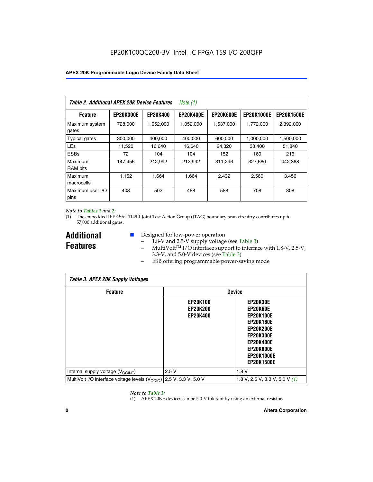| Table 2. Additional APEX 20K Device Features |                  |                 | Note $(1)$       |                  |                   |                   |
|----------------------------------------------|------------------|-----------------|------------------|------------------|-------------------|-------------------|
| <b>Feature</b>                               | <b>EP20K300E</b> | <b>EP20K400</b> | <b>EP20K400E</b> | <b>EP20K600E</b> | <b>EP20K1000E</b> | <b>EP20K1500E</b> |
| Maximum system<br>gates                      | 728,000          | 1,052,000       | 1,052,000        | 1,537,000        | 1,772,000         | 2,392,000         |
| <b>Typical gates</b>                         | 300,000          | 400,000         | 400,000          | 600,000          | 1,000,000         | 1,500,000         |
| <b>LEs</b>                                   | 11,520           | 16.640          | 16.640           | 24,320           | 38,400            | 51,840            |
| <b>ESBs</b>                                  | 72               | 104             | 104              | 152              | 160               | 216               |
| Maximum<br><b>RAM bits</b>                   | 147,456          | 212,992         | 212,992          | 311,296          | 327,680           | 442.368           |
| Maximum<br>macrocells                        | 1,152            | 1,664           | 1,664            | 2.432            | 2,560             | 3,456             |
| Maximum user I/O<br>pins                     | 408              | 502             | 488              | 588              | 708               | 808               |

#### *Note to Tables 1 and 2:*

*Table 3. APEX 20K Supply Voltages*

(1) The embedded IEEE Std. 1149.1 Joint Test Action Group (JTAG) boundary-scan circuitry contributes up to 57,000 additional gates.

**Additional Features**

 $\mathbf{I}$ 

- Designed for low-power operation
	- 1.8-V and 2.5-V supply voltage (see Table 3)
	- $-$  MultiVolt<sup>TM</sup> I/O interface support to interface with 1.8-V, 2.5-V, 3.3-V, and 5.0-V devices (see Table 3)
	- ESB offering programmable power-saving mode

| Tadie 3. Apex zuk Supply voitages                           |                                                       |                                                                                                                                                                                 |  |  |  |  |  |  |
|-------------------------------------------------------------|-------------------------------------------------------|---------------------------------------------------------------------------------------------------------------------------------------------------------------------------------|--|--|--|--|--|--|
| <b>Feature</b>                                              | <b>Device</b>                                         |                                                                                                                                                                                 |  |  |  |  |  |  |
|                                                             | <b>EP20K100</b><br><b>EP20K200</b><br><b>EP20K400</b> | EP20K30E<br>EP20K60E<br><b>EP20K100E</b><br><b>EP20K160E</b><br><b>EP20K200E</b><br><b>EP20K300E</b><br><b>EP20K400E</b><br>EP20K600E<br><b>EP20K1000E</b><br><b>EP20K1500E</b> |  |  |  |  |  |  |
| Internal supply voltage (V <sub>CCINT</sub> )               | 2.5V                                                  | 1.8V                                                                                                                                                                            |  |  |  |  |  |  |
| MultiVolt I/O interface voltage levels (V <sub>CCIO</sub> ) | 2.5 V, 3.3 V, 5.0 V                                   | 1.8 V, 2.5 V, 3.3 V, 5.0 V $(1)$                                                                                                                                                |  |  |  |  |  |  |

#### *Note to Table 3:*

(1) APEX 20KE devices can be 5.0-V tolerant by using an external resistor.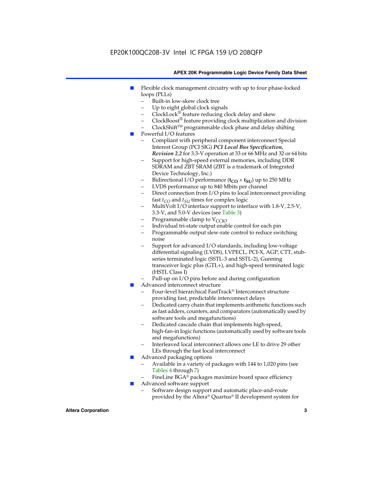### EP20K100QC208-3V Intel IC FPGA 159 I/O 208QFP

#### **APEX 20K Programmable Logic Device Family Data Sheet**

- Flexible clock management circuitry with up to four phase-locked loops (PLLs)
	- Built-in low-skew clock tree
	- Up to eight global clock signals
	- $ClockLock^{\circledR}$  feature reducing clock delay and skew
	- $ClockBoost^{\circledR}$  feature providing clock multiplication and division
	- ClockShiftTM programmable clock phase and delay shifting
- Powerful I/O features
	- Compliant with peripheral component interconnect Special Interest Group (PCI SIG) *PCI Local Bus Specification, Revision 2.2* for 3.3-V operation at 33 or 66 MHz and 32 or 64 bits
	- Support for high-speed external memories, including DDR SDRAM and ZBT SRAM (ZBT is a trademark of Integrated Device Technology, Inc.)
	- Bidirectional I/O performance  $(t_{CO} + t_{SU})$  up to 250 MHz
	- LVDS performance up to 840 Mbits per channel
	- Direct connection from I/O pins to local interconnect providing fast  $t_{CO}$  and  $t_{SU}$  times for complex logic
	- MultiVolt I/O interface support to interface with 1.8-V, 2.5-V, 3.3-V, and 5.0-V devices (see Table 3)
	- Programmable clamp to  $V_{\text{C}CD}$
	- Individual tri-state output enable control for each pin
	- Programmable output slew-rate control to reduce switching noise
	- Support for advanced I/O standards, including low-voltage differential signaling (LVDS), LVPECL, PCI-X, AGP, CTT, stubseries terminated logic (SSTL-3 and SSTL-2), Gunning transceiver logic plus (GTL+), and high-speed terminated logic (HSTL Class I)
	- Pull-up on I/O pins before and during configuration
- Advanced interconnect structure
	- Four-level hierarchical FastTrack® Interconnect structure providing fast, predictable interconnect delays
	- Dedicated carry chain that implements arithmetic functions such as fast adders, counters, and comparators (automatically used by software tools and megafunctions)
	- Dedicated cascade chain that implements high-speed, high-fan-in logic functions (automatically used by software tools and megafunctions)
	- Interleaved local interconnect allows one LE to drive 29 other LEs through the fast local interconnect
- Advanced packaging options
	- Available in a variety of packages with 144 to 1,020 pins (see Tables 4 through 7)
	- FineLine BGA® packages maximize board space efficiency
- Advanced software support
	- Software design support and automatic place-and-route provided by the Altera® Quartus® II development system for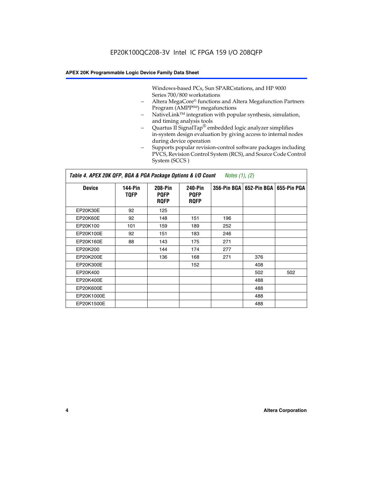Windows-based PCs, Sun SPARCstations, and HP 9000 Series 700/800 workstations

- Altera MegaCore® functions and Altera Megafunction Partners Program (AMPP<sup>SM</sup>) megafunctions
- NativeLink™ integration with popular synthesis, simulation, and timing analysis tools
- Quartus II SignalTap® embedded logic analyzer simplifies in-system design evaluation by giving access to internal nodes during device operation
- Supports popular revision-control software packages including PVCS, Revision Control System (RCS), and Source Code Control System (SCCS )

#### *Table 4. APEX 20K QFP, BGA & PGA Package Options & I/O Count Notes (1), (2)*

| <b>Device</b>   | 144-Pin<br><b>TQFP</b> | 208-Pin<br><b>PQFP</b><br><b>ROFP</b> | 240-Pin<br><b>PQFP</b><br><b>ROFP</b> |     | 356-Pin BGA   652-Pin BGA | 655-Pin PGA |
|-----------------|------------------------|---------------------------------------|---------------------------------------|-----|---------------------------|-------------|
| EP20K30E        | 92                     | 125                                   |                                       |     |                           |             |
| <b>EP20K60E</b> | 92                     | 148                                   | 151                                   | 196 |                           |             |
| EP20K100        | 101                    | 159                                   | 189                                   | 252 |                           |             |
| EP20K100E       | 92                     | 151                                   | 183                                   | 246 |                           |             |
| EP20K160E       | 88                     | 143                                   | 175                                   | 271 |                           |             |
| EP20K200        |                        | 144                                   | 174                                   | 277 |                           |             |
| EP20K200E       |                        | 136                                   | 168                                   | 271 | 376                       |             |
| EP20K300E       |                        |                                       | 152                                   |     | 408                       |             |
| EP20K400        |                        |                                       |                                       |     | 502                       | 502         |
| EP20K400E       |                        |                                       |                                       |     | 488                       |             |
| EP20K600E       |                        |                                       |                                       |     | 488                       |             |
| EP20K1000E      |                        |                                       |                                       |     | 488                       |             |
| EP20K1500E      |                        |                                       |                                       |     | 488                       |             |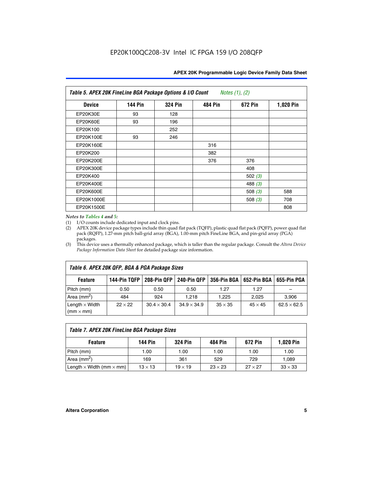| Table 5. APEX 20K FineLine BGA Package Options & I/O Count<br>Notes $(1)$ , $(2)$ |                |                |                |           |           |  |  |  |
|-----------------------------------------------------------------------------------|----------------|----------------|----------------|-----------|-----------|--|--|--|
| <b>Device</b>                                                                     | <b>144 Pin</b> | <b>324 Pin</b> | <b>484 Pin</b> | 672 Pin   | 1,020 Pin |  |  |  |
| EP20K30E                                                                          | 93             | 128            |                |           |           |  |  |  |
| <b>EP20K60E</b>                                                                   | 93             | 196            |                |           |           |  |  |  |
| EP20K100                                                                          |                | 252            |                |           |           |  |  |  |
| EP20K100E                                                                         | 93             | 246            |                |           |           |  |  |  |
| EP20K160E                                                                         |                |                | 316            |           |           |  |  |  |
| EP20K200                                                                          |                |                | 382            |           |           |  |  |  |
| EP20K200E                                                                         |                |                | 376            | 376       |           |  |  |  |
| EP20K300E                                                                         |                |                |                | 408       |           |  |  |  |
| EP20K400                                                                          |                |                |                | 502 $(3)$ |           |  |  |  |
| EP20K400E                                                                         |                |                |                | 488 $(3)$ |           |  |  |  |
| EP20K600E                                                                         |                |                |                | 508 $(3)$ | 588       |  |  |  |
| EP20K1000E                                                                        |                |                |                | 508 $(3)$ | 708       |  |  |  |
| EP20K1500E                                                                        |                |                |                |           | 808       |  |  |  |

#### *Notes to Tables 4 and 5:*

 $\Gamma$ 

(1) I/O counts include dedicated input and clock pins.

(2) APEX 20K device package types include thin quad flat pack (TQFP), plastic quad flat pack (PQFP), power quad flat pack (RQFP), 1.27-mm pitch ball-grid array (BGA), 1.00-mm pitch FineLine BGA, and pin-grid array (PGA) packages.

(3) This device uses a thermally enhanced package, which is taller than the regular package. Consult the *Altera Device Package Information Data Sheet* for detailed package size information.

| Table 6. APEX 20K QFP, BGA & PGA Package Sizes                                                           |                |                    |                    |                |                |                    |  |  |  |
|----------------------------------------------------------------------------------------------------------|----------------|--------------------|--------------------|----------------|----------------|--------------------|--|--|--|
| 144-Pin TQFP<br>240-Pin QFP<br>356-Pin BGA   652-Pin BGA<br>208-Pin QFP<br>655-Pin PGA<br><b>Feature</b> |                |                    |                    |                |                |                    |  |  |  |
| Pitch (mm)                                                                                               | 0.50           | 0.50               | 0.50               | 1.27           | 1.27           |                    |  |  |  |
| Area $(mm^2)$                                                                                            | 484            | 924                | 1.218              | 1.225          | 2.025          | 3,906              |  |  |  |
| Length $\times$ Width<br>$(mm \times mm)$                                                                | $22 \times 22$ | $30.4 \times 30.4$ | $34.9 \times 34.9$ | $35 \times 35$ | $45 \times 45$ | $62.5 \times 62.5$ |  |  |  |

| Table 7. APEX 20K FineLine BGA Package Sizes                                          |                |                |                |                |                |  |  |  |
|---------------------------------------------------------------------------------------|----------------|----------------|----------------|----------------|----------------|--|--|--|
| <b>324 Pin</b><br><b>1,020 Pin</b><br>144 Pin<br>672 Pin<br>484 Pin<br><b>Feature</b> |                |                |                |                |                |  |  |  |
| Pitch (mm)                                                                            | 1.00           | 1.00           | 1.00           | 1.00           | 1.00           |  |  |  |
| Area ( $mm2$ )                                                                        | 169            | 361            | 529            | 729            | 1,089          |  |  |  |
| Length $\times$ Width (mm $\times$ mm)                                                | $13 \times 13$ | $19 \times 19$ | $23 \times 23$ | $27 \times 27$ | $33 \times 33$ |  |  |  |

٦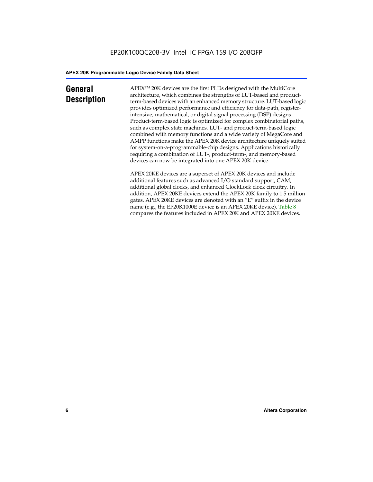### **General Description**

APEXTM 20K devices are the first PLDs designed with the MultiCore architecture, which combines the strengths of LUT-based and productterm-based devices with an enhanced memory structure. LUT-based logic provides optimized performance and efficiency for data-path, registerintensive, mathematical, or digital signal processing (DSP) designs. Product-term-based logic is optimized for complex combinatorial paths, such as complex state machines. LUT- and product-term-based logic combined with memory functions and a wide variety of MegaCore and AMPP functions make the APEX 20K device architecture uniquely suited for system-on-a-programmable-chip designs. Applications historically requiring a combination of LUT-, product-term-, and memory-based devices can now be integrated into one APEX 20K device.

APEX 20KE devices are a superset of APEX 20K devices and include additional features such as advanced I/O standard support, CAM, additional global clocks, and enhanced ClockLock clock circuitry. In addition, APEX 20KE devices extend the APEX 20K family to 1.5 million gates. APEX 20KE devices are denoted with an "E" suffix in the device name (e.g., the EP20K1000E device is an APEX 20KE device). Table 8 compares the features included in APEX 20K and APEX 20KE devices.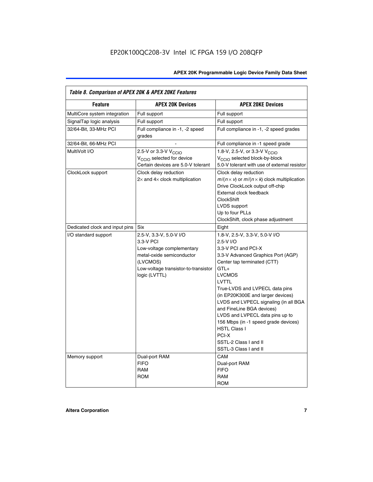| Table 8. Comparison of APEX 20K & APEX 20KE Features |                                                                                                                                                                     |                                                                                                                                                                                                                                                                                                                                                                                                                                                                                       |  |  |  |  |  |  |
|------------------------------------------------------|---------------------------------------------------------------------------------------------------------------------------------------------------------------------|---------------------------------------------------------------------------------------------------------------------------------------------------------------------------------------------------------------------------------------------------------------------------------------------------------------------------------------------------------------------------------------------------------------------------------------------------------------------------------------|--|--|--|--|--|--|
| <b>Feature</b>                                       | <b>APEX 20K Devices</b>                                                                                                                                             | <b>APEX 20KE Devices</b>                                                                                                                                                                                                                                                                                                                                                                                                                                                              |  |  |  |  |  |  |
| MultiCore system integration                         | Full support                                                                                                                                                        | Full support                                                                                                                                                                                                                                                                                                                                                                                                                                                                          |  |  |  |  |  |  |
| SignalTap logic analysis                             | Full support                                                                                                                                                        | Full support                                                                                                                                                                                                                                                                                                                                                                                                                                                                          |  |  |  |  |  |  |
| 32/64-Bit, 33-MHz PCI                                | Full compliance in -1, -2 speed<br>grades                                                                                                                           | Full compliance in -1, -2 speed grades                                                                                                                                                                                                                                                                                                                                                                                                                                                |  |  |  |  |  |  |
| 32/64-Bit, 66-MHz PCI                                |                                                                                                                                                                     | Full compliance in -1 speed grade                                                                                                                                                                                                                                                                                                                                                                                                                                                     |  |  |  |  |  |  |
| MultiVolt I/O                                        | 2.5-V or 3.3-V V <sub>CCIO</sub><br>V <sub>CCIO</sub> selected for device<br>Certain devices are 5.0-V tolerant                                                     | 1.8-V, 2.5-V, or 3.3-V V <sub>CCIO</sub><br>V <sub>CCIO</sub> selected block-by-block<br>5.0-V tolerant with use of external resistor                                                                                                                                                                                                                                                                                                                                                 |  |  |  |  |  |  |
| ClockLock support                                    | Clock delay reduction<br>$2\times$ and $4\times$ clock multiplication                                                                                               | Clock delay reduction<br>$m/(n \times v)$ or $m/(n \times k)$ clock multiplication<br>Drive ClockLock output off-chip<br>External clock feedback<br><b>ClockShift</b><br>LVDS support<br>Up to four PLLs<br>ClockShift, clock phase adjustment                                                                                                                                                                                                                                        |  |  |  |  |  |  |
| Dedicated clock and input pins                       | <b>Six</b>                                                                                                                                                          | Eight                                                                                                                                                                                                                                                                                                                                                                                                                                                                                 |  |  |  |  |  |  |
| I/O standard support                                 | 2.5-V, 3.3-V, 5.0-V I/O<br>3.3-V PCI<br>Low-voltage complementary<br>metal-oxide semiconductor<br>(LVCMOS)<br>Low-voltage transistor-to-transistor<br>logic (LVTTL) | 1.8-V, 2.5-V, 3.3-V, 5.0-V I/O<br>2.5-V I/O<br>3.3-V PCI and PCI-X<br>3.3-V Advanced Graphics Port (AGP)<br>Center tap terminated (CTT)<br>$GTL+$<br><b>LVCMOS</b><br>LVTTL<br>True-LVDS and LVPECL data pins<br>(in EP20K300E and larger devices)<br>LVDS and LVPECL signaling (in all BGA<br>and FineLine BGA devices)<br>LVDS and LVPECL data pins up to<br>156 Mbps (in -1 speed grade devices)<br><b>HSTL Class I</b><br>PCI-X<br>SSTL-2 Class I and II<br>SSTL-3 Class I and II |  |  |  |  |  |  |
| Memory support                                       | Dual-port RAM<br><b>FIFO</b><br><b>RAM</b><br><b>ROM</b>                                                                                                            | CAM<br>Dual-port RAM<br><b>FIFO</b><br>RAM<br><b>ROM</b>                                                                                                                                                                                                                                                                                                                                                                                                                              |  |  |  |  |  |  |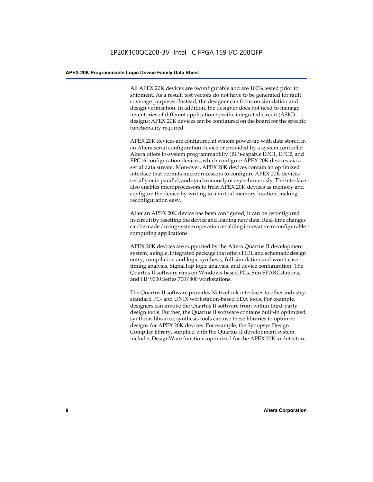All APEX 20K devices are reconfigurable and are 100% tested prior to shipment. As a result, test vectors do not have to be generated for fault coverage purposes. Instead, the designer can focus on simulation and design verification. In addition, the designer does not need to manage inventories of different application-specific integrated circuit (ASIC) designs; APEX 20K devices can be configured on the board for the specific functionality required.

APEX 20K devices are configured at system power-up with data stored in an Altera serial configuration device or provided by a system controller. Altera offers in-system programmability (ISP)-capable EPC1, EPC2, and EPC16 configuration devices, which configure APEX 20K devices via a serial data stream. Moreover, APEX 20K devices contain an optimized interface that permits microprocessors to configure APEX 20K devices serially or in parallel, and synchronously or asynchronously. The interface also enables microprocessors to treat APEX 20K devices as memory and configure the device by writing to a virtual memory location, making reconfiguration easy.

After an APEX 20K device has been configured, it can be reconfigured in-circuit by resetting the device and loading new data. Real-time changes can be made during system operation, enabling innovative reconfigurable computing applications.

APEX 20K devices are supported by the Altera Quartus II development system, a single, integrated package that offers HDL and schematic design entry, compilation and logic synthesis, full simulation and worst-case timing analysis, SignalTap logic analysis, and device configuration. The Quartus II software runs on Windows-based PCs, Sun SPARCstations, and HP 9000 Series 700/800 workstations.

The Quartus II software provides NativeLink interfaces to other industrystandard PC- and UNIX workstation-based EDA tools. For example, designers can invoke the Quartus II software from within third-party design tools. Further, the Quartus II software contains built-in optimized synthesis libraries; synthesis tools can use these libraries to optimize designs for APEX 20K devices. For example, the Synopsys Design Compiler library, supplied with the Quartus II development system, includes DesignWare functions optimized for the APEX 20K architecture.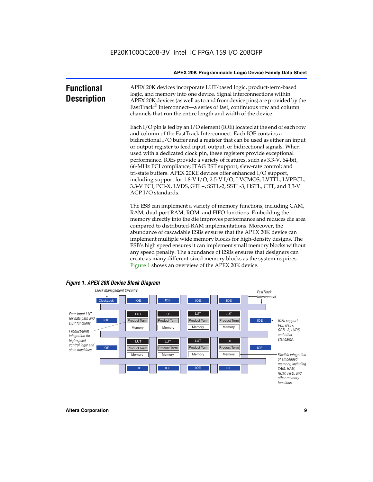| <b>Functional</b><br><b>Description</b> | APEX 20K devices incorporate LUT-based logic, product-term-based<br>logic, and memory into one device. Signal interconnections within<br>APEX 20K devices (as well as to and from device pins) are provided by the<br>FastTrack <sup>®</sup> Interconnect—a series of fast, continuous row and column<br>channels that run the entire length and width of the device.                                                                                                                                                                                                                                                                                                                                                                                              |
|-----------------------------------------|--------------------------------------------------------------------------------------------------------------------------------------------------------------------------------------------------------------------------------------------------------------------------------------------------------------------------------------------------------------------------------------------------------------------------------------------------------------------------------------------------------------------------------------------------------------------------------------------------------------------------------------------------------------------------------------------------------------------------------------------------------------------|
|                                         | Each I/O pin is fed by an I/O element (IOE) located at the end of each row<br>and column of the FastTrack Interconnect. Each IOE contains a<br>bidirectional I/O buffer and a register that can be used as either an input<br>or output register to feed input, output, or bidirectional signals. When<br>used with a dedicated clock pin, these registers provide exceptional<br>performance. IOEs provide a variety of features, such as 3.3-V, 64-bit,<br>66-MHz PCI compliance; JTAG BST support; slew-rate control; and<br>tri-state buffers. APEX 20KE devices offer enhanced I/O support,<br>including support for 1.8-V I/O, 2.5-V I/O, LVCMOS, LVTTL, LVPECL,<br>3.3-V PCI, PCI-X, LVDS, GTL+, SSTL-2, SSTL-3, HSTL, CTT, and 3.3-V<br>AGP I/O standards. |
|                                         | The ESB can implement a variety of memory functions, including CAM,<br>RAM, dual-port RAM, ROM, and FIFO functions. Embedding the<br>memory directly into the die improves performance and reduces die area<br>compared to distributed-RAM implementations. Moreover, the<br>abundance of cascadable ESBs ensures that the APEX 20K device can<br>implement multiple wide memory blocks for high-density designs. The<br>ESB's high speed ensures it can implement small memory blocks without<br>any speed penalty. The abundance of ESBs ensures that designers can                                                                                                                                                                                              |



create as many different-sized memory blocks as the system requires.

Figure 1 shows an overview of the APEX 20K device.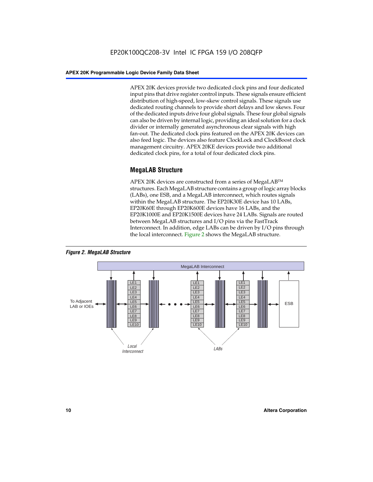APEX 20K devices provide two dedicated clock pins and four dedicated input pins that drive register control inputs. These signals ensure efficient distribution of high-speed, low-skew control signals. These signals use dedicated routing channels to provide short delays and low skews. Four of the dedicated inputs drive four global signals. These four global signals can also be driven by internal logic, providing an ideal solution for a clock divider or internally generated asynchronous clear signals with high fan-out. The dedicated clock pins featured on the APEX 20K devices can also feed logic. The devices also feature ClockLock and ClockBoost clock management circuitry. APEX 20KE devices provide two additional dedicated clock pins, for a total of four dedicated clock pins.

#### **MegaLAB Structure**

APEX 20K devices are constructed from a series of MegaLAB<sup>™</sup> structures. Each MegaLAB structure contains a group of logic array blocks (LABs), one ESB, and a MegaLAB interconnect, which routes signals within the MegaLAB structure. The EP20K30E device has 10 LABs, EP20K60E through EP20K600E devices have 16 LABs, and the EP20K1000E and EP20K1500E devices have 24 LABs. Signals are routed between MegaLAB structures and I/O pins via the FastTrack Interconnect. In addition, edge LABs can be driven by I/O pins through the local interconnect. Figure 2 shows the MegaLAB structure.



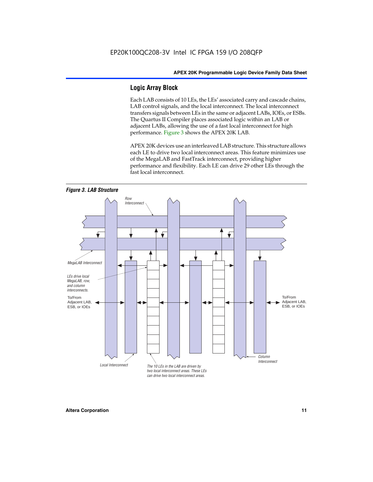### **Logic Array Block**

Each LAB consists of 10 LEs, the LEs' associated carry and cascade chains, LAB control signals, and the local interconnect. The local interconnect transfers signals between LEs in the same or adjacent LABs, IOEs, or ESBs. The Quartus II Compiler places associated logic within an LAB or adjacent LABs, allowing the use of a fast local interconnect for high performance. Figure 3 shows the APEX 20K LAB.

APEX 20K devices use an interleaved LAB structure. This structure allows each LE to drive two local interconnect areas. This feature minimizes use of the MegaLAB and FastTrack interconnect, providing higher performance and flexibility. Each LE can drive 29 other LEs through the fast local interconnect.

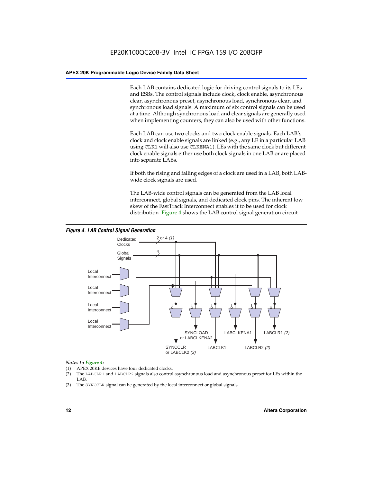Each LAB contains dedicated logic for driving control signals to its LEs and ESBs. The control signals include clock, clock enable, asynchronous clear, asynchronous preset, asynchronous load, synchronous clear, and synchronous load signals. A maximum of six control signals can be used at a time. Although synchronous load and clear signals are generally used when implementing counters, they can also be used with other functions.

Each LAB can use two clocks and two clock enable signals. Each LAB's clock and clock enable signals are linked (e.g., any LE in a particular LAB using CLK1 will also use CLKENA1). LEs with the same clock but different clock enable signals either use both clock signals in one LAB or are placed into separate LABs.

If both the rising and falling edges of a clock are used in a LAB, both LABwide clock signals are used.

The LAB-wide control signals can be generated from the LAB local interconnect, global signals, and dedicated clock pins. The inherent low skew of the FastTrack Interconnect enables it to be used for clock distribution. Figure 4 shows the LAB control signal generation circuit.



#### *Figure 4. LAB Control Signal Generation*

#### *Notes to Figure 4:*

- (1) APEX 20KE devices have four dedicated clocks.
- (2) The LABCLR1 and LABCLR2 signals also control asynchronous load and asynchronous preset for LEs within the LAB.
- (3) The SYNCCLR signal can be generated by the local interconnect or global signals.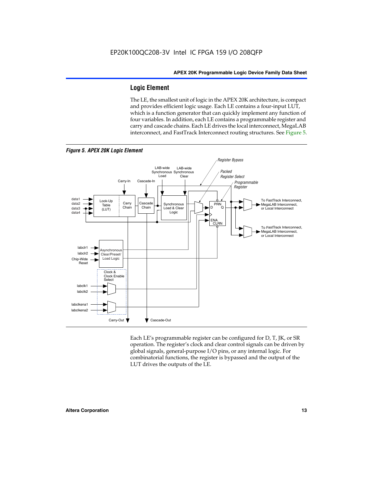#### **Logic Element**

The LE, the smallest unit of logic in the APEX 20K architecture, is compact and provides efficient logic usage. Each LE contains a four-input LUT, which is a function generator that can quickly implement any function of four variables. In addition, each LE contains a programmable register and carry and cascade chains. Each LE drives the local interconnect, MegaLAB interconnect, and FastTrack Interconnect routing structures. See Figure 5.



*Figure 5. APEX 20K Logic Element*

Each LE's programmable register can be configured for D, T, JK, or SR operation. The register's clock and clear control signals can be driven by global signals, general-purpose I/O pins, or any internal logic. For combinatorial functions, the register is bypassed and the output of the LUT drives the outputs of the LE.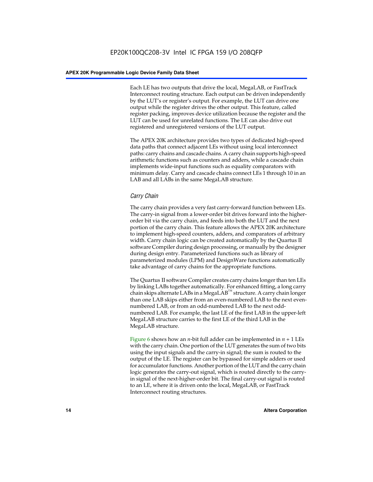Each LE has two outputs that drive the local, MegaLAB, or FastTrack Interconnect routing structure. Each output can be driven independently by the LUT's or register's output. For example, the LUT can drive one output while the register drives the other output. This feature, called register packing, improves device utilization because the register and the LUT can be used for unrelated functions. The LE can also drive out registered and unregistered versions of the LUT output.

The APEX 20K architecture provides two types of dedicated high-speed data paths that connect adjacent LEs without using local interconnect paths: carry chains and cascade chains. A carry chain supports high-speed arithmetic functions such as counters and adders, while a cascade chain implements wide-input functions such as equality comparators with minimum delay. Carry and cascade chains connect LEs 1 through 10 in an LAB and all LABs in the same MegaLAB structure.

#### *Carry Chain*

The carry chain provides a very fast carry-forward function between LEs. The carry-in signal from a lower-order bit drives forward into the higherorder bit via the carry chain, and feeds into both the LUT and the next portion of the carry chain. This feature allows the APEX 20K architecture to implement high-speed counters, adders, and comparators of arbitrary width. Carry chain logic can be created automatically by the Quartus II software Compiler during design processing, or manually by the designer during design entry. Parameterized functions such as library of parameterized modules (LPM) and DesignWare functions automatically take advantage of carry chains for the appropriate functions.

The Quartus II software Compiler creates carry chains longer than ten LEs by linking LABs together automatically. For enhanced fitting, a long carry chain skips alternate LABs in a MegaLAB<sup>™</sup> structure. A carry chain longer than one LAB skips either from an even-numbered LAB to the next evennumbered LAB, or from an odd-numbered LAB to the next oddnumbered LAB. For example, the last LE of the first LAB in the upper-left MegaLAB structure carries to the first LE of the third LAB in the MegaLAB structure.

Figure 6 shows how an *n*-bit full adder can be implemented in *n* + 1 LEs with the carry chain. One portion of the LUT generates the sum of two bits using the input signals and the carry-in signal; the sum is routed to the output of the LE. The register can be bypassed for simple adders or used for accumulator functions. Another portion of the LUT and the carry chain logic generates the carry-out signal, which is routed directly to the carryin signal of the next-higher-order bit. The final carry-out signal is routed to an LE, where it is driven onto the local, MegaLAB, or FastTrack Interconnect routing structures.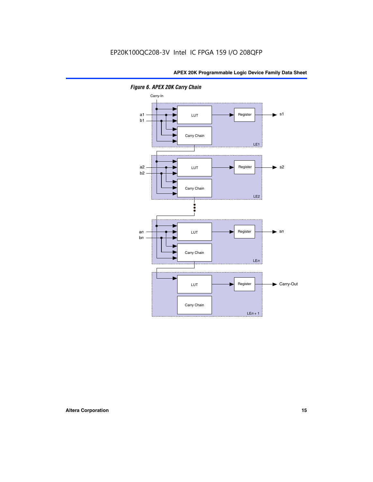

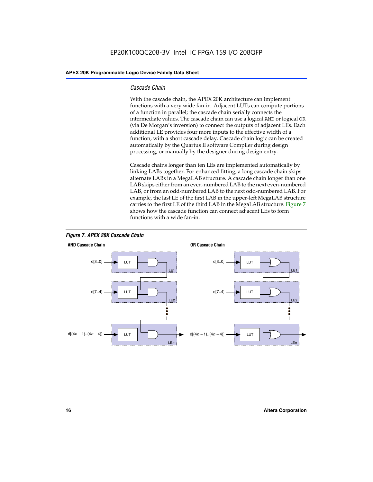#### *Cascade Chain*

With the cascade chain, the APEX 20K architecture can implement functions with a very wide fan-in. Adjacent LUTs can compute portions of a function in parallel; the cascade chain serially connects the intermediate values. The cascade chain can use a logical AND or logical OR (via De Morgan's inversion) to connect the outputs of adjacent LEs. Each additional LE provides four more inputs to the effective width of a function, with a short cascade delay. Cascade chain logic can be created automatically by the Quartus II software Compiler during design processing, or manually by the designer during design entry.

Cascade chains longer than ten LEs are implemented automatically by linking LABs together. For enhanced fitting, a long cascade chain skips alternate LABs in a MegaLAB structure. A cascade chain longer than one LAB skips either from an even-numbered LAB to the next even-numbered LAB, or from an odd-numbered LAB to the next odd-numbered LAB. For example, the last LE of the first LAB in the upper-left MegaLAB structure carries to the first LE of the third LAB in the MegaLAB structure. Figure 7 shows how the cascade function can connect adjacent LEs to form functions with a wide fan-in.



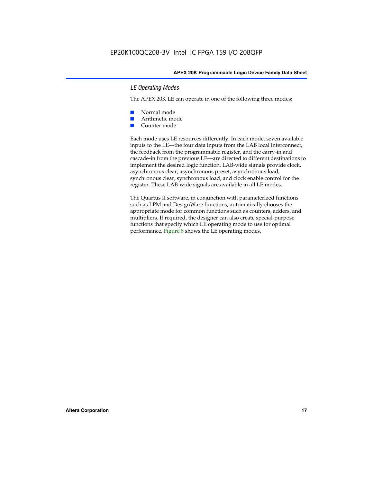#### *LE Operating Modes*

The APEX 20K LE can operate in one of the following three modes:

- Normal mode
- Arithmetic mode
- Counter mode

Each mode uses LE resources differently. In each mode, seven available inputs to the LE—the four data inputs from the LAB local interconnect, the feedback from the programmable register, and the carry-in and cascade-in from the previous LE—are directed to different destinations to implement the desired logic function. LAB-wide signals provide clock, asynchronous clear, asynchronous preset, asynchronous load, synchronous clear, synchronous load, and clock enable control for the register. These LAB-wide signals are available in all LE modes.

The Quartus II software, in conjunction with parameterized functions such as LPM and DesignWare functions, automatically chooses the appropriate mode for common functions such as counters, adders, and multipliers. If required, the designer can also create special-purpose functions that specify which LE operating mode to use for optimal performance. Figure 8 shows the LE operating modes.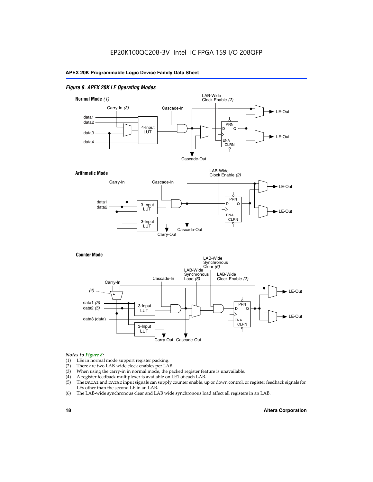#### *Figure 8. APEX 20K LE Operating Modes*



#### *Notes to Figure 8:*

- (1) LEs in normal mode support register packing.
- (2) There are two LAB-wide clock enables per LAB.
- (3) When using the carry-in in normal mode, the packed register feature is unavailable.
- (4) A register feedback multiplexer is available on LE1 of each LAB.
- (5) The DATA1 and DATA2 input signals can supply counter enable, up or down control, or register feedback signals for LEs other than the second LE in an LAB.
- (6) The LAB-wide synchronous clear and LAB wide synchronous load affect all registers in an LAB.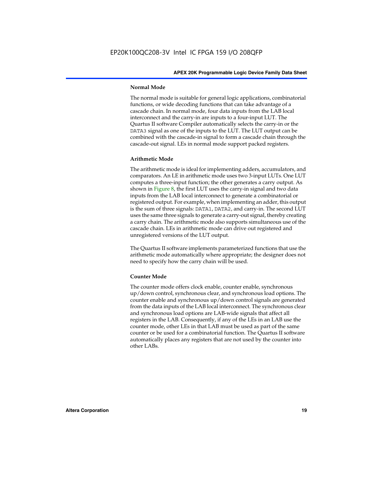#### **Normal Mode**

The normal mode is suitable for general logic applications, combinatorial functions, or wide decoding functions that can take advantage of a cascade chain. In normal mode, four data inputs from the LAB local interconnect and the carry-in are inputs to a four-input LUT. The Quartus II software Compiler automatically selects the carry-in or the DATA3 signal as one of the inputs to the LUT. The LUT output can be combined with the cascade-in signal to form a cascade chain through the cascade-out signal. LEs in normal mode support packed registers.

#### **Arithmetic Mode**

The arithmetic mode is ideal for implementing adders, accumulators, and comparators. An LE in arithmetic mode uses two 3-input LUTs. One LUT computes a three-input function; the other generates a carry output. As shown in Figure 8, the first LUT uses the carry-in signal and two data inputs from the LAB local interconnect to generate a combinatorial or registered output. For example, when implementing an adder, this output is the sum of three signals: DATA1, DATA2, and carry-in. The second LUT uses the same three signals to generate a carry-out signal, thereby creating a carry chain. The arithmetic mode also supports simultaneous use of the cascade chain. LEs in arithmetic mode can drive out registered and unregistered versions of the LUT output.

The Quartus II software implements parameterized functions that use the arithmetic mode automatically where appropriate; the designer does not need to specify how the carry chain will be used.

#### **Counter Mode**

The counter mode offers clock enable, counter enable, synchronous up/down control, synchronous clear, and synchronous load options. The counter enable and synchronous up/down control signals are generated from the data inputs of the LAB local interconnect. The synchronous clear and synchronous load options are LAB-wide signals that affect all registers in the LAB. Consequently, if any of the LEs in an LAB use the counter mode, other LEs in that LAB must be used as part of the same counter or be used for a combinatorial function. The Quartus II software automatically places any registers that are not used by the counter into other LABs.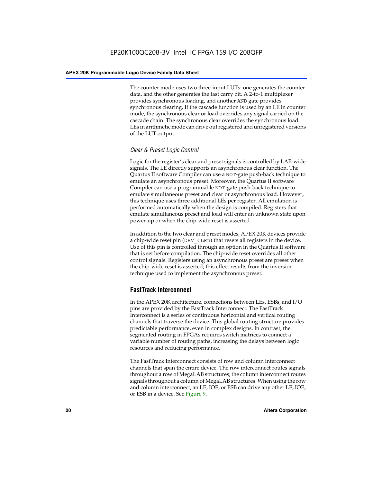The counter mode uses two three-input LUTs: one generates the counter data, and the other generates the fast carry bit. A 2-to-1 multiplexer provides synchronous loading, and another AND gate provides synchronous clearing. If the cascade function is used by an LE in counter mode, the synchronous clear or load overrides any signal carried on the cascade chain. The synchronous clear overrides the synchronous load. LEs in arithmetic mode can drive out registered and unregistered versions of the LUT output.

#### *Clear & Preset Logic Control*

Logic for the register's clear and preset signals is controlled by LAB-wide signals. The LE directly supports an asynchronous clear function. The Quartus II software Compiler can use a NOT-gate push-back technique to emulate an asynchronous preset. Moreover, the Quartus II software Compiler can use a programmable NOT-gate push-back technique to emulate simultaneous preset and clear or asynchronous load. However, this technique uses three additional LEs per register. All emulation is performed automatically when the design is compiled. Registers that emulate simultaneous preset and load will enter an unknown state upon power-up or when the chip-wide reset is asserted.

In addition to the two clear and preset modes, APEX 20K devices provide a chip-wide reset pin (DEV\_CLRn) that resets all registers in the device. Use of this pin is controlled through an option in the Quartus II software that is set before compilation. The chip-wide reset overrides all other control signals. Registers using an asynchronous preset are preset when the chip-wide reset is asserted; this effect results from the inversion technique used to implement the asynchronous preset.

### **FastTrack Interconnect**

In the APEX 20K architecture, connections between LEs, ESBs, and I/O pins are provided by the FastTrack Interconnect. The FastTrack Interconnect is a series of continuous horizontal and vertical routing channels that traverse the device. This global routing structure provides predictable performance, even in complex designs. In contrast, the segmented routing in FPGAs requires switch matrices to connect a variable number of routing paths, increasing the delays between logic resources and reducing performance.

The FastTrack Interconnect consists of row and column interconnect channels that span the entire device. The row interconnect routes signals throughout a row of MegaLAB structures; the column interconnect routes signals throughout a column of MegaLAB structures. When using the row and column interconnect, an LE, IOE, or ESB can drive any other LE, IOE, or ESB in a device. See Figure 9.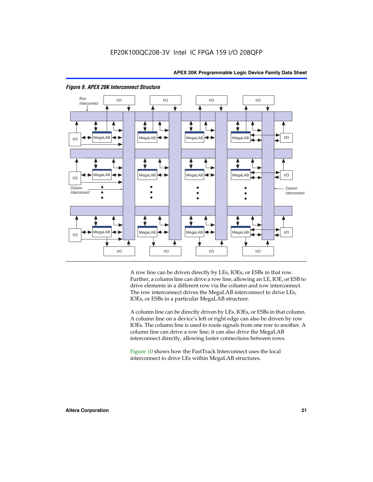



#### *Figure 9. APEX 20K Interconnect Structure*

A row line can be driven directly by LEs, IOEs, or ESBs in that row. Further, a column line can drive a row line, allowing an LE, IOE, or ESB to drive elements in a different row via the column and row interconnect. The row interconnect drives the MegaLAB interconnect to drive LEs, IOEs, or ESBs in a particular MegaLAB structure.

A column line can be directly driven by LEs, IOEs, or ESBs in that column. A column line on a device's left or right edge can also be driven by row IOEs. The column line is used to route signals from one row to another. A column line can drive a row line; it can also drive the MegaLAB interconnect directly, allowing faster connections between rows.

Figure 10 shows how the FastTrack Interconnect uses the local interconnect to drive LEs within MegaLAB structures.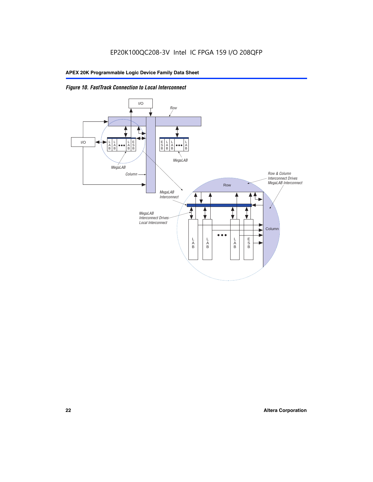

*Figure 10. FastTrack Connection to Local Interconnect*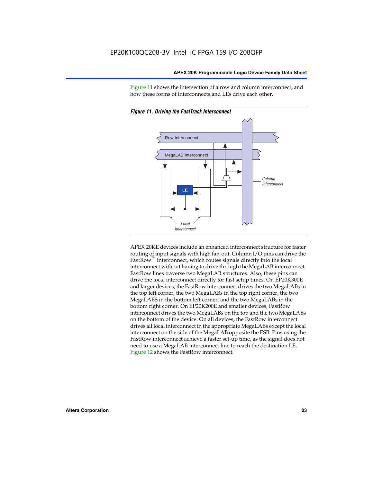Figure 11 shows the intersection of a row and column interconnect, and how these forms of interconnects and LEs drive each other.



*Figure 11. Driving the FastTrack Interconnect*

APEX 20KE devices include an enhanced interconnect structure for faster routing of input signals with high fan-out. Column I/O pins can drive the FastRow<sup>™</sup> interconnect, which routes signals directly into the local interconnect without having to drive through the MegaLAB interconnect. FastRow lines traverse two MegaLAB structures. Also, these pins can drive the local interconnect directly for fast setup times. On EP20K300E and larger devices, the FastRow interconnect drives the two MegaLABs in the top left corner, the two MegaLABs in the top right corner, the two MegaLABS in the bottom left corner, and the two MegaLABs in the bottom right corner. On EP20K200E and smaller devices, FastRow interconnect drives the two MegaLABs on the top and the two MegaLABs on the bottom of the device. On all devices, the FastRow interconnect drives all local interconnect in the appropriate MegaLABs except the local interconnect on the side of the MegaLAB opposite the ESB. Pins using the FastRow interconnect achieve a faster set-up time, as the signal does not need to use a MegaLAB interconnect line to reach the destination LE. Figure 12 shows the FastRow interconnect.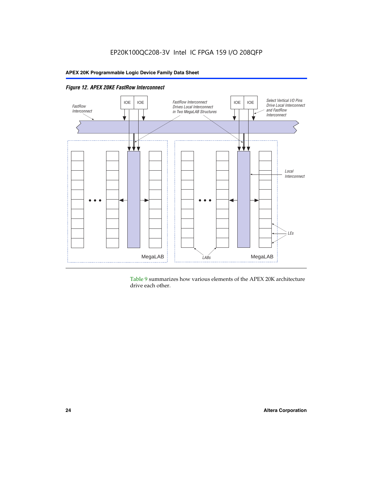

Table 9 summarizes how various elements of the APEX 20K architecture drive each other.

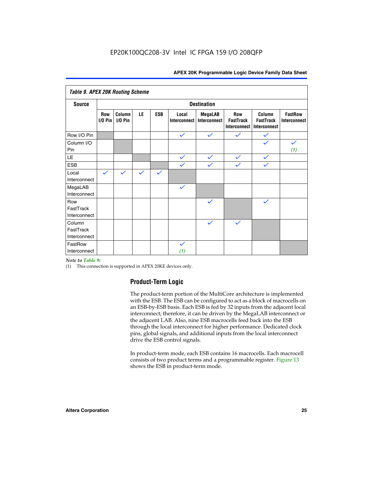| <b>Table 9. APEX 20K Routing Scheme</b> |                    |                      |              |              |                              |                                |                                                |                                            |                                |
|-----------------------------------------|--------------------|----------------------|--------------|--------------|------------------------------|--------------------------------|------------------------------------------------|--------------------------------------------|--------------------------------|
| <b>Source</b>                           | <b>Destination</b> |                      |              |              |                              |                                |                                                |                                            |                                |
|                                         | Row<br>$1/0$ Pin   | Column<br>$I/O P$ in | LE           | <b>ESB</b>   | Local<br><b>Interconnect</b> | <b>MegaLAB</b><br>Interconnect | Row<br><b>FastTrack</b><br><b>Interconnect</b> | Column<br><b>FastTrack</b><br>Interconnect | <b>FastRow</b><br>Interconnect |
| Row I/O Pin                             |                    |                      |              |              | $\checkmark$                 | $\checkmark$                   | $\checkmark$                                   | $\checkmark$                               |                                |
| Column I/O<br>Pin                       |                    |                      |              |              |                              |                                |                                                | $\checkmark$                               | $\checkmark$<br>(1)            |
| LE                                      |                    |                      |              |              | $\checkmark$                 | $\checkmark$                   | $\checkmark$                                   | $\checkmark$                               |                                |
| <b>ESB</b>                              |                    |                      |              |              | $\checkmark$                 | $\checkmark$                   | $\checkmark$                                   | $\checkmark$                               |                                |
| Local<br>Interconnect                   | $\checkmark$       | $\checkmark$         | $\checkmark$ | $\checkmark$ |                              |                                |                                                |                                            |                                |
| MegaLAB<br>Interconnect                 |                    |                      |              |              | $\checkmark$                 |                                |                                                |                                            |                                |
| Row<br>FastTrack<br>Interconnect        |                    |                      |              |              |                              | $\checkmark$                   |                                                | $\checkmark$                               |                                |
| Column<br>FastTrack<br>Interconnect     |                    |                      |              |              |                              | $\checkmark$                   | $\checkmark$                                   |                                            |                                |
| FastRow<br>Interconnect                 |                    |                      |              |              | $\checkmark$<br>(1)          |                                |                                                |                                            |                                |

#### *Note to Table 9:*

(1) This connection is supported in APEX 20KE devices only.

### **Product-Term Logic**

The product-term portion of the MultiCore architecture is implemented with the ESB. The ESB can be configured to act as a block of macrocells on an ESB-by-ESB basis. Each ESB is fed by 32 inputs from the adjacent local interconnect; therefore, it can be driven by the MegaLAB interconnect or the adjacent LAB. Also, nine ESB macrocells feed back into the ESB through the local interconnect for higher performance. Dedicated clock pins, global signals, and additional inputs from the local interconnect drive the ESB control signals.

In product-term mode, each ESB contains 16 macrocells. Each macrocell consists of two product terms and a programmable register. Figure 13 shows the ESB in product-term mode.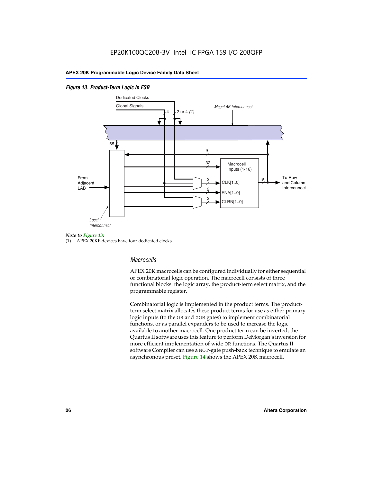#### *Figure 13. Product-Term Logic in ESB*



(1) APEX 20KE devices have four dedicated clocks.

#### *Macrocells*

APEX 20K macrocells can be configured individually for either sequential or combinatorial logic operation. The macrocell consists of three functional blocks: the logic array, the product-term select matrix, and the programmable register.

Combinatorial logic is implemented in the product terms. The productterm select matrix allocates these product terms for use as either primary logic inputs (to the OR and XOR gates) to implement combinatorial functions, or as parallel expanders to be used to increase the logic available to another macrocell. One product term can be inverted; the Quartus II software uses this feature to perform DeMorgan's inversion for more efficient implementation of wide OR functions. The Quartus II software Compiler can use a NOT-gate push-back technique to emulate an asynchronous preset. Figure 14 shows the APEX 20K macrocell.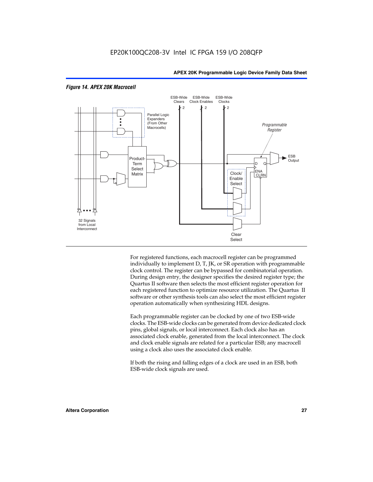

#### *Figure 14. APEX 20K Macrocell*

For registered functions, each macrocell register can be programmed individually to implement D, T, JK, or SR operation with programmable clock control. The register can be bypassed for combinatorial operation. During design entry, the designer specifies the desired register type; the Quartus II software then selects the most efficient register operation for each registered function to optimize resource utilization. The Quartus II software or other synthesis tools can also select the most efficient register operation automatically when synthesizing HDL designs.

Each programmable register can be clocked by one of two ESB-wide clocks. The ESB-wide clocks can be generated from device dedicated clock pins, global signals, or local interconnect. Each clock also has an associated clock enable, generated from the local interconnect. The clock and clock enable signals are related for a particular ESB; any macrocell using a clock also uses the associated clock enable.

If both the rising and falling edges of a clock are used in an ESB, both ESB-wide clock signals are used.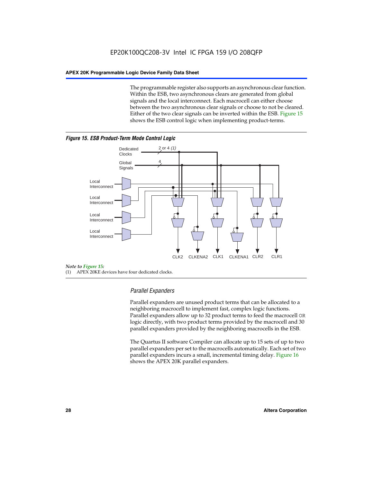The programmable register also supports an asynchronous clear function. Within the ESB, two asynchronous clears are generated from global signals and the local interconnect. Each macrocell can either choose between the two asynchronous clear signals or choose to not be cleared. Either of the two clear signals can be inverted within the ESB. Figure 15 shows the ESB control logic when implementing product-terms.





(1) APEX 20KE devices have four dedicated clocks.

#### *Parallel Expanders*

Parallel expanders are unused product terms that can be allocated to a neighboring macrocell to implement fast, complex logic functions. Parallel expanders allow up to 32 product terms to feed the macrocell OR logic directly, with two product terms provided by the macrocell and 30 parallel expanders provided by the neighboring macrocells in the ESB.

The Quartus II software Compiler can allocate up to 15 sets of up to two parallel expanders per set to the macrocells automatically. Each set of two parallel expanders incurs a small, incremental timing delay. Figure 16 shows the APEX 20K parallel expanders.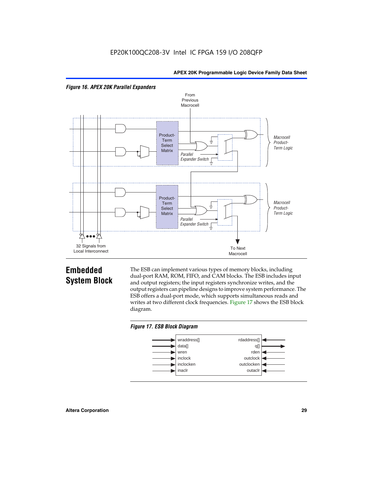



## **Embedded System Block**

The ESB can implement various types of memory blocks, including dual-port RAM, ROM, FIFO, and CAM blocks. The ESB includes input and output registers; the input registers synchronize writes, and the output registers can pipeline designs to improve system performance. The ESB offers a dual-port mode, which supports simultaneous reads and writes at two different clock frequencies. Figure 17 shows the ESB block diagram.



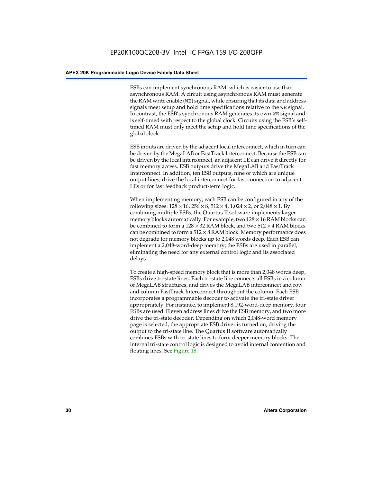ESBs can implement synchronous RAM, which is easier to use than asynchronous RAM. A circuit using asynchronous RAM must generate the RAM write enable (WE) signal, while ensuring that its data and address signals meet setup and hold time specifications relative to the WE signal. In contrast, the ESB's synchronous RAM generates its own WE signal and is self-timed with respect to the global clock. Circuits using the ESB's selftimed RAM must only meet the setup and hold time specifications of the global clock.

ESB inputs are driven by the adjacent local interconnect, which in turn can be driven by the MegaLAB or FastTrack Interconnect. Because the ESB can be driven by the local interconnect, an adjacent LE can drive it directly for fast memory access. ESB outputs drive the MegaLAB and FastTrack Interconnect. In addition, ten ESB outputs, nine of which are unique output lines, drive the local interconnect for fast connection to adjacent LEs or for fast feedback product-term logic.

When implementing memory, each ESB can be configured in any of the following sizes:  $128 \times 16$ ,  $256 \times 8$ ,  $512 \times 4$ ,  $1,024 \times 2$ , or  $2,048 \times 1$ . By combining multiple ESBs, the Quartus II software implements larger memory blocks automatically. For example, two  $128 \times 16$  RAM blocks can be combined to form a  $128 \times 32$  RAM block, and two  $512 \times 4$  RAM blocks can be combined to form a  $512 \times 8$  RAM block. Memory performance does not degrade for memory blocks up to 2,048 words deep. Each ESB can implement a 2,048-word-deep memory; the ESBs are used in parallel, eliminating the need for any external control logic and its associated delays.

To create a high-speed memory block that is more than 2,048 words deep, ESBs drive tri-state lines. Each tri-state line connects all ESBs in a column of MegaLAB structures, and drives the MegaLAB interconnect and row and column FastTrack Interconnect throughout the column. Each ESB incorporates a programmable decoder to activate the tri-state driver appropriately. For instance, to implement 8,192-word-deep memory, four ESBs are used. Eleven address lines drive the ESB memory, and two more drive the tri-state decoder. Depending on which 2,048-word memory page is selected, the appropriate ESB driver is turned on, driving the output to the tri-state line. The Quartus II software automatically combines ESBs with tri-state lines to form deeper memory blocks. The internal tri-state control logic is designed to avoid internal contention and floating lines. See Figure 18.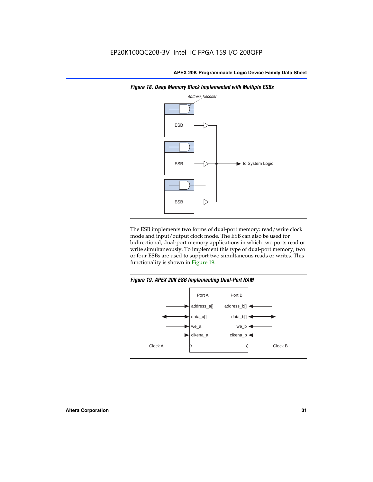

*Figure 18. Deep Memory Block Implemented with Multiple ESBs*

The ESB implements two forms of dual-port memory: read/write clock mode and input/output clock mode. The ESB can also be used for bidirectional, dual-port memory applications in which two ports read or write simultaneously. To implement this type of dual-port memory, two or four ESBs are used to support two simultaneous reads or writes. This functionality is shown in Figure 19.

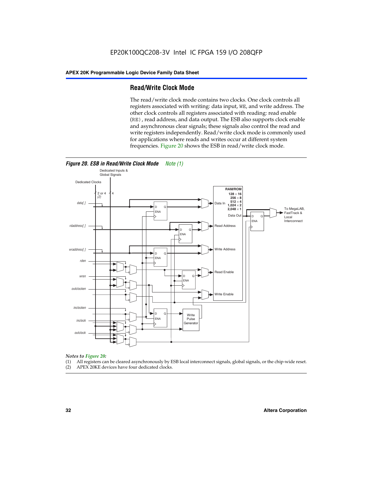#### **Read/Write Clock Mode**

The read/write clock mode contains two clocks. One clock controls all registers associated with writing: data input, WE, and write address. The other clock controls all registers associated with reading: read enable (RE), read address, and data output. The ESB also supports clock enable and asynchronous clear signals; these signals also control the read and write registers independently. Read/write clock mode is commonly used for applications where reads and writes occur at different system frequencies. Figure 20 shows the ESB in read/write clock mode.



- *Notes to Figure 20:* (1) All registers can be cleared asynchronously by ESB local interconnect signals, global signals, or the chip-wide reset.
- (2) APEX 20KE devices have four dedicated clocks.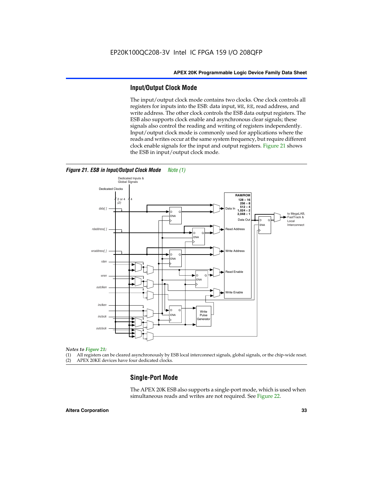#### **Input/Output Clock Mode**

The input/output clock mode contains two clocks. One clock controls all registers for inputs into the ESB: data input, WE, RE, read address, and write address. The other clock controls the ESB data output registers. The ESB also supports clock enable and asynchronous clear signals; these signals also control the reading and writing of registers independently. Input/output clock mode is commonly used for applications where the reads and writes occur at the same system frequency, but require different clock enable signals for the input and output registers. Figure 21 shows the ESB in input/output clock mode.



#### *Figure 21. ESB in Input/Output Clock Mode Note (1)*

#### *Notes to Figure 21:*

(1) All registers can be cleared asynchronously by ESB local interconnect signals, global signals, or the chip-wide reset. (2) APEX 20KE devices have four dedicated clocks.

## **Single-Port Mode**

The APEX 20K ESB also supports a single-port mode, which is used when simultaneous reads and writes are not required. See Figure 22.

#### **Altera Corporation 33**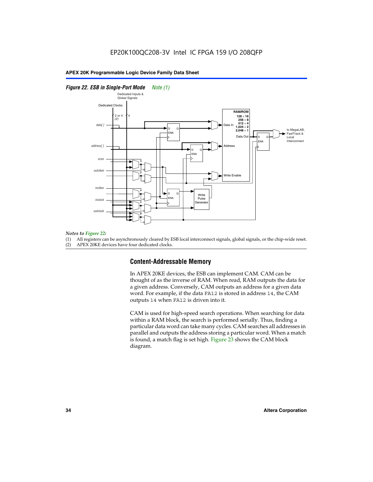#### *Figure 22. ESB in Single-Port Mode Note (1)*



#### *Notes to Figure 22:*

(1) All registers can be asynchronously cleared by ESB local interconnect signals, global signals, or the chip-wide reset.

(2) APEX 20KE devices have four dedicated clocks.

#### **Content-Addressable Memory**

In APEX 20KE devices, the ESB can implement CAM. CAM can be thought of as the inverse of RAM. When read, RAM outputs the data for a given address. Conversely, CAM outputs an address for a given data word. For example, if the data FA12 is stored in address 14, the CAM outputs 14 when FA12 is driven into it.

CAM is used for high-speed search operations. When searching for data within a RAM block, the search is performed serially. Thus, finding a particular data word can take many cycles. CAM searches all addresses in parallel and outputs the address storing a particular word. When a match is found, a match flag is set high. Figure 23 shows the CAM block diagram.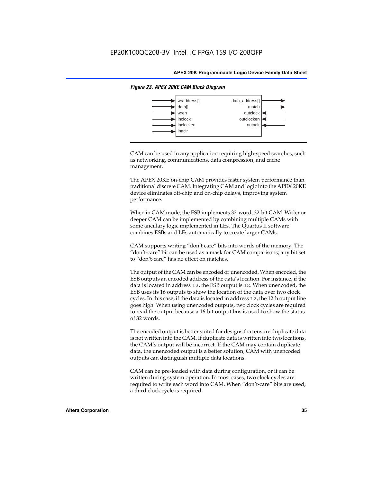

#### *Figure 23. APEX 20KE CAM Block Diagram*

CAM can be used in any application requiring high-speed searches, such as networking, communications, data compression, and cache management.

The APEX 20KE on-chip CAM provides faster system performance than traditional discrete CAM. Integrating CAM and logic into the APEX 20KE device eliminates off-chip and on-chip delays, improving system performance.

When in CAM mode, the ESB implements 32-word, 32-bit CAM. Wider or deeper CAM can be implemented by combining multiple CAMs with some ancillary logic implemented in LEs. The Quartus II software combines ESBs and LEs automatically to create larger CAMs.

CAM supports writing "don't care" bits into words of the memory. The "don't-care" bit can be used as a mask for CAM comparisons; any bit set to "don't-care" has no effect on matches.

The output of the CAM can be encoded or unencoded. When encoded, the ESB outputs an encoded address of the data's location. For instance, if the data is located in address 12, the ESB output is 12. When unencoded, the ESB uses its 16 outputs to show the location of the data over two clock cycles. In this case, if the data is located in address 12, the 12th output line goes high. When using unencoded outputs, two clock cycles are required to read the output because a 16-bit output bus is used to show the status of 32 words.

The encoded output is better suited for designs that ensure duplicate data is not written into the CAM. If duplicate data is written into two locations, the CAM's output will be incorrect. If the CAM may contain duplicate data, the unencoded output is a better solution; CAM with unencoded outputs can distinguish multiple data locations.

CAM can be pre-loaded with data during configuration, or it can be written during system operation. In most cases, two clock cycles are required to write each word into CAM. When "don't-care" bits are used, a third clock cycle is required.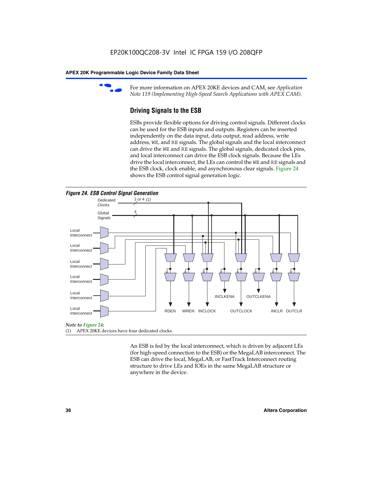

For more information on APEX 20KE devices and CAM, see *Application Note 119 (Implementing High-Speed Search Applications with APEX CAM).*

# **Driving Signals to the ESB**

ESBs provide flexible options for driving control signals. Different clocks can be used for the ESB inputs and outputs. Registers can be inserted independently on the data input, data output, read address, write address, WE, and RE signals. The global signals and the local interconnect can drive the WE and RE signals. The global signals, dedicated clock pins, and local interconnect can drive the ESB clock signals. Because the LEs drive the local interconnect, the LEs can control the WE and RE signals and the ESB clock, clock enable, and asynchronous clear signals. Figure 24 shows the ESB control signal generation logic.





#### *Note to Figure 24:*

(1) APEX 20KE devices have four dedicated clocks.

An ESB is fed by the local interconnect, which is driven by adjacent LEs (for high-speed connection to the ESB) or the MegaLAB interconnect. The ESB can drive the local, MegaLAB, or FastTrack Interconnect routing structure to drive LEs and IOEs in the same MegaLAB structure or anywhere in the device.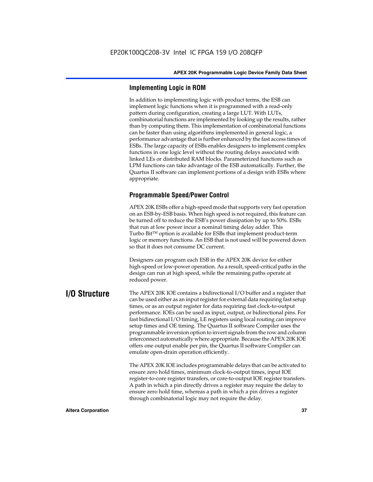# **Implementing Logic in ROM**

In addition to implementing logic with product terms, the ESB can implement logic functions when it is programmed with a read-only pattern during configuration, creating a large LUT. With LUTs, combinatorial functions are implemented by looking up the results, rather than by computing them. This implementation of combinatorial functions can be faster than using algorithms implemented in general logic, a performance advantage that is further enhanced by the fast access times of ESBs. The large capacity of ESBs enables designers to implement complex functions in one logic level without the routing delays associated with linked LEs or distributed RAM blocks. Parameterized functions such as LPM functions can take advantage of the ESB automatically. Further, the Quartus II software can implement portions of a design with ESBs where appropriate.

# **Programmable Speed/Power Control**

APEX 20K ESBs offer a high-speed mode that supports very fast operation on an ESB-by-ESB basis. When high speed is not required, this feature can be turned off to reduce the ESB's power dissipation by up to 50%. ESBs that run at low power incur a nominal timing delay adder. This Turbo  $Bit^{TM}$  option is available for ESBs that implement product-term logic or memory functions. An ESB that is not used will be powered down so that it does not consume DC current.

Designers can program each ESB in the APEX 20K device for either high-speed or low-power operation. As a result, speed-critical paths in the design can run at high speed, while the remaining paths operate at reduced power.

**I/O Structure** The APEX 20K IOE contains a bidirectional I/O buffer and a register that can be used either as an input register for external data requiring fast setup times, or as an output register for data requiring fast clock-to-output performance. IOEs can be used as input, output, or bidirectional pins. For fast bidirectional I/O timing, LE registers using local routing can improve setup times and OE timing. The Quartus II software Compiler uses the programmable inversion option to invert signals from the row and column interconnect automatically where appropriate. Because the APEX 20K IOE offers one output enable per pin, the Quartus II software Compiler can emulate open-drain operation efficiently.

> The APEX 20K IOE includes programmable delays that can be activated to ensure zero hold times, minimum clock-to-output times, input IOE register-to-core register transfers, or core-to-output IOE register transfers. A path in which a pin directly drives a register may require the delay to ensure zero hold time, whereas a path in which a pin drives a register through combinatorial logic may not require the delay.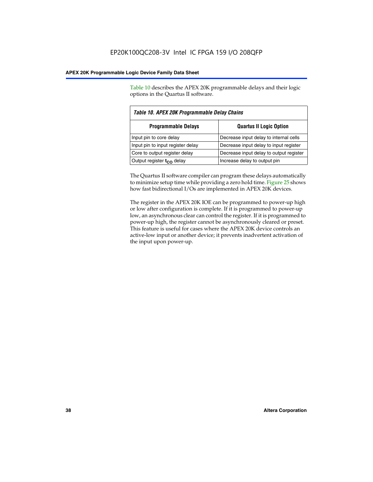Table 10 describes the APEX 20K programmable delays and their logic options in the Quartus II software.

| Table 10. APEX 20K Programmable Delay Chains |                                         |  |  |
|----------------------------------------------|-----------------------------------------|--|--|
| <b>Programmable Delays</b>                   | <b>Quartus II Logic Option</b>          |  |  |
| Input pin to core delay                      | Decrease input delay to internal cells  |  |  |
| Input pin to input register delay            | Decrease input delay to input register  |  |  |
| Core to output register delay                | Decrease input delay to output register |  |  |
| Output register t <sub>co</sub> delay        | Increase delay to output pin            |  |  |

The Quartus II software compiler can program these delays automatically to minimize setup time while providing a zero hold time. Figure 25 shows how fast bidirectional I/Os are implemented in APEX 20K devices.

The register in the APEX 20K IOE can be programmed to power-up high or low after configuration is complete. If it is programmed to power-up low, an asynchronous clear can control the register. If it is programmed to power-up high, the register cannot be asynchronously cleared or preset. This feature is useful for cases where the APEX 20K device controls an active-low input or another device; it prevents inadvertent activation of the input upon power-up.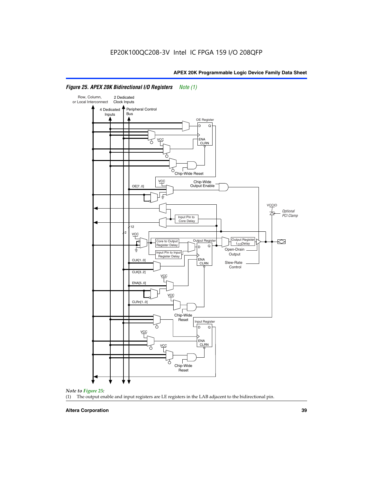

# *Figure 25. APEX 20K Bidirectional I/O Registers Note (1)*



#### **Altera Corporation 39**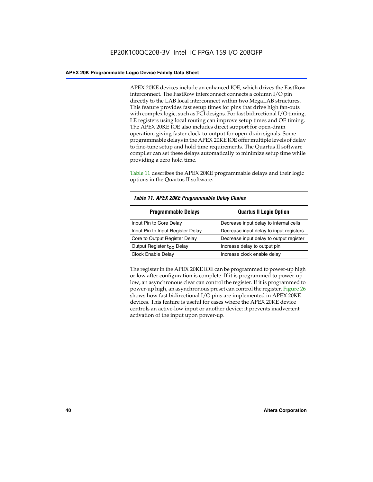APEX 20KE devices include an enhanced IOE, which drives the FastRow interconnect. The FastRow interconnect connects a column I/O pin directly to the LAB local interconnect within two MegaLAB structures. This feature provides fast setup times for pins that drive high fan-outs with complex logic, such as PCI designs. For fast bidirectional I/O timing, LE registers using local routing can improve setup times and OE timing. The APEX 20KE IOE also includes direct support for open-drain operation, giving faster clock-to-output for open-drain signals. Some programmable delays in the APEX 20KE IOE offer multiple levels of delay to fine-tune setup and hold time requirements. The Quartus II software compiler can set these delays automatically to minimize setup time while providing a zero hold time.

Table 11 describes the APEX 20KE programmable delays and their logic options in the Quartus II software.

| Table 11. APEX 20KE Programmable Delay Chains |                                         |  |  |  |
|-----------------------------------------------|-----------------------------------------|--|--|--|
| <b>Programmable Delays</b>                    | <b>Quartus II Logic Option</b>          |  |  |  |
| Input Pin to Core Delay                       | Decrease input delay to internal cells  |  |  |  |
| Input Pin to Input Register Delay             | Decrease input delay to input registers |  |  |  |
| Core to Output Register Delay                 | Decrease input delay to output register |  |  |  |
| Output Register t <sub>CO</sub> Delay         | Increase delay to output pin            |  |  |  |
| <b>Clock Enable Delay</b>                     | Increase clock enable delay             |  |  |  |

The register in the APEX 20KE IOE can be programmed to power-up high or low after configuration is complete. If it is programmed to power-up low, an asynchronous clear can control the register. If it is programmed to power-up high, an asynchronous preset can control the register. Figure 26 shows how fast bidirectional I/O pins are implemented in APEX 20KE devices. This feature is useful for cases where the APEX 20KE device controls an active-low input or another device; it prevents inadvertent activation of the input upon power-up.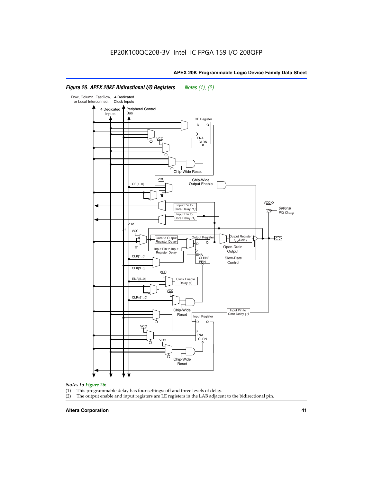#### Row, Column, FastRow, 4 Dedicated or Local Interconnect Clock Inputs Peripheral Control 4 Dedicated **Bus** Inputs OE Register D Q ENA VCC CLRN 7 Chip-Wide Reset vcc Chip-Wide Output Enable OE[7..0] VC Input Pin to **Optional** Core Delay (1) PCI Clamp Input Pin to Core Delay (1) 12 4 **VCC** Output Register **Output Registe**  $\approx$ Core to Output | Output Hegister | Durbut Tropieding | Contput Tropieding | Durbut Tropieding | Output Tropied<br>Register Delay | Durbut Tropieding | Contput Tropieding | Contput Tropieding | O t<sub>CO</sub>Delay  $D$  Q ŧ Open-Drain Input Pin to Input **Output** Register Delay ENA CLK[1..0] CLRN/ Slew-Rate PR<sub>N</sub> Control CLK[3..0] VCC ENA[5..0] Clock Enable Delay (1) VCC CLRn[1..0] Chip-Wide Input Pin to Core Delay (1) Reset Input Register D Q <u>vcc</u> .<br>ENA CLRN **VCC** Chip-Wide Reset

# *Figure 26. APEX 20KE Bidirectional I/O Registers Notes (1), (2)*

#### *Notes to Figure 26:*

- (1) This programmable delay has four settings: off and three levels of delay.<br>(2) The output enable and input registers are LE registers in the LAB adjacer
- The output enable and input registers are LE registers in the LAB adjacent to the bidirectional pin.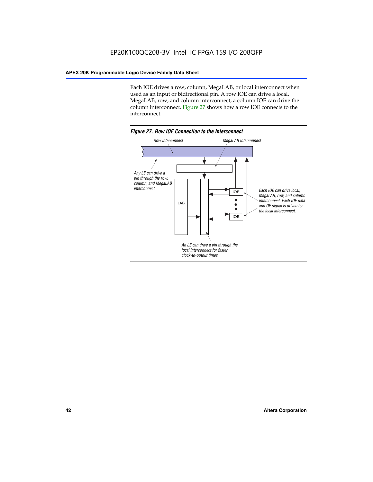Each IOE drives a row, column, MegaLAB, or local interconnect when used as an input or bidirectional pin. A row IOE can drive a local, MegaLAB, row, and column interconnect; a column IOE can drive the column interconnect. Figure 27 shows how a row IOE connects to the interconnect.

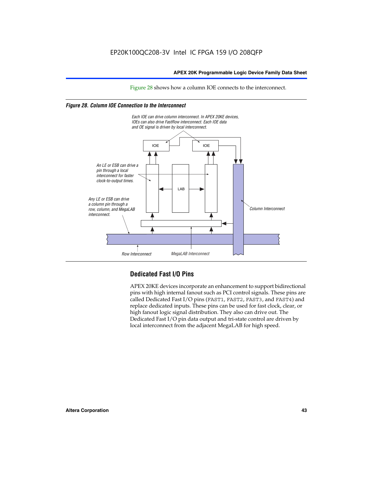Figure 28 shows how a column IOE connects to the interconnect.

# *Figure 28. Column IOE Connection to the Interconnect*



# **Dedicated Fast I/O Pins**

APEX 20KE devices incorporate an enhancement to support bidirectional pins with high internal fanout such as PCI control signals. These pins are called Dedicated Fast I/O pins (FAST1, FAST2, FAST3, and FAST4) and replace dedicated inputs. These pins can be used for fast clock, clear, or high fanout logic signal distribution. They also can drive out. The Dedicated Fast I/O pin data output and tri-state control are driven by local interconnect from the adjacent MegaLAB for high speed.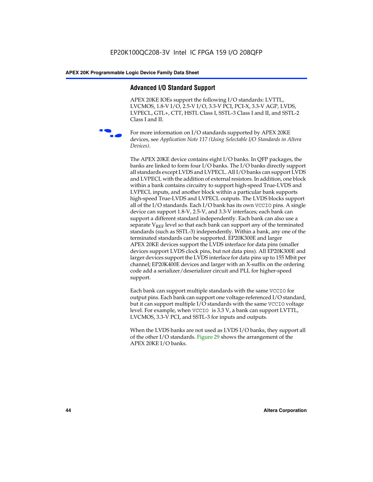# **Advanced I/O Standard Support**

APEX 20KE IOEs support the following I/O standards: LVTTL, LVCMOS, 1.8-V I/O, 2.5-V I/O, 3.3-V PCI, PCI-X, 3.3-V AGP, LVDS, LVPECL, GTL+, CTT, HSTL Class I, SSTL-3 Class I and II, and SSTL-2 Class I and II.



For more information on I/O standards supported by APEX 20KE devices, see *Application Note 117 (Using Selectable I/O Standards in Altera Devices)*.

The APEX 20KE device contains eight I/O banks. In QFP packages, the banks are linked to form four I/O banks. The I/O banks directly support all standards except LVDS and LVPECL. All I/O banks can support LVDS and LVPECL with the addition of external resistors. In addition, one block within a bank contains circuitry to support high-speed True-LVDS and LVPECL inputs, and another block within a particular bank supports high-speed True-LVDS and LVPECL outputs. The LVDS blocks support all of the I/O standards. Each I/O bank has its own VCCIO pins. A single device can support 1.8-V, 2.5-V, and 3.3-V interfaces; each bank can support a different standard independently. Each bank can also use a separate  $V_{\text{REF}}$  level so that each bank can support any of the terminated standards (such as SSTL-3) independently. Within a bank, any one of the terminated standards can be supported. EP20K300E and larger APEX 20KE devices support the LVDS interface for data pins (smaller devices support LVDS clock pins, but not data pins). All EP20K300E and larger devices support the LVDS interface for data pins up to 155 Mbit per channel; EP20K400E devices and larger with an X-suffix on the ordering code add a serializer/deserializer circuit and PLL for higher-speed support.

Each bank can support multiple standards with the same VCCIO for output pins. Each bank can support one voltage-referenced I/O standard, but it can support multiple I/O standards with the same VCCIO voltage level. For example, when VCCIO is 3.3 V, a bank can support LVTTL, LVCMOS, 3.3-V PCI, and SSTL-3 for inputs and outputs.

When the LVDS banks are not used as LVDS I/O banks, they support all of the other I/O standards. Figure 29 shows the arrangement of the APEX 20KE I/O banks.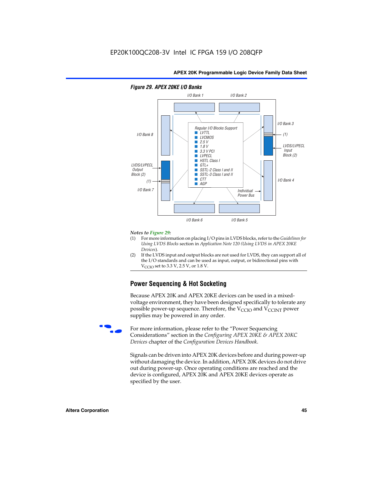

# *Figure 29. APEX 20KE I/O Banks*

#### *Notes to Figure 29:*

- (1) For more information on placing I/O pins in LVDS blocks, refer to the *Guidelines for Using LVDS Blocks* section in *Application Note 120 (Using LVDS in APEX 20KE Devices*).
- (2) If the LVDS input and output blocks are not used for LVDS, they can support all of the I/O standards and can be used as input, output, or bidirectional pins with  $V_{\text{C} \cap \text{O}}$  set to 3.3 V, 2.5 V, or 1.8 V.

# **Power Sequencing & Hot Socketing**

Because APEX 20K and APEX 20KE devices can be used in a mixedvoltage environment, they have been designed specifically to tolerate any possible power-up sequence. Therefore, the  $V_{\text{CCIO}}$  and  $V_{\text{CCINT}}$  power supplies may be powered in any order.

For more information, please refer to the "Power Sequencing Considerations" section in the *Configuring APEX 20KE & APEX 20KC Devices* chapter of the *Configuration Devices Handbook*.

Signals can be driven into APEX 20K devices before and during power-up without damaging the device. In addition, APEX 20K devices do not drive out during power-up. Once operating conditions are reached and the device is configured, APEX 20K and APEX 20KE devices operate as specified by the user.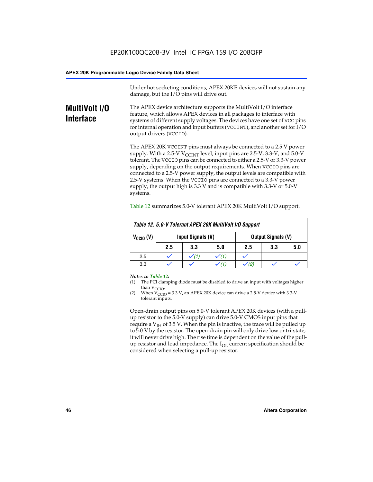Under hot socketing conditions, APEX 20KE devices will not sustain any damage, but the I/O pins will drive out.

# **MultiVolt I/O Interface**

The APEX device architecture supports the MultiVolt I/O interface feature, which allows APEX devices in all packages to interface with systems of different supply voltages. The devices have one set of VCC pins for internal operation and input buffers (VCCINT), and another set for I/O output drivers (VCCIO).

The APEX 20K VCCINT pins must always be connected to a 2.5 V power supply. With a 2.5-V  $V_{\text{CCMT}}$  level, input pins are 2.5-V, 3.3-V, and 5.0-V tolerant. The VCCIO pins can be connected to either a 2.5-V or 3.3-V power supply, depending on the output requirements. When VCCIO pins are connected to a 2.5-V power supply, the output levels are compatible with 2.5-V systems. When the VCCIO pins are connected to a 3.3-V power supply, the output high is 3.3 V and is compatible with 3.3-V or 5.0-V systems.

| Table 12. 5.0-V Tolerant APEX 20K MultiVolt I/O Support |                                                |                  |     |     |     |     |
|---------------------------------------------------------|------------------------------------------------|------------------|-----|-----|-----|-----|
| $V_{\text{CCIO}}(V)$                                    | Input Signals (V)<br><b>Output Signals (V)</b> |                  |     |     |     |     |
|                                                         | 2.5                                            | 3.3              | 5.0 | 2.5 | 3.3 | 5.0 |
| 2.5                                                     |                                                | $\checkmark$ (1) |     |     |     |     |
| 3.3                                                     |                                                |                  |     |     |     |     |

Table 12 summarizes 5.0-V tolerant APEX 20K MultiVolt I/O support.

#### *Notes to Table 12:*

- (1) The PCI clamping diode must be disabled to drive an input with voltages higher than  $V_{CCIO}$ .
- (2) When  $V_{CCIO} = 3.3 V$ , an APEX 20K device can drive a 2.5-V device with 3.3-V tolerant inputs.

Open-drain output pins on 5.0-V tolerant APEX 20K devices (with a pullup resistor to the 5.0-V supply) can drive 5.0-V CMOS input pins that require a  $V_{IH}$  of 3.5 V. When the pin is inactive, the trace will be pulled up to 5.0 V by the resistor. The open-drain pin will only drive low or tri-state; it will never drive high. The rise time is dependent on the value of the pullup resistor and load impedance. The  $I_{OI}$  current specification should be considered when selecting a pull-up resistor.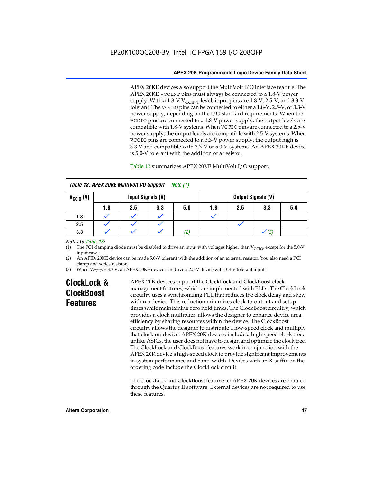APEX 20KE devices also support the MultiVolt I/O interface feature. The APEX 20KE VCCINT pins must always be connected to a 1.8-V power supply. With a 1.8-V  $V_{\text{CCINT}}$  level, input pins are 1.8-V, 2.5-V, and 3.3-V tolerant. The VCCIO pins can be connected to either a 1.8-V, 2.5-V, or 3.3-V power supply, depending on the I/O standard requirements. When the VCCIO pins are connected to a 1.8-V power supply, the output levels are compatible with 1.8-V systems. When VCCIO pins are connected to a 2.5-V power supply, the output levels are compatible with 2.5-V systems. When VCCIO pins are connected to a 3.3-V power supply, the output high is 3.3 V and compatible with 3.3-V or 5.0-V systems. An APEX 20KE device is 5.0-V tolerant with the addition of a resistor.

# Table 13 summarizes APEX 20KE MultiVolt I/O support.

|                      | Table 13. APEX 20KE MultiVolt I/O Support<br>Note (1) |     |                   |     |     |     |                           |     |
|----------------------|-------------------------------------------------------|-----|-------------------|-----|-----|-----|---------------------------|-----|
| $V_{\text{CCIO}}(V)$ |                                                       |     | Input Signals (V) |     |     |     | <b>Output Signals (V)</b> |     |
|                      | 1.8                                                   | 2.5 | 3.3               | 5.0 | 1.8 | 2.5 | 3.3                       | 5.0 |
| 1.8                  |                                                       |     |                   |     |     |     |                           |     |
| 2.5                  |                                                       |     |                   |     |     |     |                           |     |
| 3.3                  |                                                       |     |                   | (2) |     |     | (3)                       |     |

## *Notes to Table 13:*

(1) The PCI clamping diode must be disabled to drive an input with voltages higher than  $V_{CCIO}$ , except for the 5.0-V input case.

(2) An APEX 20KE device can be made 5.0-V tolerant with the addition of an external resistor. You also need a PCI clamp and series resistor.

(3) When  $V_{\text{CCIO}} = 3.3$  V, an APEX 20KE device can drive a 2.5-V device with 3.3-V tolerant inputs.

# **ClockLock & ClockBoost Features**

APEX 20K devices support the ClockLock and ClockBoost clock management features, which are implemented with PLLs. The ClockLock circuitry uses a synchronizing PLL that reduces the clock delay and skew within a device. This reduction minimizes clock-to-output and setup times while maintaining zero hold times. The ClockBoost circuitry, which provides a clock multiplier, allows the designer to enhance device area efficiency by sharing resources within the device. The ClockBoost circuitry allows the designer to distribute a low-speed clock and multiply that clock on-device. APEX 20K devices include a high-speed clock tree; unlike ASICs, the user does not have to design and optimize the clock tree. The ClockLock and ClockBoost features work in conjunction with the APEX 20K device's high-speed clock to provide significant improvements in system performance and band-width. Devices with an X-suffix on the ordering code include the ClockLock circuit.

The ClockLock and ClockBoost features in APEX 20K devices are enabled through the Quartus II software. External devices are not required to use these features.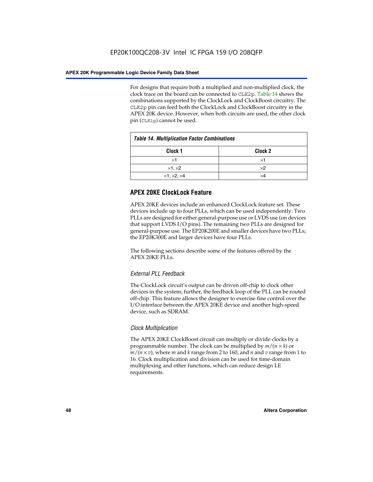For designs that require both a multiplied and non-multiplied clock, the clock trace on the board can be connected to CLK2p. Table 14 shows the combinations supported by the ClockLock and ClockBoost circuitry. The CLK2p pin can feed both the ClockLock and ClockBoost circuitry in the APEX 20K device. However, when both circuits are used, the other clock pin (CLK1p) cannot be used.

| <b>Table 14. Multiplication Factor Combinations</b> |                    |  |
|-----------------------------------------------------|--------------------|--|
| Clock 1                                             | Clock <sub>2</sub> |  |
| ×1                                                  | ×1                 |  |
| $\times$ 1, $\times$ 2                              | $\times 2$         |  |
| $\times$ 1, $\times$ 2, $\times$ 4                  | ×4                 |  |

# **APEX 20KE ClockLock Feature**

APEX 20KE devices include an enhanced ClockLock feature set. These devices include up to four PLLs, which can be used independently. Two PLLs are designed for either general-purpose use or LVDS use (on devices that support LVDS I/O pins). The remaining two PLLs are designed for general-purpose use. The EP20K200E and smaller devices have two PLLs; the EP20K300E and larger devices have four PLLs.

The following sections describe some of the features offered by the APEX 20KE PLLs.

# *External PLL Feedback*

The ClockLock circuit's output can be driven off-chip to clock other devices in the system; further, the feedback loop of the PLL can be routed off-chip. This feature allows the designer to exercise fine control over the I/O interface between the APEX 20KE device and another high-speed device, such as SDRAM.

# *Clock Multiplication*

The APEX 20KE ClockBoost circuit can multiply or divide clocks by a programmable number. The clock can be multiplied by *m*/(*n* × *k*) or  $m/(n \times v)$ , where *m* and *k* range from 2 to 160, and *n* and *v* range from 1 to 16. Clock multiplication and division can be used for time-domain multiplexing and other functions, which can reduce design LE requirements.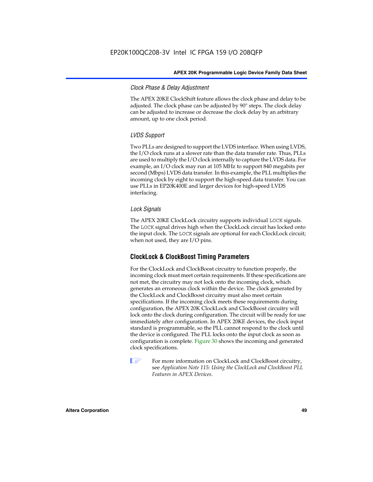# *Clock Phase & Delay Adjustment*

The APEX 20KE ClockShift feature allows the clock phase and delay to be adjusted. The clock phase can be adjusted by 90° steps. The clock delay can be adjusted to increase or decrease the clock delay by an arbitrary amount, up to one clock period.

# *LVDS Support*

Two PLLs are designed to support the LVDS interface. When using LVDS, the I/O clock runs at a slower rate than the data transfer rate. Thus, PLLs are used to multiply the I/O clock internally to capture the LVDS data. For example, an I/O clock may run at 105 MHz to support 840 megabits per second (Mbps) LVDS data transfer. In this example, the PLL multiplies the incoming clock by eight to support the high-speed data transfer. You can use PLLs in EP20K400E and larger devices for high-speed LVDS interfacing.

# *Lock Signals*

The APEX 20KE ClockLock circuitry supports individual LOCK signals. The LOCK signal drives high when the ClockLock circuit has locked onto the input clock. The LOCK signals are optional for each ClockLock circuit; when not used, they are I/O pins.

# **ClockLock & ClockBoost Timing Parameters**

For the ClockLock and ClockBoost circuitry to function properly, the incoming clock must meet certain requirements. If these specifications are not met, the circuitry may not lock onto the incoming clock, which generates an erroneous clock within the device. The clock generated by the ClockLock and ClockBoost circuitry must also meet certain specifications. If the incoming clock meets these requirements during configuration, the APEX 20K ClockLock and ClockBoost circuitry will lock onto the clock during configuration. The circuit will be ready for use immediately after configuration. In APEX 20KE devices, the clock input standard is programmable, so the PLL cannot respond to the clock until the device is configured. The PLL locks onto the input clock as soon as configuration is complete. Figure 30 shows the incoming and generated clock specifications.

 $\mathbb{I} \mathcal{F}$  For more information on ClockLock and ClockBoost circuitry, see *Application Note 115: Using the ClockLock and ClockBoost PLL Features in APEX Devices*.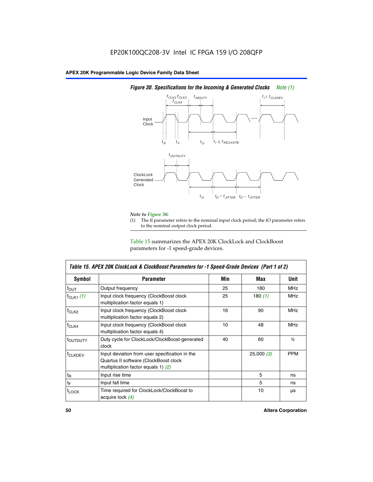

# *Figure 30. Specifications for the Incoming & Generated Clocks Note (1)*

# *Note to Figure 30:*

The tI parameter refers to the nominal input clock period; the tO parameter refers to the nominal output clock period.

Table 15 summarizes the APEX 20K ClockLock and ClockBoost parameters for -1 speed-grade devices.

| Symbol                                                                                                                                                  | <b>Parameter</b>                                                                 | Min | Max       | Unit       |
|---------------------------------------------------------------------------------------------------------------------------------------------------------|----------------------------------------------------------------------------------|-----|-----------|------------|
| $f_{OUT}$                                                                                                                                               | Output frequency                                                                 | 25  | 180       | <b>MHz</b> |
| $f_{CLK1}$ $(1)$                                                                                                                                        | Input clock frequency (ClockBoost clock<br>multiplication factor equals 1)       | 25  | 180 $(1)$ | <b>MHz</b> |
| $f_{CLK2}$                                                                                                                                              | Input clock frequency (ClockBoost clock<br>16<br>multiplication factor equals 2) |     | 90        | <b>MHz</b> |
| $f_{CLK4}$                                                                                                                                              | Input clock frequency (ClockBoost clock<br>multiplication factor equals 4)       | 10  | 48        | <b>MHz</b> |
| toutputy                                                                                                                                                | Duty cycle for ClockLock/ClockBoost-generated<br>clock                           | 40  | 60        | $\%$       |
| Input deviation from user specification in the<br>f <sub>CLKDEV</sub><br>Quartus II software (ClockBoost clock<br>multiplication factor equals 1) $(2)$ |                                                                                  |     | 25,000(3) | <b>PPM</b> |
| $t_{\mathsf{R}}$                                                                                                                                        | Input rise time                                                                  |     | 5         | ns         |
| $t_{\mathsf{F}}$                                                                                                                                        | Input fall time                                                                  |     | 5         | ns         |
| <sup>t</sup> LOCK                                                                                                                                       | Time required for ClockLock/ClockBoost to<br>acquire lock $(4)$                  |     | 10        | μs         |

 $\mathsf I$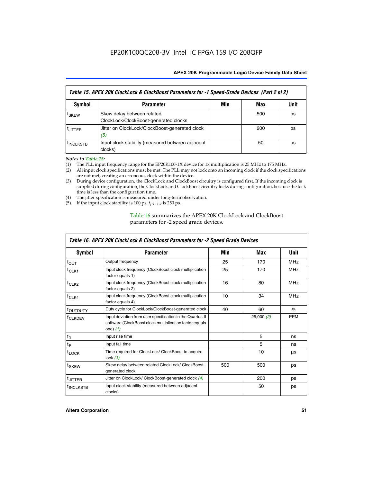| Table 15. APEX 20K ClockLock & ClockBoost Parameters for -1 Speed-Grade Devices (Part 2 of 2) |                                                                     |     |     |      |
|-----------------------------------------------------------------------------------------------|---------------------------------------------------------------------|-----|-----|------|
| <b>Symbol</b>                                                                                 | <b>Parameter</b>                                                    | Min | Max | Unit |
| t <sub>SKEW</sub>                                                                             | Skew delay between related<br>ClockLock/ClockBoost-generated clocks |     | 500 | ps   |
| <b>UITTER</b>                                                                                 | Jitter on ClockLock/ClockBoost-generated clock<br>(5)               |     | 200 | ps   |
| <b>INCLKSTB</b>                                                                               | Input clock stability (measured between adjacent<br>clocks)         |     | 50  | ps   |

*Notes to Table 15:*

- (1) The PLL input frequency range for the EP20K100-1X device for 1x multiplication is 25 MHz to 175 MHz.
- (2) All input clock specifications must be met. The PLL may not lock onto an incoming clock if the clock specifications are not met, creating an erroneous clock within the device.
- (3) During device configuration, the ClockLock and ClockBoost circuitry is configured first. If the incoming clock is supplied during configuration, the ClockLock and ClockBoost circuitry locks during configuration, because the lock time is less than the configuration time.
- (4) The jitter specification is measured under long-term observation.
- (5) If the input clock stability is 100 ps,  $t_{\text{JITTER}}$  is 250 ps.

# Table 16 summarizes the APEX 20K ClockLock and ClockBoost parameters for -2 speed grade devices.

| Symbol                                                                                          | <b>Parameter</b>                                                                                                                   | Min | Max       | Unit       |
|-------------------------------------------------------------------------------------------------|------------------------------------------------------------------------------------------------------------------------------------|-----|-----------|------------|
| $f_{\text{OUT}}$                                                                                | Output frequency                                                                                                                   | 25  | 170       | <b>MHz</b> |
| <sup>T</sup> CLK1                                                                               | Input clock frequency (ClockBoost clock multiplication<br>factor equals 1)                                                         | 25  | 170       | <b>MHz</b> |
| Input clock frequency (ClockBoost clock multiplication<br>f <sub>CLK2</sub><br>factor equals 2) |                                                                                                                                    | 16  | 80        | <b>MHz</b> |
| $f_{CLK4}$<br>Input clock frequency (ClockBoost clock multiplication<br>factor equals 4)        |                                                                                                                                    | 10  | 34        | <b>MHz</b> |
| <sup>τ</sup> ουτρυτγ                                                                            | Duty cycle for ClockLock/ClockBoost-generated clock                                                                                | 40  | 60        | $\%$       |
| <sup>T</sup> CLKDEV                                                                             | Input deviation from user specification in the Quartus II<br>software (ClockBoost clock multiplication factor equals<br>one) $(1)$ |     | 25,000(2) | <b>PPM</b> |
| $t_{\mathsf{R}}$                                                                                | Input rise time                                                                                                                    |     | 5         | ns         |
| $t_F$                                                                                           | Input fall time                                                                                                                    |     | 5         | ns         |
| $t_{\text{LOCK}}$                                                                               | Time required for ClockLock/ ClockBoost to acquire<br>lock $(3)$                                                                   |     | 10        | μs         |
| t <sub>SKEW</sub>                                                                               | Skew delay between related ClockLock/ ClockBoost-<br>generated clock                                                               | 500 | 500       | ps         |
| t <sub>JITTER</sub>                                                                             | Jitter on ClockLock/ ClockBoost-generated clock (4)                                                                                |     | 200       | ps         |
| <sup>I</sup> INCLKSTB                                                                           | Input clock stability (measured between adjacent<br>clocks)                                                                        |     | 50        | ps         |

# *Table 16. APEX 20K ClockLock & ClockBoost Parameters for -2 Speed Grade Devices*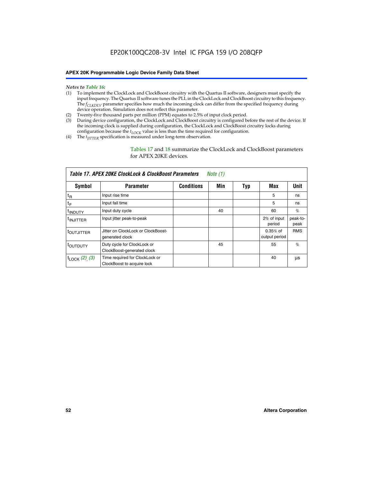#### *Notes to Table 16:*

- (1) To implement the ClockLock and ClockBoost circuitry with the Quartus II software, designers must specify the input frequency. The Quartus II software tunes the PLL in the ClockLock and ClockBoost circuitry to this frequency. The *f<sub>CLKDEV</sub>* parameter specifies how much the incoming clock can differ from the specified frequency during device operation. Simulation does not reflect this parameter.
- (2) Twenty-five thousand parts per million (PPM) equates to 2.5% of input clock period.
- (3) During device configuration, the ClockLock and ClockBoost circuitry is configured before the rest of the device. If the incoming clock is supplied during configuration, the ClockLock and ClockBoost circuitry locks during configuration because the  $t_{LOCK}$  value is less than the time required for configuration.
- (4) The  $t_{\text{ITTTER}}$  specification is measured under long-term observation.

Tables 17 and 18 summarize the ClockLock and ClockBoost parameters for APEX 20KE devices.

|                            | Table 17. APEX 20KE ClockLock & ClockBoost Parameters        |                   | Note (1) |     |                             |                  |
|----------------------------|--------------------------------------------------------------|-------------------|----------|-----|-----------------------------|------------------|
| Symbol                     | <b>Parameter</b>                                             | <b>Conditions</b> | Min      | Typ | Max                         | <b>Unit</b>      |
| $t_{R}$                    | Input rise time                                              |                   |          |     | 5                           | ns               |
| tF                         | Input fall time                                              |                   |          |     | 5                           | ns               |
| <sup>t</sup> INDUTY        | Input duty cycle                                             |                   | 40       |     | 60                          | %                |
| <sup>t</sup> INJITTER      | Input jitter peak-to-peak                                    |                   |          |     | 2% of input<br>period       | peak-to-<br>peak |
| <sup>t</sup> OUTJITTER     | Jitter on ClockLock or ClockBoost-<br>generated clock        |                   |          |     | $0.35%$ of<br>output period | <b>RMS</b>       |
| toutbuty                   | Duty cycle for ClockLock or<br>ClockBoost-generated clock    |                   | 45       |     | 55                          | $\%$             |
| $t_{\text{LOCK}}$ (2), (3) | Time required for ClockLock or<br>ClockBoost to acquire lock |                   |          |     | 40                          | μs               |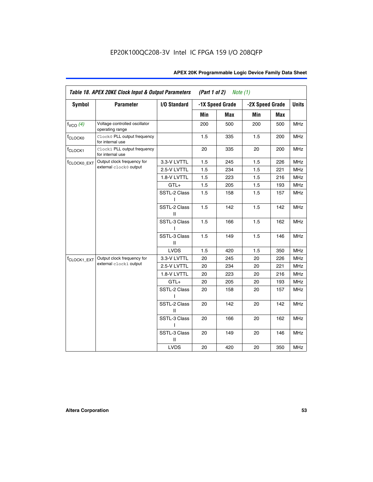| <b>Symbol</b>           | <b>Parameter</b>                                 | I/O Standard      |     | -1X Speed Grade |                 |     | <b>Units</b> |
|-------------------------|--------------------------------------------------|-------------------|-----|-----------------|-----------------|-----|--------------|
|                         |                                                  |                   |     |                 | -2X Speed Grade |     |              |
|                         |                                                  |                   | Min | Max             | Min             | Max |              |
| $f_{VCO}$ $(4)$         | Voltage controlled oscillator<br>operating range |                   | 200 | 500             | 200             | 500 | <b>MHz</b>   |
| f <sub>CLOCK0</sub>     | Clock0 PLL output frequency<br>for internal use  |                   | 1.5 | 335             | 1.5             | 200 | MHz          |
| f <sub>CLOCK1</sub>     | Clock1 PLL output frequency<br>for internal use  |                   | 20  | 335             | 20              | 200 | MHz          |
| f <sub>CLOCK0_EXT</sub> | Output clock frequency for                       | 3.3-V LVTTL       | 1.5 | 245             | 1.5             | 226 | <b>MHz</b>   |
|                         | external clock0 output                           | 2.5-V LVTTL       | 1.5 | 234             | 1.5             | 221 | <b>MHz</b>   |
|                         |                                                  | 1.8-V LVTTL       | 1.5 | 223             | 1.5             | 216 | <b>MHz</b>   |
|                         |                                                  | $GTL+$            | 1.5 | 205             | 1.5             | 193 | <b>MHz</b>   |
|                         |                                                  | SSTL-2 Class<br>L | 1.5 | 158             | 1.5             | 157 | <b>MHz</b>   |
|                         |                                                  | SSTL-2 Class<br>Ш | 1.5 | 142             | 1.5             | 142 | <b>MHz</b>   |
|                         |                                                  | SSTL-3 Class<br>I | 1.5 | 166             | 1.5             | 162 | <b>MHz</b>   |
|                         |                                                  | SSTL-3 Class<br>Ш | 1.5 | 149             | 1.5             | 146 | <b>MHz</b>   |
|                         |                                                  | <b>LVDS</b>       | 1.5 | 420             | 1.5             | 350 | <b>MHz</b>   |
| f <sub>CLOCK1_EXT</sub> | Output clock frequency for                       | 3.3-V LVTTL       | 20  | 245             | 20              | 226 | <b>MHz</b>   |
|                         | external clock1 output                           | 2.5-V LVTTL       | 20  | 234             | 20              | 221 | <b>MHz</b>   |
|                         |                                                  | 1.8-V LVTTL       | 20  | 223             | 20              | 216 | <b>MHz</b>   |
|                         |                                                  | $GTL+$            | 20  | 205             | 20              | 193 | MHz          |
|                         |                                                  | SSTL-2 Class      | 20  | 158             | 20              | 157 | <b>MHz</b>   |
|                         |                                                  | SSTL-2 Class<br>Ш | 20  | 142             | 20              | 142 | <b>MHz</b>   |
|                         |                                                  | SSTL-3 Class      | 20  | 166             | 20              | 162 | <b>MHz</b>   |
|                         |                                                  | SSTL-3 Class<br>Ш | 20  | 149             | 20              | 146 | <b>MHz</b>   |
|                         |                                                  | <b>LVDS</b>       | 20  | 420             | 20              | 350 | MHz          |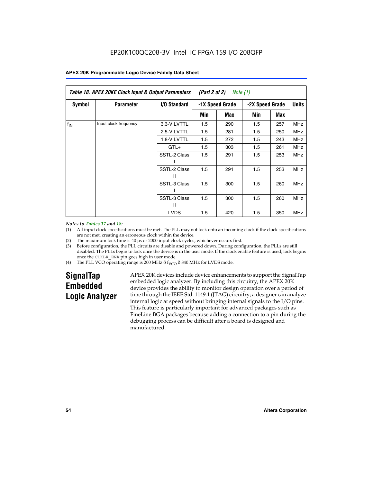| Table 18. APEX 20KE Clock Input & Output Parameters<br>(Part 2 of 2)<br>Note (1) |                       |                     |     |                 |     |                 |            |              |
|----------------------------------------------------------------------------------|-----------------------|---------------------|-----|-----------------|-----|-----------------|------------|--------------|
| <b>Symbol</b>                                                                    | <b>Parameter</b>      | <b>I/O Standard</b> |     | -1X Speed Grade |     | -2X Speed Grade |            | <b>Units</b> |
|                                                                                  |                       |                     | Min | Max             | Min | Max             |            |              |
| $f_{IN}$                                                                         | Input clock frequency | 3.3-V LVTTL         | 1.5 | 290             | 1.5 | 257             | <b>MHz</b> |              |
|                                                                                  |                       | 2.5-V LVTTL         | 1.5 | 281             | 1.5 | 250             | <b>MHz</b> |              |
|                                                                                  |                       | 1.8-V LVTTL         | 1.5 | 272             | 1.5 | 243             | <b>MHz</b> |              |
|                                                                                  |                       | $GTL+$              | 1.5 | 303             | 1.5 | 261             | <b>MHz</b> |              |
|                                                                                  |                       | SSTL-2 Class        | 1.5 | 291             | 1.5 | 253             | <b>MHz</b> |              |
|                                                                                  |                       | SSTL-2 Class<br>Ш   | 1.5 | 291             | 1.5 | 253             | <b>MHz</b> |              |
|                                                                                  |                       | SSTL-3 Class        | 1.5 | 300             | 1.5 | 260             | <b>MHz</b> |              |
|                                                                                  |                       | SSTL-3 Class<br>Ш   | 1.5 | 300             | 1.5 | 260             | <b>MHz</b> |              |
|                                                                                  |                       | <b>LVDS</b>         | 1.5 | 420             | 1.5 | 350             | <b>MHz</b> |              |

#### *Notes to Tables 17 and 18:*

(1) All input clock specifications must be met. The PLL may not lock onto an incoming clock if the clock specifications are not met, creating an erroneous clock within the device.

- (2) The maximum lock time is 40 µs or 2000 input clock cycles, whichever occurs first.
- (3) Before configuration, the PLL circuits are disable and powered down. During configuration, the PLLs are still disabled. The PLLs begin to lock once the device is in the user mode. If the clock enable feature is used, lock begins once the CLKLK\_ENA pin goes high in user mode.
- (4) The PLL VCO operating range is 200 MHz  $\eth$  f<sub>VCO</sub>  $\eth$  840 MHz for LVDS mode.

# **SignalTap Embedded Logic Analyzer**

APEX 20K devices include device enhancements to support the SignalTap embedded logic analyzer. By including this circuitry, the APEX 20K device provides the ability to monitor design operation over a period of time through the IEEE Std. 1149.1 (JTAG) circuitry; a designer can analyze internal logic at speed without bringing internal signals to the I/O pins. This feature is particularly important for advanced packages such as FineLine BGA packages because adding a connection to a pin during the debugging process can be difficult after a board is designed and manufactured.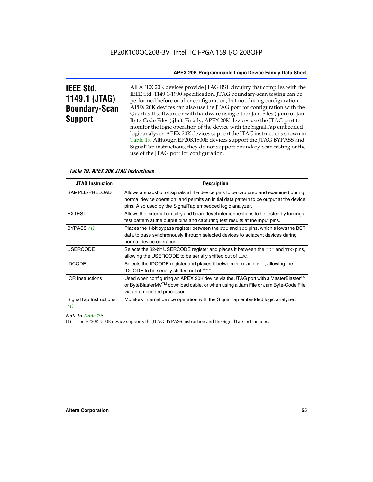# **IEEE Std. 1149.1 (JTAG) Boundary-Scan Support**

Г

All APEX 20K devices provide JTAG BST circuitry that complies with the IEEE Std. 1149.1-1990 specification. JTAG boundary-scan testing can be performed before or after configuration, but not during configuration. APEX 20K devices can also use the JTAG port for configuration with the Quartus II software or with hardware using either Jam Files (**.jam**) or Jam Byte-Code Files (**.jbc**). Finally, APEX 20K devices use the JTAG port to monitor the logic operation of the device with the SignalTap embedded logic analyzer. APEX 20K devices support the JTAG instructions shown in Table 19. Although EP20K1500E devices support the JTAG BYPASS and SignalTap instructions, they do not support boundary-scan testing or the use of the JTAG port for configuration.

| <i><b>Table 19. APEX 20K JTAG Instructions</b></i> |                                                                                                                                                                                                                                            |
|----------------------------------------------------|--------------------------------------------------------------------------------------------------------------------------------------------------------------------------------------------------------------------------------------------|
| <b>JTAG Instruction</b>                            | <b>Description</b>                                                                                                                                                                                                                         |
| SAMPLE/PRELOAD                                     | Allows a snapshot of signals at the device pins to be captured and examined during<br>normal device operation, and permits an initial data pattern to be output at the device<br>pins. Also used by the SignalTap embedded logic analyzer. |
| <b>EXTEST</b>                                      | Allows the external circuitry and board-level interconnections to be tested by forcing a<br>test pattern at the output pins and capturing test results at the input pins.                                                                  |
| BYPASS (1)                                         | Places the 1-bit bypass register between the TDI and TDO pins, which allows the BST<br>data to pass synchronously through selected devices to adjacent devices during<br>normal device operation.                                          |
| <b>USERCODE</b>                                    | Selects the 32-bit USERCODE register and places it between the TDI and TDO pins,<br>allowing the USERCODE to be serially shifted out of TDO.                                                                                               |
| <b>IDCODE</b>                                      | Selects the IDCODE register and places it between TDI and TDO, allowing the<br>IDCODE to be serially shifted out of TDO.                                                                                                                   |
| <b>ICR Instructions</b>                            | Used when configuring an APEX 20K device via the JTAG port with a MasterBlaster™<br>or ByteBlasterMV™ download cable, or when using a Jam File or Jam Byte-Code File<br>via an embedded processor.                                         |
| SignalTap Instructions<br>(1)                      | Monitors internal device operation with the SignalTap embedded logic analyzer.                                                                                                                                                             |

*Note to Table 19:*

(1) The EP20K1500E device supports the JTAG BYPASS instruction and the SignalTap instructions.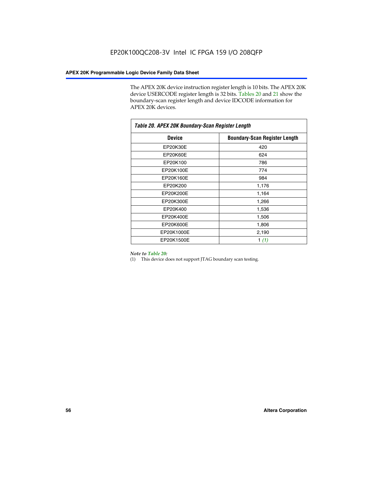The APEX 20K device instruction register length is 10 bits. The APEX 20K device USERCODE register length is 32 bits. Tables 20 and 21 show the boundary-scan register length and device IDCODE information for APEX 20K devices.

| Table 20. APEX 20K Boundary-Scan Register Length |                                      |  |  |  |
|--------------------------------------------------|--------------------------------------|--|--|--|
| <b>Device</b>                                    | <b>Boundary-Scan Register Length</b> |  |  |  |
| EP20K30E                                         | 420                                  |  |  |  |
| <b>EP20K60E</b>                                  | 624                                  |  |  |  |
| EP20K100                                         | 786                                  |  |  |  |
| EP20K100E                                        | 774                                  |  |  |  |
| EP20K160E                                        | 984                                  |  |  |  |
| EP20K200                                         | 1,176                                |  |  |  |
| EP20K200E                                        | 1,164                                |  |  |  |
| EP20K300E                                        | 1,266                                |  |  |  |
| EP20K400                                         | 1,536                                |  |  |  |
| EP20K400E                                        | 1,506                                |  |  |  |
| EP20K600E                                        | 1,806                                |  |  |  |
| EP20K1000E                                       | 2,190                                |  |  |  |
| EP20K1500E                                       | 1 $(1)$                              |  |  |  |

#### *Note to Table 20:*

(1) This device does not support JTAG boundary scan testing.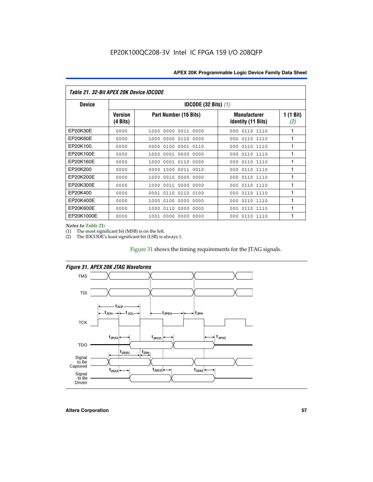| Table 21. 32-Bit APEX 20K Device IDCODE |                                          |                              |                                                  |                  |  |  |
|-----------------------------------------|------------------------------------------|------------------------------|--------------------------------------------------|------------------|--|--|
| <b>Device</b>                           | <b>IDCODE (32 Bits) <math>(1)</math></b> |                              |                                                  |                  |  |  |
|                                         | <b>Version</b><br>(4 Bits)               | Part Number (16 Bits)        | <b>Manufacturer</b><br><b>Identity (11 Bits)</b> | 1 (1 Bit)<br>(2) |  |  |
| EP20K30E                                | 0000                                     | 0000 0011 0000<br>1000       | 0110 1110<br>000                                 | 1                |  |  |
| EP20K60E                                | 0000                                     | 1000<br>0000 0110<br>0000    | 0110 1110<br>000                                 | 1                |  |  |
| EP20K100                                | 0000                                     | 0000<br>0100<br>0001 0110    | 000<br>0110 1110                                 | 1                |  |  |
| EP20K100E                               | 0000                                     | 1000<br>0001 0000<br>0000    | 0110 1110<br>000                                 | 1                |  |  |
| EP20K160E                               | 0000                                     | 0001 0110<br>0000<br>1000    | 000<br>0110 1110                                 | 1                |  |  |
| EP20K200                                | 0000                                     | 1000<br>0011 0010<br>0000    | 0110 1110<br>000                                 | 1                |  |  |
| EP20K200E                               | 0000                                     | 0010<br>0000<br>0000<br>1000 | 0110 1110<br>000                                 | 1                |  |  |
| EP20K300E                               | 0000                                     | 0011 0000<br>0000<br>1000    | 0110 1110<br>000                                 | 1                |  |  |
| EP20K400                                | 0000                                     | 0001<br>0110<br>0110<br>0100 | 0110 1110<br>000                                 | 1                |  |  |
| EP20K400E                               | 0000                                     | 0100<br>0000<br>0000<br>1000 | 0110 1110<br>000                                 | 1                |  |  |
| EP20K600E                               | 0000                                     | 1000<br>0110<br>0000<br>0000 | 0110 1110<br>000                                 | 1                |  |  |
| EP20K1000E                              | 0000                                     | 0000<br>0000<br>0000<br>1001 | 000<br>0110 1110                                 | 1                |  |  |

*Notes to Table 21:*

The most significant bit (MSB) is on the left.

(2) The IDCODE's least significant bit (LSB) is always 1.

# Figure 31 shows the timing requirements for the JTAG signals.



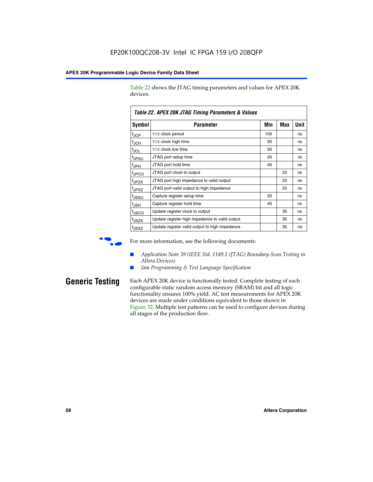Table 22 shows the JTAG timing parameters and values for APEX 20K devices.

| TADIE ZZ. AFEA ZUN JTAU TIIIIIIU FAIAIIIEIEIS & VAIUES |                                                |     |            |      |  |
|--------------------------------------------------------|------------------------------------------------|-----|------------|------|--|
| Symbol                                                 | Parameter                                      | Min | <b>Max</b> | Unit |  |
| $t_{JCP}$                                              | TCK clock period                               | 100 |            | ns   |  |
| $t_{JCH}$                                              | TCK clock high time                            | 50  |            | ns   |  |
| tjcl                                                   | TCK clock low time                             | 50  |            | ns   |  |
| t <sub>JPSU</sub>                                      | JTAG port setup time                           | 20  |            | ns   |  |
| t <sub>JPH</sub>                                       | JTAG port hold time                            | 45  |            | ns   |  |
| <sup>t</sup> JPCO                                      | JTAG port clock to output                      |     | 25         | ns   |  |
| t <sub>JPZX</sub>                                      | JTAG port high impedance to valid output       |     | 25         | ns   |  |
| t <sub>JPXZ</sub>                                      | JTAG port valid output to high impedance       |     | 25         | ns   |  |
| tussu                                                  | Capture register setup time                    | 20  |            | ns   |  |
| $t_{\sf JSH}$                                          | Capture register hold time                     | 45  |            | ns   |  |
| t <sub>JSCO</sub>                                      | Update register clock to output                |     | 35         | ns   |  |
| t <sub>JSZX</sub>                                      | Update register high impedance to valid output |     | 35         | ns   |  |
| t <sub>JSXZ</sub>                                      | Update register valid output to high impedance |     | 35         | ns   |  |

*Table 22. APEX 20K JTAG Timing Parameters & Values*

For more information, see the following documents:

- *Application Note 39 (IEEE Std. 1149.1 (JTAG) Boundary-Scan Testing in Altera Devices)*
- Jam Programming & Test Language Specification

**Generic Testing** Each APEX 20K device is functionally tested. Complete testing of each configurable static random access memory (SRAM) bit and all logic functionality ensures 100% yield. AC test measurements for APEX 20K devices are made under conditions equivalent to those shown in Figure 32. Multiple test patterns can be used to configure devices during all stages of the production flow.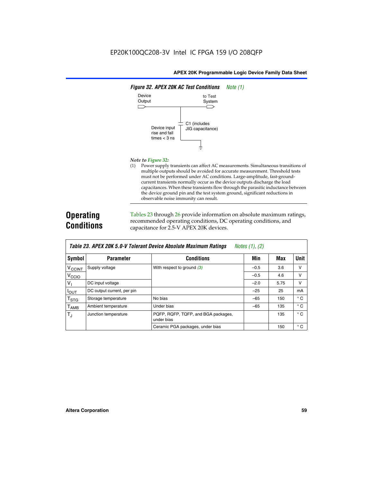

#### *Note to Figure 32:*

(1) Power supply transients can affect AC measurements. Simultaneous transitions of multiple outputs should be avoided for accurate measurement. Threshold tests must not be performed under AC conditions. Large-amplitude, fast-groundcurrent transients normally occur as the device outputs discharge the load capacitances. When these transients flow through the parasitic inductance between the device ground pin and the test system ground, significant reductions in observable noise immunity can result.

# **Operating Conditions**

Tables 23 through 26 provide information on absolute maximum ratings, recommended operating conditions, DC operating conditions, and capacitance for 2.5-V APEX 20K devices.

|                             |                            | TADIG LU. MI LA LUN J.U-V TUIGIAIN DGVILG MUSUNUG MAANNUNI HAUNUS | $100103$ (1), (2) |      |              |
|-----------------------------|----------------------------|-------------------------------------------------------------------|-------------------|------|--------------|
| Symbol                      | <b>Parameter</b>           | <b>Conditions</b>                                                 | Min               | Max  | <b>Unit</b>  |
| <b>V<sub>CCINT</sub></b>    | Supply voltage             | With respect to ground $(3)$                                      | $-0.5$            | 3.6  | v            |
| V <sub>CCIO</sub>           |                            |                                                                   | $-0.5$            | 4.6  | v            |
| $V_{\parallel}$             | DC input voltage           |                                                                   | $-2.0$            | 5.75 | v            |
| $I_{\text{OUT}}$            | DC output current, per pin |                                                                   | $-25$             | 25   | mA           |
| $\mathsf{T}_{\textsf{STG}}$ | Storage temperature        | No bias                                                           | $-65$             | 150  | $^{\circ}$ C |
| $I_{\text{AMB}}$            | Ambient temperature        | Under bias                                                        | $-65$             | 135  | $^{\circ}$ C |
| $T_{\rm J}$                 | Junction temperature       | PQFP, RQFP, TQFP, and BGA packages,<br>under bias                 |                   | 135  | $^{\circ}$ C |
|                             |                            | Ceramic PGA packages, under bias                                  |                   | 150  | $^{\circ}$ C |

| Table 23. APEX 20K 5.0-V Tolerant Device Absolute Maximum Ratings | Notes (1), (2) |
|-------------------------------------------------------------------|----------------|
|-------------------------------------------------------------------|----------------|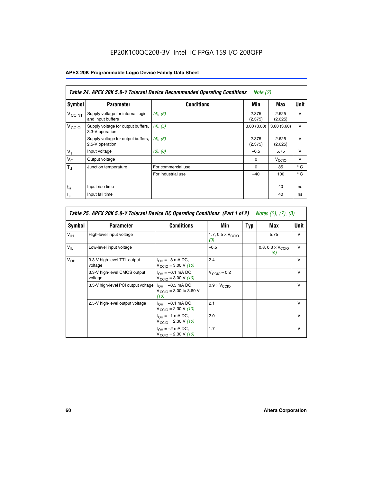# EP20K100QC208-3V Intel IC FPGA 159 I/O 208QFP

# **APEX 20K Programmable Logic Device Family Data Sheet**

|                          | Table 24. APEX 20K 5.0-V Tolerant Device Recommended Operating Conditions<br><i>Note</i> $(2)$ |                    |                  |                  |              |  |
|--------------------------|------------------------------------------------------------------------------------------------|--------------------|------------------|------------------|--------------|--|
| Symbol                   | <b>Parameter</b>                                                                               | <b>Conditions</b>  | Min              | Max              | <b>Unit</b>  |  |
| <b>V<sub>CCINT</sub></b> | Supply voltage for internal logic<br>and input buffers                                         | $(4)$ , $(5)$      | 2.375<br>(2.375) | 2.625<br>(2.625) | $\vee$       |  |
| V <sub>CCIO</sub>        | Supply voltage for output buffers,<br>3.3-V operation                                          | (4), (5)           | 3.00(3.00)       | 3.60(3.60)       | $\vee$       |  |
|                          | Supply voltage for output buffers,<br>2.5-V operation                                          | (4), (5)           | 2.375<br>(2.375) | 2.625<br>(2.625) | $\vee$       |  |
| $V_1$                    | Input voltage                                                                                  | (3), (6)           | $-0.5$           | 5.75             | $\vee$       |  |
| $V_{\rm O}$              | Output voltage                                                                                 |                    | $\Omega$         | V <sub>CCO</sub> | $\vee$       |  |
| $T_{\rm J}$              | Junction temperature                                                                           | For commercial use | 0                | 85               | $^{\circ}$ C |  |
|                          |                                                                                                | For industrial use | $-40$            | 100              | $^{\circ}$ C |  |
| $t_{R}$                  | Input rise time                                                                                |                    |                  | 40               | ns           |  |
| $t_{\mathsf{F}}$         | Input fall time                                                                                |                    |                  | 40               | ns           |  |

| Table 25. APEX 20K 5.0-V Tolerant Device DC Operating Conditions (Part 1 of 2) Notes (2), (7), (8) |                                         |                                                                        |                                          |     |                                          |              |  |
|----------------------------------------------------------------------------------------------------|-----------------------------------------|------------------------------------------------------------------------|------------------------------------------|-----|------------------------------------------|--------------|--|
| Symbol                                                                                             | <b>Parameter</b>                        | <b>Conditions</b>                                                      | Min                                      | Typ | Max                                      | Unit         |  |
| $V_{\text{IH}}$                                                                                    | High-level input voltage                |                                                                        | 1.7, $0.5 \times V_{\text{CCIO}}$<br>(9) |     | 5.75                                     | $\mathsf{V}$ |  |
| $V_{\parallel}$                                                                                    | Low-level input voltage                 |                                                                        | $-0.5$                                   |     | 0.8, $0.3 \times V_{\text{CCIO}}$<br>(9) | $\mathsf{V}$ |  |
| $V_{OH}$                                                                                           | 3.3-V high-level TTL output<br>voltage  | $I_{OH} = -8$ mA DC,<br>$V_{\text{CCIO}} = 3.00 V (10)$                | 2.4                                      |     |                                          | $\mathsf{V}$ |  |
|                                                                                                    | 3.3-V high-level CMOS output<br>voltage | $I_{OH} = -0.1$ mA DC,<br>$V_{\text{CCIO}} = 3.00 \text{ V} (10)$      | $V_{\text{CCIO}} - 0.2$                  |     |                                          | $\mathsf{v}$ |  |
|                                                                                                    | 3.3-V high-level PCI output voltage     | $I_{OH} = -0.5$ mA DC,<br>$V_{\text{GClO}} = 3.00$ to 3.60 V<br>(10)   | $0.9 \times V_{\text{CCIO}}$             |     |                                          | $\mathsf{V}$ |  |
|                                                                                                    | 2.5-V high-level output voltage         | $I_{OH} = -0.1$ mA DC,<br>$V_{\text{CCIO}} = 2.30 \text{ V} (10)$      | 2.1                                      |     |                                          | $\mathsf{V}$ |  |
|                                                                                                    |                                         | $I_{\text{OH}} = -1 \text{ mA DC},$<br>$V_{\text{CCIO}} = 2.30 V (10)$ | 2.0                                      |     |                                          | v            |  |
|                                                                                                    |                                         | $I_{OH} = -2$ mA DC,<br>$V_{\text{CCIO}} = 2.30 V (10)$                | 1.7                                      |     |                                          | v            |  |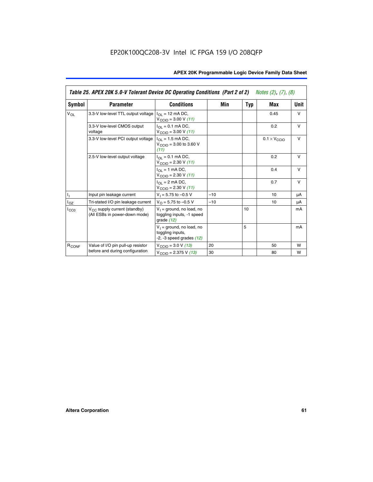|                   | Table 25. APEX 20K 5.0-V Tolerant Device DC Operating Conditions (Part 2 of 2) Notes (2), (7), (8) |                                                                                    |       |     |                              |        |  |
|-------------------|----------------------------------------------------------------------------------------------------|------------------------------------------------------------------------------------|-------|-----|------------------------------|--------|--|
| Symbol            | <b>Parameter</b>                                                                                   | <b>Conditions</b>                                                                  | Min   | Typ | Max                          | Unit   |  |
| $V_{OL}$          | 3.3-V low-level TTL output voltage                                                                 | $I_{\Omega}$ = 12 mA DC,<br>$V_{\text{CCIO}} = 3.00 V (11)$                        |       |     | 0.45                         | $\vee$ |  |
|                   | 3.3-V low-level CMOS output<br>voltage                                                             | $I_{\Omega I} = 0.1$ mA DC,<br>$V_{\text{CCIO}} = 3.00 V (11)$                     |       |     | 0.2                          | $\vee$ |  |
|                   | 3.3-V low-level PCI output voltage                                                                 | $I_{\Omega}$ = 1.5 mA DC,<br>$V_{CClO}$ = 3.00 to 3.60 V<br>(11)                   |       |     | $0.1 \times V_{\text{CCLO}}$ | $\vee$ |  |
|                   | 2.5-V low-level output voltage                                                                     | $I_{\Omega I} = 0.1$ mA DC,<br>$V_{\text{CCIO}} = 2.30 V (11)$                     |       |     | 0.2                          | $\vee$ |  |
|                   |                                                                                                    | $I_{\Omega}$ = 1 mA DC,<br>$V_{\text{CCIO}} = 2.30 V (11)$                         |       |     | 0.4                          | $\vee$ |  |
|                   |                                                                                                    | $I_{\Omega}$ = 2 mA DC,<br>$V_{\text{CCIO}} = 2.30 V (11)$                         |       |     | 0.7                          | $\vee$ |  |
| Τ,                | Input pin leakage current                                                                          | $V_1 = 5.75$ to $-0.5$ V                                                           | $-10$ |     | 10                           | μA     |  |
| $I_{OZ}$          | Tri-stated I/O pin leakage current                                                                 | $V_{\Omega}$ = 5.75 to -0.5 V                                                      | $-10$ |     | 10                           | μA     |  |
| $I_{CC0}$         | $V_{CC}$ supply current (standby)<br>(All ESBs in power-down mode)                                 | $V_1$ = ground, no load, no<br>toggling inputs, -1 speed<br>grade $(12)$           |       | 10  |                              | mA     |  |
|                   |                                                                                                    | $V_1$ = ground, no load, no<br>toggling inputs,<br>$-2$ , $-3$ speed grades $(12)$ |       | 5   |                              | mA     |  |
| R <sub>CONF</sub> | Value of I/O pin pull-up resistor                                                                  | $V_{\text{CCIO}} = 3.0 V (13)$                                                     | 20    |     | 50                           | W      |  |
|                   | before and during configuration                                                                    | $V_{\text{CCIO}} = 2.375 \text{ V} (13)$                                           | 30    |     | 80                           | W      |  |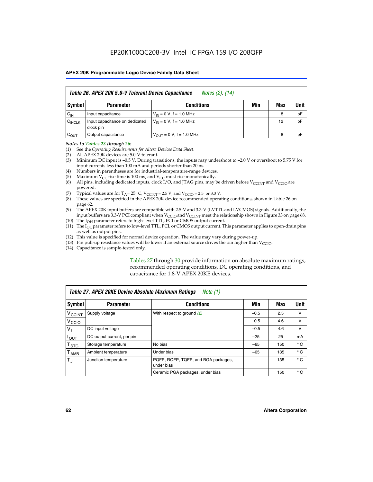|                    | Table 26. APEX 20K 5.0-V Tolerant Device Capacitance<br>Notes (2), (14) |                                     |     |     |      |  |
|--------------------|-------------------------------------------------------------------------|-------------------------------------|-----|-----|------|--|
| Symbol             | <b>Parameter</b>                                                        | <b>Conditions</b>                   | Min | Max | Unit |  |
| $C_{IN}$           | Input capacitance                                                       | $V_{1N} = 0 V$ , f = 1.0 MHz        |     | 8   | pF   |  |
| $C_{\text{INCLK}}$ | Input capacitance on dedicated<br>clock pin                             | $V_{IN} = 0 V$ , f = 1.0 MHz        |     | 12  | pF   |  |
| $C_{OUT}$          | Output capacitance                                                      | $V_{\text{OUT}} = 0 V, f = 1.0 MHz$ |     | 8   | pF   |  |

#### *Notes to Tables 23 through 26:*

- (1) See the *Operating Requirements for Altera Devices Data Sheet*.
- (2) All APEX 20K devices are 5.0-V tolerant.
- (3) Minimum DC input is –0.5 V. During transitions, the inputs may undershoot to –2.0 V or overshoot to 5.75 V for input currents less than 100 mA and periods shorter than 20 ns.
- (4) Numbers in parentheses are for industrial-temperature-range devices.
- (5) Maximum  $V_{CC}$  rise time is 100 ms, and  $V_{CC}$  must rise monotonically.<br>(6) All pins, including dedicated inputs, clock I/O, and JTAG pins, may b
- All pins, including dedicated inputs, clock I/O, and JTAG pins, may be driven before  $V_{\text{CCINT}}$  and  $V_{\text{CCIO}}$  are powered.
- (7) Typical values are for  $T_A = 25^\circ$  C, V<sub>CCINT</sub> = 2.5 V, and V<sub>CCIO</sub> = 2.5 or 3.3 V.<br>(8) These values are specified in the APEX 20K device recommended operat
- These values are specified in the APEX 20K device recommended operating conditions, shown in Table 26 on page 62.
- (9) The APEX 20K input buffers are compatible with 2.5-V and 3.3-V (LVTTL and LVCMOS) signals. Additionally, the input buffers are 3.3-V PCI compliant when  $V_{\text{CCIO}}$  and  $V_{\text{CCINI}}$  meet the relationship shown in Figure 33 on page 68.
- (10) The  $I<sub>OH</sub>$  parameter refers to high-level TTL, PCI or CMOS output current.
- (11) The I<sub>OL</sub> parameter refers to low-level TTL, PCI, or CMOS output current. This parameter applies to open-drain pins as well as output pins.
- (12) This value is specified for normal device operation. The value may vary during power-up.
- (13) Pin pull-up resistance values will be lower if an external source drives the pin higher than  $V_{\text{CCIO}}$ .
- (14) Capacitance is sample-tested only.

Tables 27 through 30 provide information on absolute maximum ratings, recommended operating conditions, DC operating conditions, and capacitance for 1.8-V APEX 20KE devices.

| Table 27. APEX 20KE Device Absolute Maximum Ratings<br>Note (1) |                            |                                                   |        |     |              |  |
|-----------------------------------------------------------------|----------------------------|---------------------------------------------------|--------|-----|--------------|--|
| Symbol                                                          | <b>Parameter</b>           | <b>Conditions</b>                                 | Min    | Max | Unit         |  |
| $V_{\text{CCINT}}$                                              | Supply voltage             | With respect to ground (2)                        | $-0.5$ | 2.5 | v            |  |
| V <sub>CCIO</sub>                                               |                            |                                                   | $-0.5$ | 4.6 | v            |  |
| $V_{1}$                                                         | DC input voltage           |                                                   | $-0.5$ | 4.6 | $\vee$       |  |
| $I_{OUT}$                                                       | DC output current, per pin |                                                   | $-25$  | 25  | mA           |  |
| $\mathsf{T}_{\texttt{STG}}$                                     | Storage temperature        | No bias                                           | $-65$  | 150 | $^{\circ}$ C |  |
| Т <sub>АМВ</sub>                                                | Ambient temperature        | Under bias                                        | $-65$  | 135 | $^{\circ}$ C |  |
| $\mathsf{T}_{\text{d}}$                                         | Junction temperature       | PQFP, RQFP, TQFP, and BGA packages,<br>under bias |        | 135 | $^{\circ}$ C |  |
|                                                                 |                            | Ceramic PGA packages, under bias                  |        | 150 | $^{\circ}$ C |  |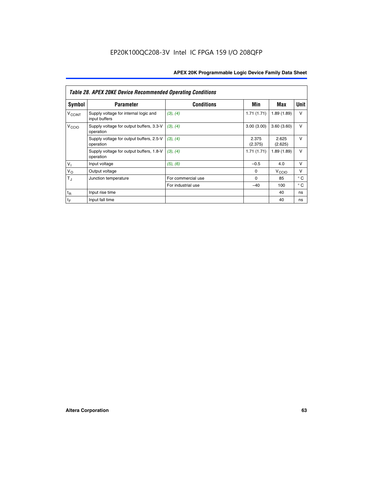|                             | <b>Table 28. APEX 20KE Device Recommended Operating Conditions</b> |                    |                  |                   |              |  |  |
|-----------------------------|--------------------------------------------------------------------|--------------------|------------------|-------------------|--------------|--|--|
| <b>Symbol</b>               | <b>Parameter</b>                                                   | <b>Conditions</b>  | Min              | Max               | <b>Unit</b>  |  |  |
| <b>V<sub>CCINT</sub></b>    | Supply voltage for internal logic and<br>input buffers             | (3), (4)           | 1.71(1.71)       | 1.89(1.89)        | $\vee$       |  |  |
| V <sub>CCIO</sub>           | Supply voltage for output buffers, 3.3-V<br>operation              | (3), (4)           | 3.00(3.00)       | 3.60(3.60)        | $\vee$       |  |  |
|                             | Supply voltage for output buffers, 2.5-V<br>operation              | (3), (4)           | 2.375<br>(2.375) | 2.625<br>(2.625)  | $\vee$       |  |  |
|                             | Supply voltage for output buffers, 1.8-V<br>operation              | (3), (4)           | 1.71(1.71)       | 1.89(1.89)        | $\vee$       |  |  |
| $V_1$                       | Input voltage                                                      | (5), (6)           | $-0.5$           | 4.0               | $\vee$       |  |  |
| $V_{\rm O}$                 | Output voltage                                                     |                    | $\Omega$         | V <sub>CCIO</sub> | v            |  |  |
| $T_{\rm J}$                 | Junction temperature                                               | For commercial use | $\Omega$         | 85                | $^{\circ}$ C |  |  |
|                             |                                                                    | For industrial use | $-40$            | 100               | $^{\circ}$ C |  |  |
| $t_{R}$                     | Input rise time                                                    |                    |                  | 40                | ns           |  |  |
| $\mathfrak{t}_{\mathsf{F}}$ | Input fall time                                                    |                    |                  | 40                | ns           |  |  |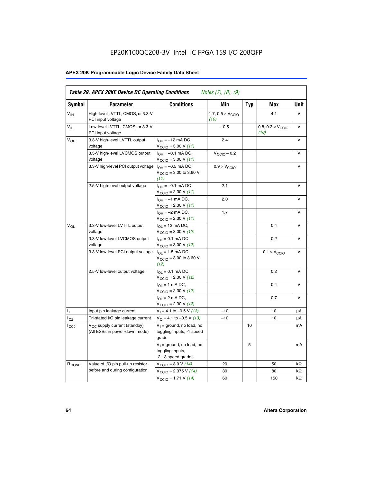# EP20K100QC208-3V Intel IC FPGA 159 I/O 208QFP

# **APEX 20K Programmable Logic Device Family Data Sheet**

| Symbol            | <b>Parameter</b>                                                          | <b>Conditions</b>                                                       | Min                                       | <b>Typ</b> | Max                                       | Unit      |
|-------------------|---------------------------------------------------------------------------|-------------------------------------------------------------------------|-------------------------------------------|------------|-------------------------------------------|-----------|
| $V_{\text{IH}}$   | High-level LVTTL, CMOS, or 3.3-V<br>PCI input voltage                     |                                                                         | 1.7, $0.5 \times V_{\text{CCIO}}$<br>(10) |            | 4.1                                       | V         |
| $V_{IL}$          | Low-level LVTTL, CMOS, or 3.3-V<br>PCI input voltage                      |                                                                         | $-0.5$                                    |            | 0.8, $0.3 \times V_{\text{CCIO}}$<br>(10) | $\vee$    |
| V <sub>OH</sub>   | 3.3-V high-level LVTTL output<br>voltage                                  | $I_{OH} = -12$ mA DC,<br>$V_{\text{CCIO}} = 3.00 V (11)$                | 2.4                                       |            |                                           | v         |
|                   | 3.3-V high-level LVCMOS output<br>voltage                                 | $I_{OH} = -0.1$ mA DC,<br>$V_{\text{CCIO}} = 3.00 V (11)$               | $V_{\text{CGIO}} - 0.2$                   |            |                                           | V         |
|                   | 3.3-V high-level PCI output voltage $ I_{OH} = -0.5$ mA DC,               | $V_{\text{CCIO}} = 3.00$ to 3.60 V<br>(11)                              | $0.9 \times V_{\text{CCIO}}$              |            |                                           | V         |
|                   | 2.5-V high-level output voltage                                           | $I_{OH} = -0.1$ mA DC,<br>$V_{\text{CCIO}} = 2.30 V (11)$               | 2.1                                       |            |                                           | v         |
|                   |                                                                           | $I_{OH} = -1$ mA DC,<br>$V_{\text{CCIO}} = 2.30 V (11)$                 | 2.0                                       |            |                                           | v         |
|                   |                                                                           | $I_{OH} = -2$ mA DC,<br>$V_{\text{CCIO}} = 2.30 V (11)$                 | 1.7                                       |            |                                           | V         |
| $V_{\Omega L}$    | 3.3-V low-level LVTTL output<br>voltage                                   | $I_{OL}$ = 12 mA DC,<br>$V_{\text{CCIO}} = 3.00 \text{ V} (12)$         |                                           |            | 0.4                                       | v         |
|                   | 3.3-V low-level LVCMOS output<br>voltage                                  | $I_{\Omega} = 0.1$ mA DC,<br>$V_{\text{CCIO}} = 3.00 \text{ V} (12)$    |                                           |            | 0.2                                       | v         |
|                   | 3.3-V low-level PCI output voltage                                        | $I_{\Omega}$ = 1.5 mA DC,<br>$V_{\text{CGIO}} = 3.00$ to 3.60 V<br>(12) |                                           |            | $0.1 \times V_{\text{CCIO}}$              | v         |
|                   | 2.5-V low-level output voltage                                            | $I_{OL} = 0.1$ mA DC,<br>$V_{\text{CCIO}} = 2.30 V (12)$                |                                           |            | 0.2                                       | v         |
|                   |                                                                           | $I_{\Omega}$ = 1 mA DC,<br>$V_{\text{CCIO}} = 2.30 V (12)$              |                                           |            | 0.4                                       | $\vee$    |
|                   |                                                                           | $I_{OL}$ = 2 mA DC,<br>$V_{\text{CCIO}} = 2.30 V (12)$                  |                                           |            | 0.7                                       | v         |
| Τ,                | Input pin leakage current                                                 | $V_1 = 4.1$ to -0.5 V (13)                                              | $-10$                                     |            | 10                                        | μA        |
| l <sub>OZ</sub>   | Tri-stated I/O pin leakage current                                        | $V_{\Omega}$ = 4.1 to -0.5 V (13)                                       | $-10$                                     |            | 10                                        | μA        |
| $_{\rm l_{CC0}}$  | V <sub>CC</sub> supply current (standby)<br>(All ESBs in power-down mode) | $V_1$ = ground, no load, no<br>toggling inputs, -1 speed<br>grade       |                                           | 10         |                                           | mA        |
|                   |                                                                           | $V_1$ = ground, no load, no<br>toggling inputs,<br>-2, -3 speed grades  |                                           | 5          |                                           | mA        |
| R <sub>CONF</sub> | Value of I/O pin pull-up resistor                                         | $V_{\text{CCIO}} = 3.0 V (14)$                                          | 20                                        |            | 50                                        | $k\Omega$ |
|                   | before and during configuration                                           | $V_{\text{CCIO}} = 2.375 V (14)$                                        | 30                                        |            | 80                                        | kΩ        |
|                   |                                                                           | $V_{\text{CCIO}} = 1.71 V (14)$                                         | 60                                        |            | 150                                       | kΩ        |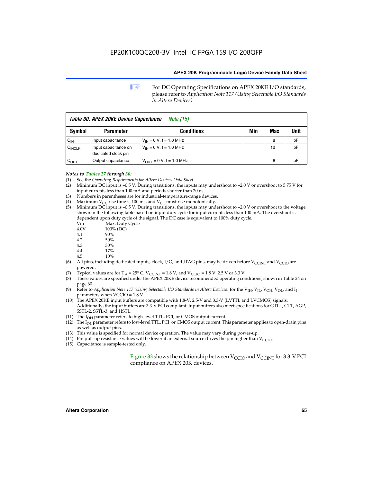**1 For DC Operating Specifications on APEX 20KE I/O standards,** please refer to *Application Note 117 (Using Selectable I/O Standards in Altera Devices).*

| Table 30. APEX 20KE Device Capacitance<br><i>Note</i> (15) |                                             |                                |     |     |      |  |
|------------------------------------------------------------|---------------------------------------------|--------------------------------|-----|-----|------|--|
| <b>Symbol</b>                                              | <b>Parameter</b>                            | <b>Conditions</b>              | Min | Max | Unit |  |
| $C_{\text{IN}}$                                            | Input capacitance                           | $V_{IN} = 0 V$ , f = 1.0 MHz   |     | 8   | рF   |  |
| $C_{\text{INCLK}}$                                         | Input capacitance on<br>dedicated clock pin | $V_{IN} = 0 V$ , f = 1.0 MHz   |     | 12  | pF   |  |
| $C_{OUT}$                                                  | Output capacitance                          | $V_{OUIT} = 0 V$ , f = 1.0 MHz |     | 8   | рF   |  |

- *Notes to Tables 27 through 30:* (1) See the *Operating Requirements for Altera Devices Data Sheet*.
- (2) Minimum DC input is –0.5 V. During transitions, the inputs may undershoot to –2.0 V or overshoot to 5.75 V for input currents less than 100 mA and periods shorter than 20 ns.
- (3) Numbers in parentheses are for industrial-temperature-range devices.
- (4) Maximum  $V_{CC}$  rise time is 100 ms, and  $V_{CC}$  must rise monotonically.<br>(5) Minimum DC input is -0.5 V. During transitions, the inputs may und
- Minimum DC input is  $-0.5$  V. During transitions, the inputs may undershoot to  $-2.0$  V or overshoot to the voltage shown in the following table based on input duty cycle for input currents less than 100 mA. The overshoot is dependent upon duty cycle of the signal. The DC case is equivalent to 100% duty cycle.

| Vin  | Max. Duty Cycle |
|------|-----------------|
| 4.0V | 100% (DC)       |
| 4.1  | 90%             |
| 4.2  | 50%             |
| 4.3  | 30%             |
| . .  |                 |

- 4.4 17%
- 4.5 10%
- (6) All pins, including dedicated inputs, clock, I/O, and JTAG pins, may be driven before  $V_{\text{CCINT}}$  and  $V_{\text{CCIO}}$  are powered.
- (7) Typical values are for  $T_A = 25^\circ$  C, V<sub>CCINT</sub> = 1.8 V, and V<sub>CCIO</sub> = 1.8 V, 2.5 V or 3.3 V.
- (8) These values are specified under the APEX 20KE device recommended operating conditions, shown in Table 24 on page 60.
- (9) Refer to *Application Note 117 (Using Selectable I/O Standards in Altera Devices)* for the V<sub>IH</sub>, V<sub>IL</sub>, V<sub>OH</sub>, V<sub>OL</sub>, and I<sub>I</sub> parameters when VCCIO = 1.8 V.
- (10) The APEX 20KE input buffers are compatible with 1.8-V, 2.5-V and 3.3-V (LVTTL and LVCMOS) signals. Additionally, the input buffers are 3.3-V PCI compliant. Input buffers also meet specifications for GTL+, CTT, AGP, SSTL-2, SSTL-3, and HSTL.
- (11) The  $I_{OH}$  parameter refers to high-level TTL, PCI, or CMOS output current.
- (12) The I<sub>OL</sub> parameter refers to low-level TTL, PCI, or CMOS output current. This parameter applies to open-drain pins as well as output pins.
- (13) This value is specified for normal device operation. The value may vary during power-up.
- (14) Pin pull-up resistance values will be lower if an external source drives the pin higher than  $V_{CCIO}$ .
- (15) Capacitance is sample-tested only.

Figure 33 shows the relationship between  $V_{\text{CCIO}}$  and  $V_{\text{CCINT}}$  for 3.3-V PCI compliance on APEX 20K devices.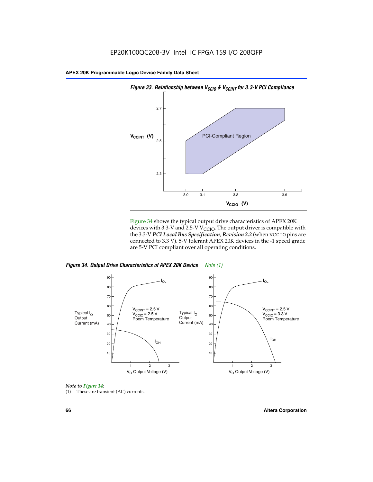

Figure 34 shows the typical output drive characteristics of APEX 20K devices with 3.3-V and 2.5-V V<sub>CCIO</sub>. The output driver is compatible with the 3.3-V *PCI Local Bus Specification, Revision 2.2* (when VCCIO pins are connected to 3.3 V). 5-V tolerant APEX 20K devices in the -1 speed grade are 5-V PCI compliant over all operating conditions.







**66 Altera Corporation**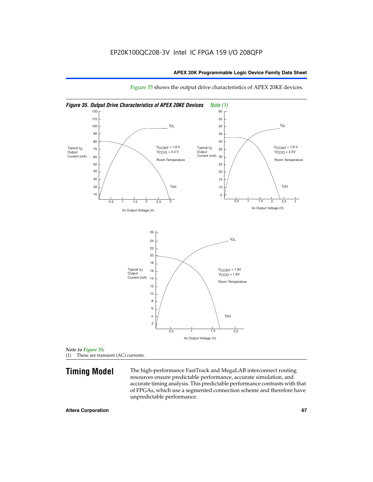

Figure 35 shows the output drive characteristics of APEX 20KE devices.

*Note to Figure 35:* (1) These are transient (AC) currents.

**Timing Model** The high-performance FastTrack and MegaLAB interconnect routing resources ensure predictable performance, accurate simulation, and accurate timing analysis. This predictable performance contrasts with that of FPGAs, which use a segmented connection scheme and therefore have unpredictable performance.

#### **Altera Corporation 67** 67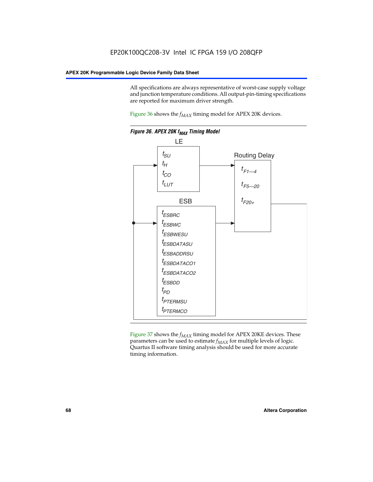All specifications are always representative of worst-case supply voltage and junction temperature conditions. All output-pin-timing specifications are reported for maximum driver strength.

Figure  $36$  shows the  $f_{MAX}$  timing model for APEX 20K devices.



Figure 37 shows the  $f_{MAX}$  timing model for APEX 20KE devices. These parameters can be used to estimate  $f_{MAX}$  for multiple levels of logic. Quartus II software timing analysis should be used for more accurate timing information.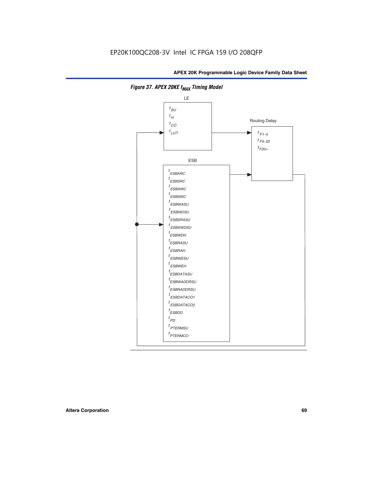

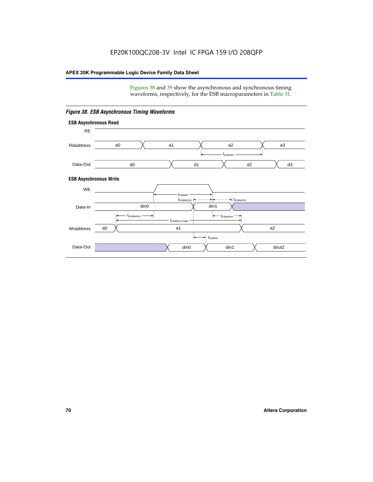Figures 38 and 39 show the asynchronous and synchronous timing waveforms, respectively, for the ESB macroparameters in Table 31.



*Figure 38. ESB Asynchronous Timing Waveforms*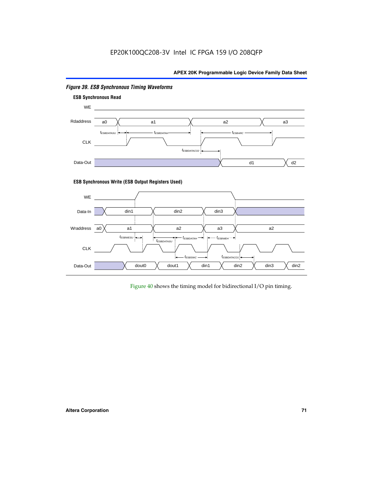

# *Figure 39. ESB Synchronous Timing Waveforms*

# **ESB Synchronous Write (ESB Output Registers Used)**



Figure 40 shows the timing model for bidirectional I/O pin timing.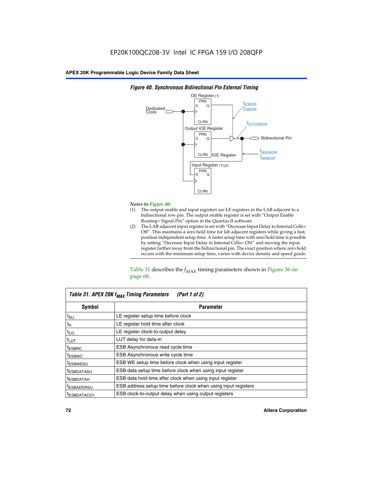

### *Figure 40. Synchronous Bidirectional Pin External Timing*

# *Notes to Figure 40:*

- The output enable and input registers are LE registers in the LAB adjacent to a bidirectional row pin. The output enable register is set with "Output Enable Routing= Signal-Pin" option in the Quartus II software.
- (2) The LAB adjacent input register is set with "Decrease Input Delay to Internal Cells= Off". This maintains a zero hold time for lab adjacent registers while giving a fast, position independent setup time. A faster setup time with zero hold time is possible by setting "Decrease Input Delay to Internal Cells= ON" and moving the input register farther away from the bidirectional pin. The exact position where zero hold occurs with the minimum setup time, varies with device density and speed grade.

Table 31 describes the  $f_{MAX}$  timing parameters shown in Figure 36 on page 68.

| Table 31. APEX 20K f <sub>MAX</sub> Timing Parameters<br>(Part 1 of 2) |                                                                |  |  |  |  |
|------------------------------------------------------------------------|----------------------------------------------------------------|--|--|--|--|
| Symbol                                                                 | <b>Parameter</b>                                               |  |  |  |  |
| $t_{\text{SU}}$                                                        | LE register setup time before clock                            |  |  |  |  |
| $t_H$                                                                  | LE register hold time after clock                              |  |  |  |  |
| $t_{CO}$                                                               | LE register clock-to-output delay                              |  |  |  |  |
| t <sub>LUT</sub>                                                       | LUT delay for data-in                                          |  |  |  |  |
| <sup>t</sup> ESBRC                                                     | ESB Asynchronous read cycle time                               |  |  |  |  |
| <sup>t</sup> ESBWC                                                     | ESB Asynchronous write cycle time                              |  |  |  |  |
| <sup>t</sup> ESBWESU                                                   | ESB WE setup time before clock when using input register       |  |  |  |  |
| <sup>t</sup> ESBDATASU                                                 | ESB data setup time before clock when using input register     |  |  |  |  |
| <sup>t</sup> ESBDATAH                                                  | ESB data hold time after clock when using input register       |  |  |  |  |
| <sup>t</sup> ESBADDRSU                                                 | ESB address setup time before clock when using input registers |  |  |  |  |
| ESBDATACO1                                                             | ESB clock-to-output delay when using output registers          |  |  |  |  |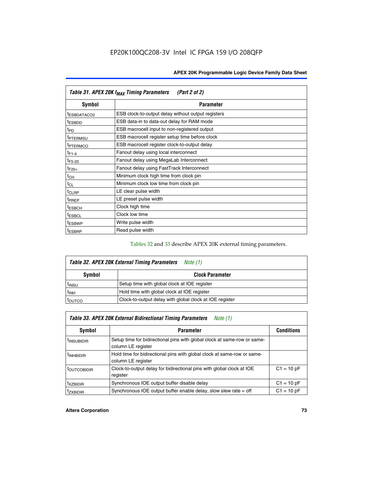| Table 31. APEX 20K f <sub>MAX</sub> Timing Parameters<br>(Part 2 of 2) |                                                    |  |  |  |  |
|------------------------------------------------------------------------|----------------------------------------------------|--|--|--|--|
| Symbol                                                                 | <b>Parameter</b>                                   |  |  |  |  |
| t <sub>ESBDATACO2</sub>                                                | ESB clock-to-output delay without output registers |  |  |  |  |
| <sup>t</sup> ESBDD                                                     | ESB data-in to data-out delay for RAM mode         |  |  |  |  |
| t <sub>PD</sub>                                                        | ESB macrocell input to non-registered output       |  |  |  |  |
| <sup>t</sup> PTERMSU                                                   | ESB macrocell register setup time before clock     |  |  |  |  |
| <sup>t</sup> PTERMCO                                                   | ESB macrocell register clock-to-output delay       |  |  |  |  |
| $t_{F1-4}$                                                             | Fanout delay using local interconnect              |  |  |  |  |
| $t_{F5-20}$                                                            | Fanout delay using MegaLab Interconnect            |  |  |  |  |
| $t_{F20+}$                                                             | Fanout delay using FastTrack Interconnect          |  |  |  |  |
| $t_{CH}$                                                               | Minimum clock high time from clock pin             |  |  |  |  |
| $t_{CL}$                                                               | Minimum clock low time from clock pin              |  |  |  |  |
| t <sub>CLRP</sub>                                                      | LE clear pulse width                               |  |  |  |  |
| t <sub>PREP</sub>                                                      | LE preset pulse width                              |  |  |  |  |
| <sup>t</sup> ESBCH                                                     | Clock high time                                    |  |  |  |  |
| <sup>t</sup> ESBCL                                                     | Clock low time                                     |  |  |  |  |
| <sup>t</sup> ESBWP                                                     | Write pulse width                                  |  |  |  |  |
| <sup>t</sup> ESBRP                                                     | Read pulse width                                   |  |  |  |  |

## Tables 32 and 33 describe APEX 20K external timing parameters.

| Table 32. APEX 20K External Timing Parameters<br>Note (1) |                                                         |  |  |  |  |
|-----------------------------------------------------------|---------------------------------------------------------|--|--|--|--|
| <b>Symbol</b>                                             | <b>Clock Parameter</b>                                  |  |  |  |  |
| <sup>t</sup> insu                                         | Setup time with global clock at IOE register            |  |  |  |  |
| $t_{\mathsf{INH}}$                                        | Hold time with global clock at IOE register             |  |  |  |  |
| toutco                                                    | Clock-to-output delay with global clock at IOE register |  |  |  |  |

| Table 33. APEX 20K External Bidirectional Timing Parameters<br>Note (1) |                                                                                                |              |  |  |  |  |
|-------------------------------------------------------------------------|------------------------------------------------------------------------------------------------|--------------|--|--|--|--|
| Symbol                                                                  | <b>Conditions</b><br><b>Parameter</b>                                                          |              |  |  |  |  |
| <sup>I</sup> INSUBIDIR                                                  | Setup time for bidirectional pins with global clock at same-row or same-<br>column LE register |              |  |  |  |  |
| <sup>t</sup> INHBIDIR                                                   | Hold time for bidirectional pins with global clock at same-row or same-<br>column LE register  |              |  |  |  |  |
| <sup>t</sup> OUTCOBIDIR                                                 | Clock-to-output delay for bidirectional pins with global clock at IOE<br>register              | $C1 = 10 pF$ |  |  |  |  |
| <sup>T</sup> XZBIDIR                                                    | Synchronous IOE output buffer disable delay                                                    | $C1 = 10 pF$ |  |  |  |  |
| <sup>I</sup> ZXBIDIR                                                    | Synchronous IOE output buffer enable delay, slow slew rate $=$ off                             | $C1 = 10 pF$ |  |  |  |  |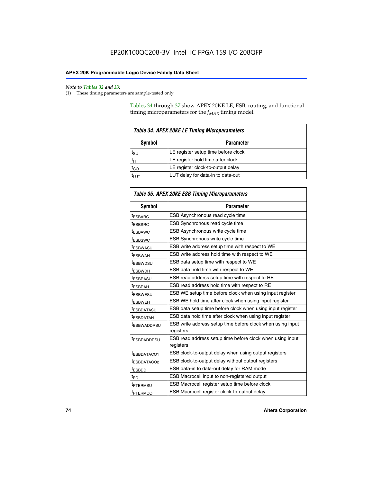$\mathbf{r}$ 

#### *Note to Tables 32 and 33:*

(1) These timing parameters are sample-tested only.

Tables 34 through 37 show APEX 20KE LE, ESB, routing, and functional timing microparameters for the  $f_{MAX}$  timing model.

| <b>Table 34. APEX 20KE LE Timing Microparameters</b> |                                     |  |  |  |  |
|------------------------------------------------------|-------------------------------------|--|--|--|--|
| Symbol<br><b>Parameter</b>                           |                                     |  |  |  |  |
| t <sub>SU</sub>                                      | LE register setup time before clock |  |  |  |  |
| $t_H$                                                | LE register hold time after clock   |  |  |  |  |
| $t_{CO}$                                             | LE register clock-to-output delay   |  |  |  |  |
| <b>LUT</b>                                           | LUT delay for data-in to data-out   |  |  |  |  |

| Table 35. APEX 20KE ESB Timing Microparameters |                                                                        |  |  |  |
|------------------------------------------------|------------------------------------------------------------------------|--|--|--|
| Symbol                                         | <b>Parameter</b>                                                       |  |  |  |
| t <sub>ESBARC</sub>                            | ESB Asynchronous read cycle time                                       |  |  |  |
| <sup>t</sup> ESBSRC                            | <b>ESB Synchronous read cycle time</b>                                 |  |  |  |
| t <sub>ESBAWC</sub>                            | ESB Asynchronous write cycle time                                      |  |  |  |
| t <sub>ESBSWC</sub>                            | ESB Synchronous write cycle time                                       |  |  |  |
| tESBWASU                                       | ESB write address setup time with respect to WE                        |  |  |  |
| <sup>t</sup> ESBWAH                            | ESB write address hold time with respect to WE                         |  |  |  |
| t <sub>ESBWDSU</sub>                           | ESB data setup time with respect to WE                                 |  |  |  |
| <sup>t</sup> ESBWDH                            | ESB data hold time with respect to WE                                  |  |  |  |
| tESBRASU                                       | ESB read address setup time with respect to RE                         |  |  |  |
| t <sub>ESBRAH</sub>                            | ESB read address hold time with respect to RE                          |  |  |  |
| <sup>t</sup> ESBWESU                           | ESB WE setup time before clock when using input register               |  |  |  |
| <sup>t</sup> ESBWEH                            | ESB WE hold time after clock when using input register                 |  |  |  |
| <sup>t</sup> ESBDATASU                         | ESB data setup time before clock when using input register             |  |  |  |
| t <sub>ESBDATAH</sub>                          | ESB data hold time after clock when using input register               |  |  |  |
| <sup>t</sup> ESBWADDRSU                        | ESB write address setup time before clock when using input             |  |  |  |
|                                                | registers                                                              |  |  |  |
| tESBRADDRSU                                    | ESB read address setup time before clock when using input<br>registers |  |  |  |
| t <sub>ESBDATACO1</sub>                        | ESB clock-to-output delay when using output registers                  |  |  |  |
| t <sub>ESBDATACO2</sub>                        | ESB clock-to-output delay without output registers                     |  |  |  |
| $t_{ESBDD}$                                    | ESB data-in to data-out delay for RAM mode                             |  |  |  |
| $t_{PD}$                                       | ESB Macrocell input to non-registered output                           |  |  |  |
| t <sub>PTERMSU</sub>                           | ESB Macrocell register setup time before clock                         |  |  |  |
| t <sub>PTERMCO</sub>                           | ESB Macrocell register clock-to-output delay                           |  |  |  |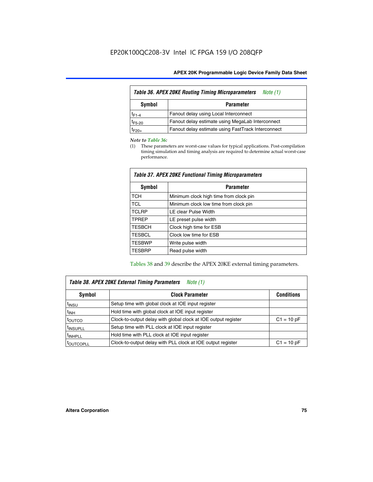| Table 36. APEX 20KE Routing Timing Microparameters<br>Note (1) |                                                    |  |  |  |  |
|----------------------------------------------------------------|----------------------------------------------------|--|--|--|--|
| Symbol<br><b>Parameter</b>                                     |                                                    |  |  |  |  |
| $t_{F1-4}$                                                     | Fanout delay using Local Interconnect              |  |  |  |  |
| $t_{F5-20}$                                                    | Fanout delay estimate using MegaLab Interconnect   |  |  |  |  |
| t <sub>F20+</sub>                                              | Fanout delay estimate using FastTrack Interconnect |  |  |  |  |

#### *Note to Table 36:*

(1) These parameters are worst-case values for typical applications. Post-compilation timing simulation and timing analysis are required to determine actual worst-case performance.

| Symbol        | <b>Parameter</b>                       |
|---------------|----------------------------------------|
| <b>TCH</b>    | Minimum clock high time from clock pin |
| <b>TCL</b>    | Minimum clock low time from clock pin  |
| <b>TCLRP</b>  | LE clear Pulse Width                   |
| <b>TPREP</b>  | LE preset pulse width                  |
| <b>TESBCH</b> | Clock high time for ESB                |
| <b>TESBCL</b> | Clock low time for ESB                 |
| <b>TESBWP</b> | Write pulse width                      |
| <b>TESBRP</b> | Read pulse width                       |

## *Table 37. APEX 20KE Functional Timing Microparameters*

Tables 38 and 39 describe the APEX 20KE external timing parameters.

| Table 38. APEX 20KE External Timing Parameters<br>Note (1) |                                                                |              |  |  |  |
|------------------------------------------------------------|----------------------------------------------------------------|--------------|--|--|--|
| <b>Clock Parameter</b><br>Symbol<br><b>Conditions</b>      |                                                                |              |  |  |  |
| <sup>t</sup> insu                                          | Setup time with global clock at IOE input register             |              |  |  |  |
| $t_{\text{INH}}$                                           | Hold time with global clock at IOE input register              |              |  |  |  |
| toutco                                                     | Clock-to-output delay with global clock at IOE output register | $C1 = 10 pF$ |  |  |  |
| <sup>t</sup> INSUPLL                                       | Setup time with PLL clock at IOE input register                |              |  |  |  |
| <sup>t</sup> INHPLL                                        | Hold time with PLL clock at IOE input register                 |              |  |  |  |
| <sup>I</sup> OUTCOPLL                                      | Clock-to-output delay with PLL clock at IOE output register    | $C1 = 10 pF$ |  |  |  |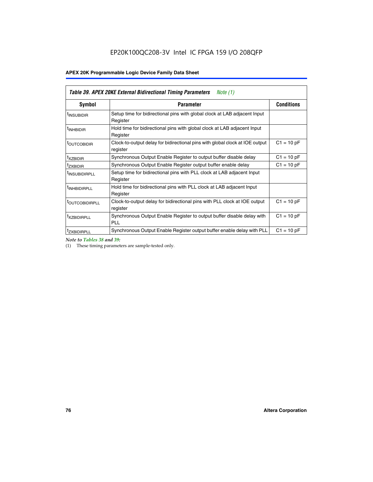| Table 39. APEX 20KE External Bidirectional Timing Parameters<br>Note $(1)$ |                                                                                                          |              |  |  |  |  |  |  |
|----------------------------------------------------------------------------|----------------------------------------------------------------------------------------------------------|--------------|--|--|--|--|--|--|
| Symbol                                                                     | <b>Conditions</b><br><b>Parameter</b>                                                                    |              |  |  |  |  |  |  |
| <sup>t</sup> INSUBIDIR                                                     | Setup time for bidirectional pins with global clock at LAB adjacent Input<br>Register                    |              |  |  |  |  |  |  |
| <sup>t</sup> INHBIDIR                                                      | Hold time for bidirectional pins with global clock at LAB adjacent Input<br>Register                     |              |  |  |  |  |  |  |
| <b><i>LOUTCOBIDIR</i></b>                                                  | $C1 = 10 pF$<br>Clock-to-output delay for bidirectional pins with global clock at IOE output<br>register |              |  |  |  |  |  |  |
| t <sub>XZBIDIR</sub>                                                       | Synchronous Output Enable Register to output buffer disable delay                                        | $C1 = 10 pF$ |  |  |  |  |  |  |
| <sup>t</sup> zxbidir                                                       | Synchronous Output Enable Register output buffer enable delay                                            | $C1 = 10 pF$ |  |  |  |  |  |  |
| <sup>I</sup> INSUBIDIRPLL                                                  | Setup time for bidirectional pins with PLL clock at LAB adjacent Input<br>Register                       |              |  |  |  |  |  |  |
| <sup>t</sup> INHBIDIRPLL                                                   | Hold time for bidirectional pins with PLL clock at LAB adjacent Input<br>Register                        |              |  |  |  |  |  |  |
| <sup>t</sup> OUTCOBIDIRPLL                                                 | Clock-to-output delay for bidirectional pins with PLL clock at IOE output<br>register                    | $C1 = 10 pF$ |  |  |  |  |  |  |
| <sup>t</sup> XZBIDIRPLL                                                    | Synchronous Output Enable Register to output buffer disable delay with<br><b>PLL</b>                     | $C1 = 10 pF$ |  |  |  |  |  |  |
| <sup>I</sup> ZXBIDIRPLL                                                    | Synchronous Output Enable Register output buffer enable delay with PLL                                   | $C1 = 10 pF$ |  |  |  |  |  |  |

*Note to Tables 38 and 39:*

(1) These timing parameters are sample-tested only.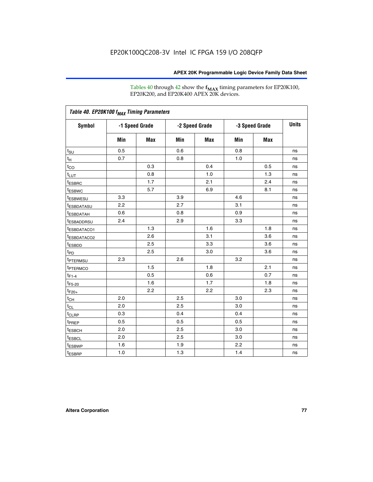Tables 40 through 42 show the **f<sub>MAX</sub>** timing parameters for EP20K100, EP20K200, and EP20K400 APEX 20K devices.

| Table 40. EP20K100 f <sub>MAX</sub> Timing Parameters |                |     |                |     |                |            |              |
|-------------------------------------------------------|----------------|-----|----------------|-----|----------------|------------|--------------|
| <b>Symbol</b>                                         | -1 Speed Grade |     | -2 Speed Grade |     | -3 Speed Grade |            | <b>Units</b> |
|                                                       | Min            | Max | Min            | Max | Min            | <b>Max</b> |              |
| $t_{\text{SU}}$                                       | 0.5            |     | 0.6            |     | 0.8            |            | ns           |
| $t_H$                                                 | 0.7            |     | 0.8            |     | 1.0            |            | ns           |
| $t_{CO}$                                              |                | 0.3 |                | 0.4 |                | 0.5        | ns           |
| $t_{LUT}$                                             |                | 0.8 |                | 1.0 |                | 1.3        | ns           |
| <sup>t</sup> ESBRC                                    |                | 1.7 |                | 2.1 |                | 2.4        | ns           |
| t <sub>ESBWC</sub>                                    |                | 5.7 |                | 6.9 |                | 8.1        | ns           |
| t <sub>ESBWESU</sub>                                  | 3.3            |     | 3.9            |     | 4.6            |            | ns           |
| <sup>t</sup> ESBDATASU                                | 2.2            |     | 2.7            |     | 3.1            |            | ns           |
| <sup>t</sup> ESBDATAH                                 | 0.6            |     | 0.8            |     | 0.9            |            | ns           |
| <sup>t</sup> ESBADDRSU                                | 2.4            |     | 2.9            |     | 3.3            |            | ns           |
| <sup>t</sup> ESBDATACO1                               |                | 1.3 |                | 1.6 |                | 1.8        | ns           |
| t <sub>ESBDATACO2</sub>                               |                | 2.6 |                | 3.1 |                | 3.6        | ns           |
| t <sub>ESBDD</sub>                                    |                | 2.5 |                | 3.3 |                | 3.6        | ns           |
| $t_{PD}$                                              |                | 2.5 |                | 3.0 |                | 3.6        | ns           |
| t <sub>PTERMSU</sub>                                  | 2.3            |     | 2.6            |     | 3.2            |            | ns           |
| t <sub>PTERMCO</sub>                                  |                | 1.5 |                | 1.8 |                | 2.1        | ns           |
| $t_{F1-4}$                                            |                | 0.5 |                | 0.6 |                | 0.7        | ns           |
| $t_{F5-20}$                                           |                | 1.6 |                | 1.7 |                | 1.8        | ns           |
| $t_{F20+}$                                            |                | 2.2 |                | 2.2 |                | 2.3        | ns           |
| $t_{\mathsf{CH}}$                                     | 2.0            |     | 2.5            |     | 3.0            |            | ns           |
| $t_{CL}$                                              | 2.0            |     | 2.5            |     | 3.0            |            | ns           |
| t <sub>CLRP</sub>                                     | 0.3            |     | 0.4            |     | 0.4            |            | ns           |
| t <sub>PREP</sub>                                     | 0.5            |     | 0.5            |     | 0.5            |            | ns           |
| <sup>t</sup> ESBCH                                    | 2.0            |     | 2.5            |     | 3.0            |            | ns           |
| <b>t</b> ESBCL                                        | 2.0            |     | 2.5            |     | 3.0            |            | ns           |
| t <sub>ESBWP</sub>                                    | 1.6            |     | 1.9            |     | 2.2            |            | ns           |
| $t_{ESBRP}$                                           | 1.0            |     | 1.3            |     | 1.4            |            | ns           |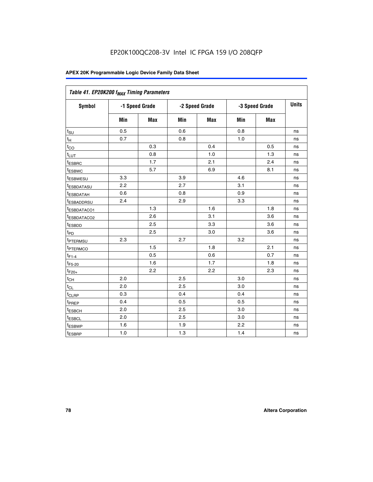| Table 41. EP20K200 f <sub>MAX</sub> Timing Parameters |                |     |     |                |     |                |    |
|-------------------------------------------------------|----------------|-----|-----|----------------|-----|----------------|----|
| Symbol                                                | -1 Speed Grade |     |     | -2 Speed Grade |     | -3 Speed Grade |    |
|                                                       | Min            | Max | Min | <b>Max</b>     | Min | Max            |    |
| $t_{\text{SU}}$                                       | 0.5            |     | 0.6 |                | 0.8 |                | ns |
| $t_H$                                                 | 0.7            |     | 0.8 |                | 1.0 |                | ns |
| $t_{CO}$                                              |                | 0.3 |     | 0.4            |     | 0.5            | ns |
| $t_{LUT}$                                             |                | 0.8 |     | 1.0            |     | 1.3            | ns |
| t <sub>ESBRC</sub>                                    |                | 1.7 |     | 2.1            |     | 2.4            | ns |
| t <sub>ESBWC</sub>                                    |                | 5.7 |     | 6.9            |     | 8.1            | ns |
| t <sub>ESBWESU</sub>                                  | 3.3            |     | 3.9 |                | 4.6 |                | ns |
| <sup>t</sup> ESBDATASU                                | 2.2            |     | 2.7 |                | 3.1 |                | ns |
| t <sub>ESBDATAH</sub>                                 | 0.6            |     | 0.8 |                | 0.9 |                | ns |
| t <sub>ESBADDRSU</sub>                                | 2.4            |     | 2.9 |                | 3.3 |                | ns |
| <u>t<sub>ESBDATACO1</sub></u>                         |                | 1.3 |     | 1.6            |     | 1.8            | ns |
| <sup>t</sup> ESBDATACO2                               |                | 2.6 |     | 3.1            |     | 3.6            | ns |
| t <sub>ESBDD</sub>                                    |                | 2.5 |     | 3.3            |     | 3.6            | ns |
| t <sub>PD</sub>                                       |                | 2.5 |     | 3.0            |     | 3.6            | ns |
| t <sub>PTERMSU</sub>                                  | 2.3            |     | 2.7 |                | 3.2 |                | ns |
| t <sub>PTERMCO</sub>                                  |                | 1.5 |     | 1.8            |     | 2.1            | ns |
| $t_{F1-4}$                                            |                | 0.5 |     | 0.6            |     | 0.7            | ns |
| $t_{F5-20}$                                           |                | 1.6 |     | 1.7            |     | 1.8            | ns |
| $t_{F20+}$                                            |                | 2.2 |     | 2.2            |     | 2.3            | ns |
| $\textnormal{t}_{\textnormal{CH}}$                    | 2.0            |     | 2.5 |                | 3.0 |                | ns |
| $t_{CL}$                                              | 2.0            |     | 2.5 |                | 3.0 |                | ns |
| t <sub>CLRP</sub>                                     | 0.3            |     | 0.4 |                | 0.4 |                | ns |
| t <sub>PREP</sub>                                     | 0.4            |     | 0.5 |                | 0.5 |                | ns |
| t <sub>ESBCH</sub>                                    | 2.0            |     | 2.5 |                | 3.0 |                | ns |
| t <sub>ESBCL</sub>                                    | 2.0            |     | 2.5 |                | 3.0 |                | ns |
| t <sub>ESBWP</sub>                                    | 1.6            |     | 1.9 |                | 2.2 |                | ns |
| t <sub>ESBRP</sub>                                    | 1.0            |     | 1.3 |                | 1.4 |                | ns |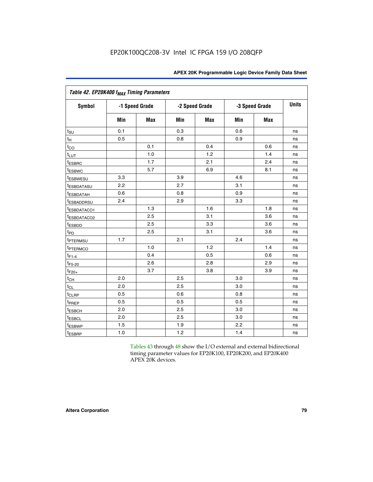| Table 42. EP20K400 f <sub>MAX</sub> Timing Parameters |     |                |     |                |     |                |              |
|-------------------------------------------------------|-----|----------------|-----|----------------|-----|----------------|--------------|
| <b>Symbol</b>                                         |     | -1 Speed Grade |     | -2 Speed Grade |     | -3 Speed Grade | <b>Units</b> |
|                                                       | Min | <b>Max</b>     | Min | <b>Max</b>     | Min | <b>Max</b>     |              |
| $t_{\text{SU}}$                                       | 0.1 |                | 0.3 |                | 0.6 |                | ns           |
| $t_H$                                                 | 0.5 |                | 0.8 |                | 0.9 |                | ns           |
| $t_{CO}$                                              |     | 0.1            |     | 0.4            |     | 0.6            | ns           |
| $t_{LUT}$                                             |     | 1.0            |     | 1.2            |     | 1.4            | ns           |
| t <sub>ESBRC</sub>                                    |     | 1.7            |     | 2.1            |     | 2.4            | ns           |
| <sup>t</sup> ESBWC                                    |     | 5.7            |     | 6.9            |     | 8.1            | ns           |
| t <sub>ESBWESU</sub>                                  | 3.3 |                | 3.9 |                | 4.6 |                | ns           |
| <b><i>t</i>ESBDATASU</b>                              | 2.2 |                | 2.7 |                | 3.1 |                | ns           |
| <sup>t</sup> ESBDATAH                                 | 0.6 |                | 0.8 |                | 0.9 |                | ns           |
| <sup>t</sup> ESBADDRSU                                | 2.4 |                | 2.9 |                | 3.3 |                | ns           |
| t <sub>ESBDATACO1</sub>                               |     | 1.3            |     | 1.6            |     | 1.8            | ns           |
| t <sub>ESBDATACO2</sub>                               |     | 2.5            |     | 3.1            |     | 3.6            | ns           |
| t <sub>ESBDD</sub>                                    |     | 2.5            |     | 3.3            |     | 3.6            | ns           |
| t <sub>PD</sub>                                       |     | 2.5            |     | 3.1            |     | 3.6            | ns           |
| t <sub>PTERMSU</sub>                                  | 1.7 |                | 2.1 |                | 2.4 |                | ns           |
| t <sub>PTERMCO</sub>                                  |     | 1.0            |     | 1.2            |     | 1.4            | ns           |
| $t_{F1-4}$                                            |     | 0.4            |     | 0.5            |     | 0.6            | ns           |
| $t_{F5-20}$                                           |     | 2.6            |     | 2.8            |     | 2.9            | ns           |
| $t_{F20+}$                                            |     | 3.7            |     | 3.8            |     | 3.9            | ns           |
| $t_{CH}$                                              | 2.0 |                | 2.5 |                | 3.0 |                | ns           |
| $t_{CL}$                                              | 2.0 |                | 2.5 |                | 3.0 |                | ns           |
| t <sub>CLRP</sub>                                     | 0.5 |                | 0.6 |                | 0.8 |                | ns           |
| t <sub>PREP</sub>                                     | 0.5 |                | 0.5 |                | 0.5 |                | ns           |
| t <sub>ESBCH</sub>                                    | 2.0 |                | 2.5 |                | 3.0 |                | ns           |
| t <sub>ESBCL</sub>                                    | 2.0 |                | 2.5 |                | 3.0 |                | ns           |
| <sup>t</sup> ESBWP                                    | 1.5 |                | 1.9 |                | 2.2 |                | ns           |
| t <sub>ESBRP</sub>                                    | 1.0 |                | 1.2 |                | 1.4 |                | ns           |

Tables 43 through 48 show the I/O external and external bidirectional timing parameter values for EP20K100, EP20K200, and EP20K400 APEX 20K devices.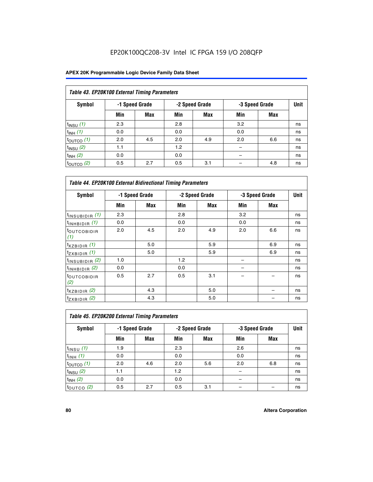## EP20K100QC208-3V Intel IC FPGA 159 I/O 208QFP

| Table 43. EP20K100 External Timing Parameters |     |                |     |                |     |                |             |  |  |  |  |
|-----------------------------------------------|-----|----------------|-----|----------------|-----|----------------|-------------|--|--|--|--|
| Symbol                                        |     | -1 Speed Grade |     | -2 Speed Grade |     | -3 Speed Grade | <b>Unit</b> |  |  |  |  |
|                                               | Min | Max            | Min | <b>Max</b>     | Min | <b>Max</b>     |             |  |  |  |  |
| $t_{INSU}$ (1)                                | 2.3 |                | 2.8 |                | 3.2 |                | ns          |  |  |  |  |
| $t_{INH}$ (1)                                 | 0.0 |                | 0.0 |                | 0.0 |                | ns          |  |  |  |  |
| $t_{\text{OUTCO}}(1)$                         | 2.0 | 4.5            | 2.0 | 4.9            | 2.0 | 6.6            | ns          |  |  |  |  |
| $t_{INSU}$ (2)                                | 1.1 |                | 1.2 |                |     |                | ns          |  |  |  |  |
| $t_{INH}$ (2)                                 | 0.0 |                | 0.0 |                |     |                | ns          |  |  |  |  |
| $t_{\text{OUTCO}}(2)$                         | 0.5 | 2.7            | 0.5 | 3.1            |     | 4.8            | ns          |  |  |  |  |

| <b>Table 44. EP20K100 External Bidirectional Timing Parameters</b> |                |     |     |                |     |                |    |
|--------------------------------------------------------------------|----------------|-----|-----|----------------|-----|----------------|----|
| Symbol                                                             | -1 Speed Grade |     |     | -2 Speed Grade |     | -3 Speed Grade |    |
|                                                                    | Min            | Max | Min | Max            | Min | <b>Max</b>     |    |
| $t_{\text{INSUBIDIR}}(1)$                                          | 2.3            |     | 2.8 |                | 3.2 |                | ns |
| $t_{INHBIDIR}$ (1)                                                 | 0.0            |     | 0.0 |                | 0.0 |                | ns |
| <sup>t</sup> OUTCOBIDIR<br>(1)                                     | 2.0            | 4.5 | 2.0 | 4.9            | 2.0 | 6.6            | ns |
| $t_{XZBIDIR}$ (1)                                                  |                | 5.0 |     | 5.9            |     | 6.9            | ns |
| $t_{ZXBIDIR}$ (1)                                                  |                | 5.0 |     | 5.9            |     | 6.9            | ns |
| $t_{INSUBIDIR}$ (2)                                                | 1.0            |     | 1.2 |                |     |                | ns |
| $t_{INHBIDIR}$ (2)                                                 | 0.0            |     | 0.0 |                |     |                | ns |
| <sup>t</sup> OUTCOBIDIR<br>(2)                                     | 0.5            | 2.7 | 0.5 | 3.1            |     |                | ns |
| $t_{XZBIDIR}$ (2)                                                  |                | 4.3 |     | 5.0            |     |                | ns |
| $t_{ZXBIDIR}$ (2)                                                  |                | 4.3 |     | 5.0            |     |                | ns |

|                           | Table 45. EP20K200 External Timing Parameters |                |     |                |     |                |             |  |  |  |  |  |
|---------------------------|-----------------------------------------------|----------------|-----|----------------|-----|----------------|-------------|--|--|--|--|--|
| Symbol                    |                                               | -1 Speed Grade |     | -2 Speed Grade |     | -3 Speed Grade | <b>Unit</b> |  |  |  |  |  |
|                           | Min                                           | Max            | Min | Max            | Min | Max            |             |  |  |  |  |  |
| $t$ <sub>INSU</sub> $(1)$ | 1.9                                           |                | 2.3 |                | 2.6 |                | ns          |  |  |  |  |  |
| $t_{INH}$ (1)             | 0.0                                           |                | 0.0 |                | 0.0 |                | ns          |  |  |  |  |  |
| $t_{\text{OUTCO}}(1)$     | 2.0                                           | 4.6            | 2.0 | 5.6            | 2.0 | 6.8            | ns          |  |  |  |  |  |
| $t_{\text{INSU}}(2)$      | 1.1                                           |                | 1.2 |                |     |                | ns          |  |  |  |  |  |
| $t_{INH}$ (2)             | 0.0                                           |                | 0.0 |                |     |                | ns          |  |  |  |  |  |
| $t_{\text{OUTCO}}$ (2)    | 0.5                                           | 2.7            | 0.5 | 3.1            |     |                | ns          |  |  |  |  |  |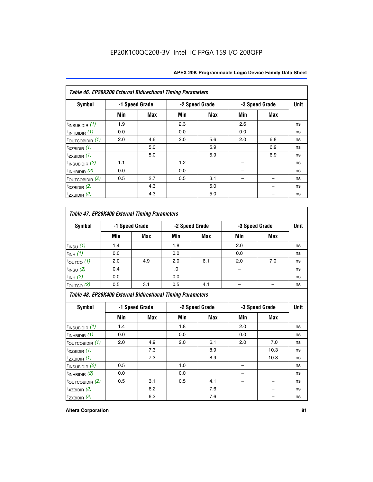| Table 46. EP20K200 External Bidirectional Timing Parameters |     |                |     |                |     |                |             |
|-------------------------------------------------------------|-----|----------------|-----|----------------|-----|----------------|-------------|
| Symbol                                                      |     | -1 Speed Grade |     | -2 Speed Grade |     | -3 Speed Grade | <b>Unit</b> |
|                                                             | Min | <b>Max</b>     | Min | Max            | Min | <b>Max</b>     |             |
| $t_{\text{INSUBIDIR}}(1)$                                   | 1.9 |                | 2.3 |                | 2.6 |                | ns          |
| $t_{INHBIDIR}$ (1)                                          | 0.0 |                | 0.0 |                | 0.0 |                | ns          |
| $t_{\text{OUTCOBIDIR}}(1)$                                  | 2.0 | 4.6            | 2.0 | 5.6            | 2.0 | 6.8            | ns          |
| $t_{XZBIDIR}$ (1)                                           |     | 5.0            |     | 5.9            |     | 6.9            | ns          |
| $t_{ZXBIDIR}$ (1)                                           |     | 5.0            |     | 5.9            |     | 6.9            | ns          |
| $t_{\text{INSUBIDIR}}(2)$                                   | 1.1 |                | 1.2 |                |     |                | ns          |
| $t_{INHBIDIR}$ (2)                                          | 0.0 |                | 0.0 |                |     |                | ns          |
| $t_{\text{OUTCOBIDIR}}(2)$                                  | 0.5 | 2.7            | 0.5 | 3.1            |     |                | ns          |
| $t_{XZBIDIR}$ $(2)$                                         |     | 4.3            |     | 5.0            |     |                | ns          |
| $t_{ZXBIDIR}$ (2)                                           |     | 4.3            |     | 5.0            |     |                | ns          |

## *Table 47. EP20K400 External Timing Parameters*

| Symbol                 |     | -1 Speed Grade |     | -2 Speed Grade |     | -3 Speed Grade |    |  |
|------------------------|-----|----------------|-----|----------------|-----|----------------|----|--|
|                        | Min | <b>Max</b>     | Min | <b>Max</b>     | Min | <b>Max</b>     |    |  |
| $t_{INSU}$ (1)         | 1.4 |                | 1.8 |                | 2.0 |                | ns |  |
| $t_{INH}$ (1)          | 0.0 |                | 0.0 |                | 0.0 |                | ns |  |
| $t_{\text{OUTCO}}(1)$  | 2.0 | 4.9            | 2.0 | 6.1            | 2.0 | 7.0            | ns |  |
| $t_{INSU}$ (2)         | 0.4 |                | 1.0 |                |     |                | ns |  |
| $t_{INH}$ (2)          | 0.0 |                | 0.0 |                |     |                | ns |  |
| $t_{\text{OUTCO}}$ (2) | 0.5 | 3.1            | 0.5 | 4.1            |     |                | ns |  |

*Table 48. EP20K400 External Bidirectional Timing Parameters*

| Symbol                      | -1 Speed Grade |     | -2 Speed Grade |     |     | -3 Speed Grade | <b>Unit</b> |
|-----------------------------|----------------|-----|----------------|-----|-----|----------------|-------------|
|                             | Min            | Max | Min            | Max | Min | Max            |             |
| $t_{\text{INSUBIDIR}}(1)$   | 1.4            |     | 1.8            |     | 2.0 |                | ns          |
| $t_{INHBIDIR}$ (1)          | 0.0            |     | 0.0            |     | 0.0 |                | ns          |
| $t_{\text{OUTCOBIDIR}}(1)$  | 2.0            | 4.9 | 2.0            | 6.1 | 2.0 | 7.0            | ns          |
| $t_{XZBIDIR}$ (1)           |                | 7.3 |                | 8.9 |     | 10.3           | ns          |
| $t_{ZXBIDIR}$ (1)           |                | 7.3 |                | 8.9 |     | 10.3           | ns          |
| $t_{\text{INSUBIDIR}}(2)$   | 0.5            |     | 1.0            |     |     |                | ns          |
| $t_{INHBIDIR}$ (2)          | 0.0            |     | 0.0            |     |     |                | ns          |
| $t_{\text{OUTCOBIDIR}}$ (2) | 0.5            | 3.1 | 0.5            | 4.1 |     |                | ns          |
| $t_{XZBIDIR}$ (2)           |                | 6.2 |                | 7.6 |     |                | ns          |
| $t_{ZXBIDIR}$ (2)           |                | 6.2 |                | 7.6 |     |                | ns          |

#### **Altera Corporation 81**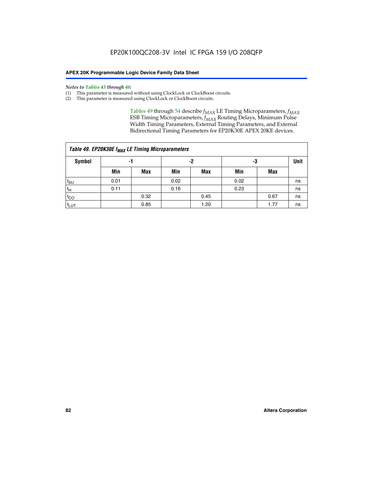#### *Notes to Tables 43 through 48:*

- (1) This parameter is measured without using ClockLock or ClockBoost circuits.
- (2) This parameter is measured using ClockLock or ClockBoost circuits.

Tables 49 through 54 describe  $f_{MAX}$  LE Timing Microparameters,  $f_{MAX}$ ESB Timing Microparameters, *f<sub>MAX</sub>* Routing Delays, Minimum Pulse Width Timing Parameters, External Timing Parameters, and External Bidirectional Timing Parameters for EP20K30E APEX 20KE devices.

| Table 49. EP20K30E f <sub>MAX</sub> LE Timing Microparameters |      |      |      |      |      |             |    |  |  |  |  |
|---------------------------------------------------------------|------|------|------|------|------|-------------|----|--|--|--|--|
| Symbol                                                        |      | -1   |      | -2   | -3   | <b>Unit</b> |    |  |  |  |  |
|                                                               | Min  | Max  | Min  | Max  | Min  | Max         |    |  |  |  |  |
| $t_{\text{SU}}$                                               | 0.01 |      | 0.02 |      | 0.02 |             | ns |  |  |  |  |
| $t_H$                                                         | 0.11 |      | 0.16 |      | 0.23 |             | ns |  |  |  |  |
| $t_{CO}$                                                      |      | 0.32 |      | 0.45 |      | 0.67        | ns |  |  |  |  |
| $t_{LUT}$                                                     |      | 0.85 |      | 1.20 |      | 1.77        | ns |  |  |  |  |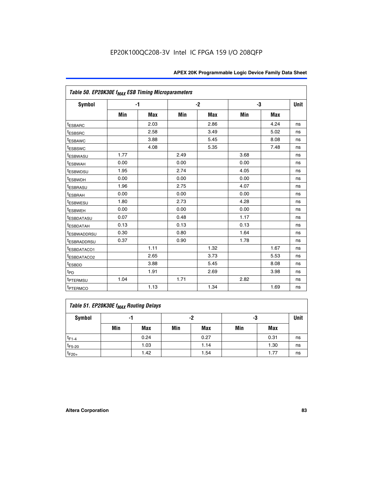| Table 50. EP20K30E f <sub>MAX</sub> ESB Timing Microparameters |      |            |      |            |      |            |             |
|----------------------------------------------------------------|------|------------|------|------------|------|------------|-------------|
| Symbol                                                         |      | $-1$       |      | $-2$       |      | -3         | <b>Unit</b> |
|                                                                | Min  | <b>Max</b> | Min  | <b>Max</b> | Min  | <b>Max</b> |             |
| <sup>t</sup> ESBARC                                            |      | 2.03       |      | 2.86       |      | 4.24       | ns          |
| <sup>t</sup> ESBSRC                                            |      | 2.58       |      | 3.49       |      | 5.02       | ns          |
| <sup>t</sup> ESBAWC                                            |      | 3.88       |      | 5.45       |      | 8.08       | ns          |
| t <sub>ESBSWC</sub>                                            |      | 4.08       |      | 5.35       |      | 7.48       | ns          |
| <sup>t</sup> ESBWASU                                           | 1.77 |            | 2.49 |            | 3.68 |            | ns          |
| <sup>t</sup> ESBWAH                                            | 0.00 |            | 0.00 |            | 0.00 |            | ns          |
| <sup>t</sup> ESBWDSU                                           | 1.95 |            | 2.74 |            | 4.05 |            | ns          |
| <sup>t</sup> ESBWDH                                            | 0.00 |            | 0.00 |            | 0.00 |            | ns          |
| <sup>t</sup> ESBRASU                                           | 1.96 |            | 2.75 |            | 4.07 |            | ns          |
| <sup>t</sup> ESBRAH                                            | 0.00 |            | 0.00 |            | 0.00 |            | ns          |
| <i>t</i> <sub>ESBWESU</sub>                                    | 1.80 |            | 2.73 |            | 4.28 |            | ns          |
| <sup>I</sup> ESBWEH                                            | 0.00 |            | 0.00 |            | 0.00 |            | ns          |
| t <sub>ESBDATASU</sub>                                         | 0.07 |            | 0.48 |            | 1.17 |            | ns          |
| <sup>t</sup> ESBDATAH                                          | 0.13 |            | 0.13 |            | 0.13 |            | ns          |
| <sup>t</sup> ESBWADDRSU                                        | 0.30 |            | 0.80 |            | 1.64 |            | ns          |
| <sup>I</sup> ESBRADDRSU                                        | 0.37 |            | 0.90 |            | 1.78 |            | ns          |
| ESBDATACO1                                                     |      | 1.11       |      | 1.32       |      | 1.67       | ns          |
| <sup>t</sup> ESBDATACO2                                        |      | 2.65       |      | 3.73       |      | 5.53       | ns          |
| <sup>t</sup> ESBDD                                             |      | 3.88       |      | 5.45       |      | 8.08       | ns          |
| t <sub>PD</sub>                                                |      | 1.91       |      | 2.69       |      | 3.98       | ns          |
| <sup>t</sup> PTERMSU                                           | 1.04 |            | 1.71 |            | 2.82 |            | ns          |
| t <sub>PTERMCO</sub>                                           |      | 1.13       |      | 1.34       |      | 1.69       | ns          |

## **Table 51. EP20K30E f<sub>MAX</sub> Routing Delays**

| Symbol      | - 1 |            | -2  |            | -3  |      | Unit |
|-------------|-----|------------|-----|------------|-----|------|------|
|             | Min | <b>Max</b> | Min | <b>Max</b> | Min | Max  |      |
| $t_{F1-4}$  |     | 0.24       |     | 0.27       |     | 0.31 | ns   |
| $t_{F5-20}$ |     | 1.03       |     | 1.14       |     | 1.30 | ns   |
| $t_{F20+}$  |     | 1.42       |     | 1.54       |     | 1.77 | ns   |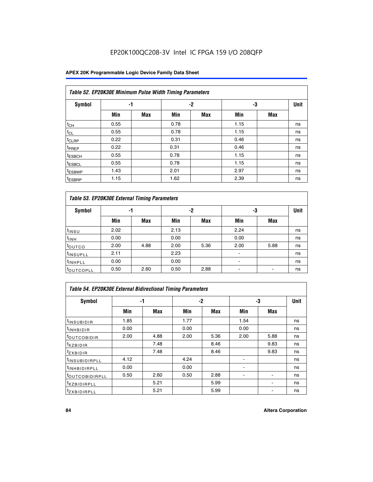## EP20K100QC208-3V Intel IC FPGA 159 I/O 208QFP

### **APEX 20K Programmable Logic Device Family Data Sheet**

|                    | Table 52. EP20K30E Minimum Pulse Width Timing Parameters |            |      |            |      |            |             |  |  |  |  |  |
|--------------------|----------------------------------------------------------|------------|------|------------|------|------------|-------------|--|--|--|--|--|
| <b>Symbol</b>      | -1                                                       |            |      | $-2$       | -3   |            | <b>Unit</b> |  |  |  |  |  |
|                    | Min                                                      | <b>Max</b> | Min  | <b>Max</b> | Min  | <b>Max</b> |             |  |  |  |  |  |
| $t_{CH}$           | 0.55                                                     |            | 0.78 |            | 1.15 |            | ns          |  |  |  |  |  |
| $t_{CL}$           | 0.55                                                     |            | 0.78 |            | 1.15 |            | ns          |  |  |  |  |  |
| $t_{CLRP}$         | 0.22                                                     |            | 0.31 |            | 0.46 |            | ns          |  |  |  |  |  |
| <sup>t</sup> PREP  | 0.22                                                     |            | 0.31 |            | 0.46 |            | ns          |  |  |  |  |  |
| <sup>t</sup> ESBCH | 0.55                                                     |            | 0.78 |            | 1.15 |            | ns          |  |  |  |  |  |
| <sup>t</sup> ESBCL | 0.55                                                     |            | 0.78 |            | 1.15 |            | ns          |  |  |  |  |  |
| <sup>t</sup> ESBWP | 1.43                                                     |            | 2.01 |            | 2.97 |            | ns          |  |  |  |  |  |
| <sup>t</sup> ESBRP | 1.15                                                     |            | 1.62 |            | 2.39 |            | ns          |  |  |  |  |  |

| Table 53. EP20K30E External Timing Parameters |      |            |      |            |                          |            |             |  |  |  |  |
|-----------------------------------------------|------|------------|------|------------|--------------------------|------------|-------------|--|--|--|--|
| <b>Symbol</b>                                 | -1   |            |      | -2         | -3                       |            | <b>Unit</b> |  |  |  |  |
|                                               | Min  | <b>Max</b> | Min  | <b>Max</b> | Min                      | <b>Max</b> |             |  |  |  |  |
| t <sub>INSU</sub>                             | 2.02 |            | 2.13 |            | 2.24                     |            | ns          |  |  |  |  |
| $t_{\text{INH}}$                              | 0.00 |            | 0.00 |            | 0.00                     |            | ns          |  |  |  |  |
| <sup>t</sup> outco                            | 2.00 | 4.88       | 2.00 | 5.36       | 2.00                     | 5.88       | ns          |  |  |  |  |
| <sup>t</sup> INSUPLL                          | 2.11 |            | 2.23 |            |                          |            | ns          |  |  |  |  |
| <sup>t</sup> INHPLL                           | 0.00 |            | 0.00 |            | $\overline{\phantom{a}}$ |            | ns          |  |  |  |  |
| <b>LOUTCOPLL</b>                              | 0.50 | 2.60       | 0.50 | 2.88       | -                        |            | ns          |  |  |  |  |

| Table 54. EP20K30E External Bidirectional Timing Parameters |      |      |      |            |      |            |             |  |  |  |
|-------------------------------------------------------------|------|------|------|------------|------|------------|-------------|--|--|--|
| Symbol                                                      |      | -1   | $-2$ |            |      | -3         | <b>Unit</b> |  |  |  |
|                                                             | Min  | Max  | Min  | <b>Max</b> | Min  | <b>Max</b> |             |  |  |  |
| <sup>t</sup> INSUBIDIR                                      | 1.85 |      | 1.77 |            | 1.54 |            | ns          |  |  |  |
| <b>INHBIDIR</b>                                             | 0.00 |      | 0.00 |            | 0.00 |            | ns          |  |  |  |
| <b>LOUTCOBIDIR</b>                                          | 2.00 | 4.88 | 2.00 | 5.36       | 2.00 | 5.88       | ns          |  |  |  |
| <sup>T</sup> XZBIDIR                                        |      | 7.48 |      | 8.46       |      | 9.83       | ns          |  |  |  |
| <sup>I</sup> ZXBIDIR                                        |      | 7.48 |      | 8.46       |      | 9.83       | ns          |  |  |  |
| <sup>t</sup> INSUBIDIRPLL                                   | 4.12 |      | 4.24 |            |      |            | ns          |  |  |  |
| <sup>I</sup> INHBIDIRPLL                                    | 0.00 |      | 0.00 |            |      |            | ns          |  |  |  |
| <b>LOUTCOBIDIRPLL</b>                                       | 0.50 | 2.60 | 0.50 | 2.88       |      |            | ns          |  |  |  |
| <sup>I</sup> XZBIDIRPLL                                     |      | 5.21 |      | 5.99       |      |            | ns          |  |  |  |
| <sup>T</sup> ZXBIDIRPLL                                     |      | 5.21 |      | 5.99       |      |            | ns          |  |  |  |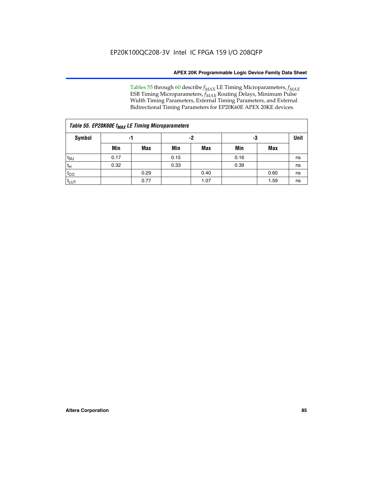Tables 55 through 60 describe *f<sub>MAX</sub>* LE Timing Microparameters, *f<sub>MAX</sub>* ESB Timing Microparameters, *f<sub>MAX</sub>* Routing Delays, Minimum Pulse Width Timing Parameters, External Timing Parameters, and External Bidirectional Timing Parameters for EP20K60E APEX 20KE devices.

| Table 55. EP20K60E f <sub>MAX</sub> LE Timing Microparameters |      |      |      |      |      |             |    |  |  |  |  |
|---------------------------------------------------------------|------|------|------|------|------|-------------|----|--|--|--|--|
| Symbol                                                        |      | -1   |      | -2   | -3   | <b>Unit</b> |    |  |  |  |  |
|                                                               | Min  | Max  | Min  | Max  | Min  | Max         |    |  |  |  |  |
| $t_{\text{SU}}$                                               | 0.17 |      | 0.15 |      | 0.16 |             | ns |  |  |  |  |
| $t_H$                                                         | 0.32 |      | 0.33 |      | 0.39 |             | ns |  |  |  |  |
| $t_{CO}$                                                      |      | 0.29 |      | 0.40 |      | 0.60        | ns |  |  |  |  |
| t <sub>lut</sub>                                              |      | 0.77 |      | 1.07 |      | 1.59        | ns |  |  |  |  |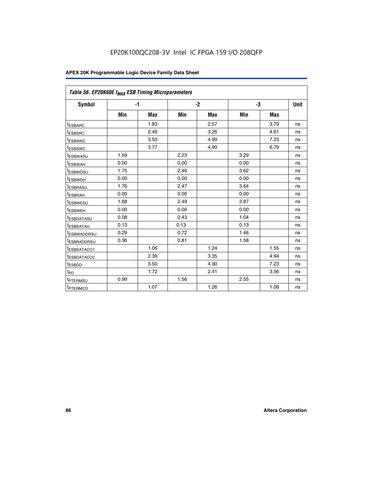| Table 56. EP20K60E f <sub>MAX</sub> ESB Timing Microparameters |      |            |      |            |      |            |      |
|----------------------------------------------------------------|------|------------|------|------------|------|------------|------|
| <b>Symbol</b>                                                  |      | $-1$       |      | $-2$       |      | -3         | Unit |
|                                                                | Min  | <b>Max</b> | Min  | <b>Max</b> | Min  | <b>Max</b> |      |
| t <sub>ESBARC</sub>                                            |      | 1.83       |      | 2.57       |      | 3.79       | ns   |
| t <sub>ESBSRC</sub>                                            |      | 2.46       |      | 3.26       |      | 4.61       | ns   |
| <sup>t</sup> ESBAWC                                            |      | 3.50       |      | 4.90       |      | 7.23       | ns   |
| t <sub>ESBSWC</sub>                                            |      | 3.77       |      | 4.90       |      | 6.79       | ns   |
| <sup>t</sup> ESBWASU                                           | 1.59 |            | 2.23 |            | 3.29 |            | ns   |
| t <sub>ESBWAH</sub>                                            | 0.00 |            | 0.00 |            | 0.00 |            | ns   |
| t <sub>ESBWDSU</sub>                                           | 1.75 |            | 2.46 |            | 3.62 |            | ns   |
| t <sub>ESBWDH</sub>                                            | 0.00 |            | 0.00 |            | 0.00 |            | ns   |
| t <sub>ESBRASU</sub>                                           | 1.76 |            | 2.47 |            | 3.64 |            | ns   |
| <sup>t</sup> ESBRAH                                            | 0.00 |            | 0.00 |            | 0.00 |            | ns   |
| t <sub>ESBWESU</sub>                                           | 1.68 |            | 2.49 |            | 3.87 |            | ns   |
| <sup>t</sup> ESBWEH                                            | 0.00 |            | 0.00 |            | 0.00 |            | ns   |
| <sup>t</sup> ESBDATASU                                         | 0.08 |            | 0.43 |            | 1.04 |            | ns   |
| <sup>t</sup> ESBDATAH                                          | 0.13 |            | 0.13 |            | 0.13 |            | ns   |
| <sup>t</sup> ESBWADDRSU                                        | 0.29 |            | 0.72 |            | 1.46 |            | ns   |
| <sup>t</sup> ESBRADDRSU                                        | 0.36 |            | 0.81 |            | 1.58 |            | ns   |
| <sup>I</sup> ESBDATACO1                                        |      | 1.06       |      | 1.24       |      | 1.55       | ns   |
| t <sub>ESBDATACO2</sub>                                        |      | 2.39       |      | 3.35       |      | 4.94       | ns   |
| <sup>t</sup> ESBDD                                             |      | 3.50       |      | 4.90       |      | 7.23       | ns   |
| t <sub>PD</sub>                                                |      | 1.72       |      | 2.41       |      | 3.56       | ns   |
| t <sub>PTERMSU</sub>                                           | 0.99 |            | 1.56 |            | 2.55 |            | ns   |
| t <sub>PTERMCO</sub>                                           |      | 1.07       |      | 1.26       |      | 1.08       | ns   |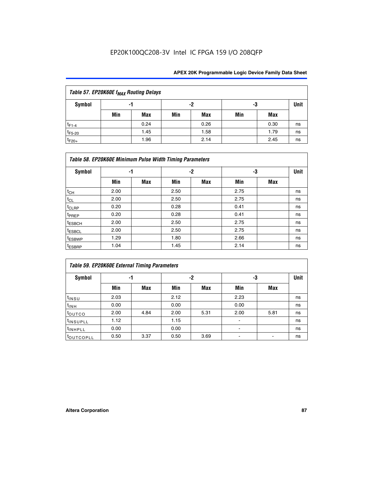## EP20K100QC208-3V Intel IC FPGA 159 I/O 208QFP

| Table 57. EP20K60E f <sub>MAX</sub> Routing Delays |     |            |     |            |     |      |      |  |  |  |
|----------------------------------------------------|-----|------------|-----|------------|-----|------|------|--|--|--|
| Symbol                                             |     | -1         |     | -2         | -3  |      | Unit |  |  |  |
|                                                    | Min | <b>Max</b> | Min | <b>Max</b> | Min | Max  |      |  |  |  |
| $t_{F1-4}$                                         |     | 0.24       |     | 0.26       |     | 0.30 | ns   |  |  |  |
| $t_{F5-20}$                                        |     | 1.45       |     | 1.58       |     | 1.79 | ns   |  |  |  |
| $t_{F20+}$                                         |     | 1.96       |     | 2.14       |     | 2.45 | ns   |  |  |  |

| Table 58. EP20K60E Minimum Pulse Width Timing Parameters |      |            |      |      |      |     |             |  |  |  |  |
|----------------------------------------------------------|------|------------|------|------|------|-----|-------------|--|--|--|--|
| <b>Symbol</b>                                            | -1   |            |      | $-2$ |      | -3  | <b>Unit</b> |  |  |  |  |
|                                                          | Min  | <b>Max</b> | Min  | Max  | Min  | Max |             |  |  |  |  |
| $t_{CH}$                                                 | 2.00 |            | 2.50 |      | 2.75 |     | ns          |  |  |  |  |
| $t_{CL}$                                                 | 2.00 |            | 2.50 |      | 2.75 |     | ns          |  |  |  |  |
| t <sub>CLRP</sub>                                        | 0.20 |            | 0.28 |      | 0.41 |     | ns          |  |  |  |  |
| t <sub>PREP</sub>                                        | 0.20 |            | 0.28 |      | 0.41 |     | ns          |  |  |  |  |
| <sup>t</sup> ESBCH                                       | 2.00 |            | 2.50 |      | 2.75 |     | ns          |  |  |  |  |
| t <sub>ESBCL</sub>                                       | 2.00 |            | 2.50 |      | 2.75 |     | ns          |  |  |  |  |
| t <sub>ESBWP</sub>                                       | 1.29 |            | 1.80 |      | 2.66 |     | ns          |  |  |  |  |
| <sup>t</sup> ESBRP                                       | 1.04 |            | 1.45 |      | 2.14 |     | ns          |  |  |  |  |

|                      | <b>Table 59. EP20K60E External Timing Parameters</b> |      |      |      |      |      |      |  |  |  |  |  |
|----------------------|------------------------------------------------------|------|------|------|------|------|------|--|--|--|--|--|
| Symbol               | -1                                                   |      |      | -2   | -3   |      | Unit |  |  |  |  |  |
|                      | Min                                                  | Max  | Min  | Max  | Min  | Max  |      |  |  |  |  |  |
| $t_{INSU}$           | 2.03                                                 |      | 2.12 |      | 2.23 |      | ns   |  |  |  |  |  |
| $t_{INH}$            | 0.00                                                 |      | 0.00 |      | 0.00 |      | ns   |  |  |  |  |  |
| toutco               | 2.00                                                 | 4.84 | 2.00 | 5.31 | 2.00 | 5.81 | ns   |  |  |  |  |  |
| <sup>t</sup> INSUPLL | 1.12                                                 |      | 1.15 |      | ۰    |      | ns   |  |  |  |  |  |
| <sup>t</sup> INHPLL  | 0.00                                                 |      | 0.00 |      | ۰    |      | ns   |  |  |  |  |  |
| toutcopll            | 0.50                                                 | 3.37 | 0.50 | 3.69 |      |      | ns   |  |  |  |  |  |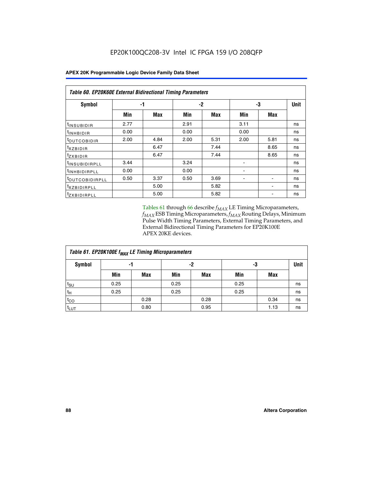| Table 60. EP20K60E External Bidirectional Timing Parameters |      |      |      |            |      |      |      |  |  |  |  |
|-------------------------------------------------------------|------|------|------|------------|------|------|------|--|--|--|--|
| Symbol                                                      |      | -1   |      | -3<br>$-2$ |      |      | Unit |  |  |  |  |
|                                                             | Min  | Max  | Min  | Max        | Min  | Max  |      |  |  |  |  |
| t <sub>INSUBIDIR</sub>                                      | 2.77 |      | 2.91 |            | 3.11 |      | ns   |  |  |  |  |
| <sup>t</sup> INHBIDIR                                       | 0.00 |      | 0.00 |            | 0.00 |      | ns   |  |  |  |  |
| <sup>t</sup> OUTCOBIDIR                                     | 2.00 | 4.84 | 2.00 | 5.31       | 2.00 | 5.81 | ns   |  |  |  |  |
| $t_{XZBIDIR}$                                               |      | 6.47 |      | 7.44       |      | 8.65 | ns   |  |  |  |  |
| $t_{ZXBIDIR}$                                               |      | 6.47 |      | 7.44       |      | 8.65 | ns   |  |  |  |  |
| <sup>t</sup> INSUBIDIRPLL                                   | 3.44 |      | 3.24 |            |      |      | ns   |  |  |  |  |
| <sup>t</sup> INHBIDIRPLL                                    | 0.00 |      | 0.00 |            | ۰    |      | ns   |  |  |  |  |
| <sup>t</sup> OUTCOBIDIRPLL                                  | 0.50 | 3.37 | 0.50 | 3.69       |      |      | ns   |  |  |  |  |
| <sup>t</sup> XZBIDIRPLL                                     |      | 5.00 |      | 5.82       |      |      | ns   |  |  |  |  |
| <sup>I</sup> ZXBIDIRPLL                                     |      | 5.00 |      | 5.82       |      |      | ns   |  |  |  |  |

Tables 61 through 66 describe  $f_{MAX}$  LE Timing Microparameters, *fMAX* ESB Timing Microparameters, *fMAX* Routing Delays, Minimum Pulse Width Timing Parameters, External Timing Parameters, and External Bidirectional Timing Parameters for EP20K100E APEX 20KE devices.

| Table 61. EP20K100E f <sub>MAX</sub> LE Timing Microparameters |      |      |      |            |      |            |             |  |  |  |  |
|----------------------------------------------------------------|------|------|------|------------|------|------------|-------------|--|--|--|--|
| <b>Symbol</b>                                                  |      | -1   |      | -2         |      | -3         | <b>Unit</b> |  |  |  |  |
|                                                                | Min  | Max  | Min  | <b>Max</b> | Min  | <b>Max</b> |             |  |  |  |  |
| $t_{\text{SU}}$                                                | 0.25 |      | 0.25 |            | 0.25 |            | ns          |  |  |  |  |
| tμ                                                             | 0.25 |      | 0.25 |            | 0.25 |            | ns          |  |  |  |  |
| $t_{CO}$                                                       |      | 0.28 |      | 0.28       |      | 0.34       | ns          |  |  |  |  |
| t <sub>LUT</sub>                                               |      | 0.80 |      | 0.95       |      | 1.13       | ns          |  |  |  |  |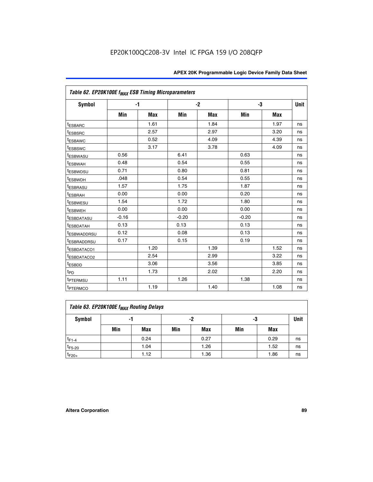| Table 62. EP20K100E f <sub>MAX</sub> ESB Timing Microparameters |         |      |         |            |         |            |             |
|-----------------------------------------------------------------|---------|------|---------|------------|---------|------------|-------------|
| <b>Symbol</b>                                                   |         | $-1$ |         | $-2$       |         | -3         | <b>Unit</b> |
|                                                                 | Min     | Max  | Min     | <b>Max</b> | Min     | <b>Max</b> |             |
| <sup>t</sup> ESBARC                                             |         | 1.61 |         | 1.84       |         | 1.97       | ns          |
| <sup>t</sup> ESBSRC                                             |         | 2.57 |         | 2.97       |         | 3.20       | ns          |
| <sup>t</sup> ESBAWC                                             |         | 0.52 |         | 4.09       |         | 4.39       | ns          |
| <sup>t</sup> ESBSWC                                             |         | 3.17 |         | 3.78       |         | 4.09       | ns          |
| <sup>t</sup> ESBWASU                                            | 0.56    |      | 6.41    |            | 0.63    |            | ns          |
| <sup>t</sup> ESBWAH                                             | 0.48    |      | 0.54    |            | 0.55    |            | ns          |
| <sup>t</sup> ESBWDSU                                            | 0.71    |      | 0.80    |            | 0.81    |            | ns          |
| <sup>t</sup> ESBWDH                                             | .048    |      | 0.54    |            | 0.55    |            | ns          |
| <sup>t</sup> ESBRASU                                            | 1.57    |      | 1.75    |            | 1.87    |            | ns          |
| <sup>t</sup> ESBRAH                                             | 0.00    |      | 0.00    |            | 0.20    |            | ns          |
| <sup>t</sup> ESBWESU                                            | 1.54    |      | 1.72    |            | 1.80    |            | ns          |
| <sup>t</sup> ESBWEH                                             | 0.00    |      | 0.00    |            | 0.00    |            | ns          |
| <sup>t</sup> ESBDATASU                                          | $-0.16$ |      | $-0.20$ |            | $-0.20$ |            | ns          |
| <sup>t</sup> ESBDATAH                                           | 0.13    |      | 0.13    |            | 0.13    |            | ns          |
| <sup>t</sup> ESBWADDRSU                                         | 0.12    |      | 0.08    |            | 0.13    |            | ns          |
| <sup>I</sup> ESBRADDRSU                                         | 0.17    |      | 0.15    |            | 0.19    |            | ns          |
| ESBDATACO1                                                      |         | 1.20 |         | 1.39       |         | 1.52       | ns          |
| ESBDATACO <sub>2</sub>                                          |         | 2.54 |         | 2.99       |         | 3.22       | ns          |
| <sup>t</sup> ESBDD                                              |         | 3.06 |         | 3.56       |         | 3.85       | ns          |
| $t_{PD}$                                                        |         | 1.73 |         | 2.02       |         | 2.20       | ns          |
| t <sub>PTERMSU</sub>                                            | 1.11    |      | 1.26    |            | 1.38    |            | ns          |
| <sup>t</sup> PTERMCO                                            |         | 1.19 |         | 1.40       |         | 1.08       | ns          |

| Table 63. EP20K100E f <sub>MAX</sub> Routing Delays |     |      |     |            |     |      |             |  |  |  |
|-----------------------------------------------------|-----|------|-----|------------|-----|------|-------------|--|--|--|
| Symbol                                              |     | -1   |     | -2         | -3  |      | <b>Unit</b> |  |  |  |
|                                                     | Min | Max  | Min | <b>Max</b> | Min | Max  |             |  |  |  |
| $t_{F1-4}$                                          |     | 0.24 |     | 0.27       |     | 0.29 | ns          |  |  |  |
| $t_{F5-20}$                                         |     | 1.04 |     | 1.26       |     | 1.52 | ns          |  |  |  |
| $t_{F20+}$                                          |     | 1.12 |     | 1.36       |     | 1.86 | ns          |  |  |  |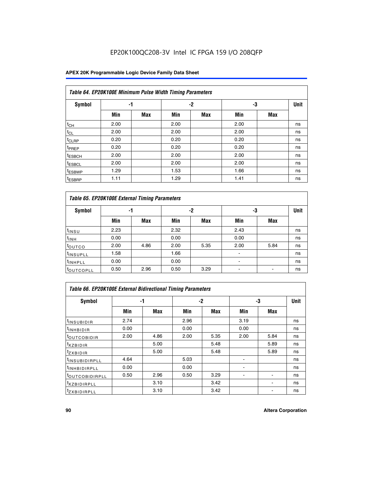## EP20K100QC208-3V Intel IC FPGA 159 I/O 208QFP

| Table 64. EP20K100E Minimum Pulse Width Timing Parameters |      |            |      |            |      |            |    |  |  |  |  |
|-----------------------------------------------------------|------|------------|------|------------|------|------------|----|--|--|--|--|
| <b>Symbol</b>                                             | -1   |            |      | $-2$       | -3   |            |    |  |  |  |  |
|                                                           | Min  | <b>Max</b> | Min  | <b>Max</b> | Min  | <b>Max</b> |    |  |  |  |  |
| $t_{CH}$                                                  | 2.00 |            | 2.00 |            | 2.00 |            | ns |  |  |  |  |
| $t_{CL}$                                                  | 2.00 |            | 2.00 |            | 2.00 |            | ns |  |  |  |  |
| t <sub>CLRP</sub>                                         | 0.20 |            | 0.20 |            | 0.20 |            | ns |  |  |  |  |
| <sup>t</sup> PREP                                         | 0.20 |            | 0.20 |            | 0.20 |            | ns |  |  |  |  |
| <sup>t</sup> ESBCH                                        | 2.00 |            | 2.00 |            | 2.00 |            | ns |  |  |  |  |
| <sup>t</sup> ESBCL                                        | 2.00 |            | 2.00 |            | 2.00 |            | ns |  |  |  |  |
| <sup>t</sup> ESBWP                                        | 1.29 |            | 1.53 |            | 1.66 |            | ns |  |  |  |  |
| <sup>t</sup> ESBRP                                        | 1.11 |            | 1.29 |            | 1.41 |            | ns |  |  |  |  |

|                      | Table 65. EP20K100E External Timing Parameters |            |      |            |                          |            |             |  |  |  |  |  |
|----------------------|------------------------------------------------|------------|------|------------|--------------------------|------------|-------------|--|--|--|--|--|
| <b>Symbol</b>        | -1                                             |            |      | -2         | -3                       |            | <b>Unit</b> |  |  |  |  |  |
|                      | Min                                            | <b>Max</b> | Min  | <b>Max</b> | Min                      | <b>Max</b> |             |  |  |  |  |  |
| t <sub>INSU</sub>    | 2.23                                           |            | 2.32 |            | 2.43                     |            | ns          |  |  |  |  |  |
| $t_{\rm INH}$        | 0.00                                           |            | 0.00 |            | 0.00                     |            | ns          |  |  |  |  |  |
| toutco               | 2.00                                           | 4.86       | 2.00 | 5.35       | 2.00                     | 5.84       | ns          |  |  |  |  |  |
| <sup>t</sup> INSUPLL | 1.58                                           |            | 1.66 |            |                          |            | ns          |  |  |  |  |  |
| <sup>t</sup> INHPLL  | 0.00                                           |            | 0.00 |            | $\overline{\phantom{a}}$ |            | ns          |  |  |  |  |  |
| <b>LOUTCOPLL</b>     | 0.50                                           | 2.96       | 0.50 | 3.29       | -                        |            | ns          |  |  |  |  |  |

| <b>Table 66. EP20K100E External Bidirectional Timing Parameters</b> |      |      |      |      |      |                          |    |  |  |  |
|---------------------------------------------------------------------|------|------|------|------|------|--------------------------|----|--|--|--|
| Symbol                                                              |      | -1   |      | -2   |      | -3                       |    |  |  |  |
|                                                                     | Min  | Max  | Min  | Max  | Min  | Max                      |    |  |  |  |
| <sup>t</sup> INSUBIDIR                                              | 2.74 |      | 2.96 |      | 3.19 |                          | ns |  |  |  |
| <sup>t</sup> INHBIDIR                                               | 0.00 |      | 0.00 |      | 0.00 |                          | ns |  |  |  |
| <b>LOUTCOBIDIR</b>                                                  | 2.00 | 4.86 | 2.00 | 5.35 | 2.00 | 5.84                     | ns |  |  |  |
| $t_{XZBIDIR}$                                                       |      | 5.00 |      | 5.48 |      | 5.89                     | ns |  |  |  |
| $I_{Z}$ <i>XBIDIR</i>                                               |      | 5.00 |      | 5.48 |      | 5.89                     | ns |  |  |  |
| <sup>t</sup> INSUBIDIRPLL                                           | 4.64 |      | 5.03 |      |      |                          | ns |  |  |  |
| <sup>t</sup> INHBIDIRPLL                                            | 0.00 |      | 0.00 |      |      |                          | ns |  |  |  |
| <sup>t</sup> OUTCOBIDIRPLL                                          | 0.50 | 2.96 | 0.50 | 3.29 |      | $\overline{\phantom{a}}$ | ns |  |  |  |
| <sup>t</sup> xzbidirpll                                             |      | 3.10 |      | 3.42 |      |                          | ns |  |  |  |
| <sup>I</sup> ZXBIDIRPLL                                             |      | 3.10 |      | 3.42 |      |                          | ns |  |  |  |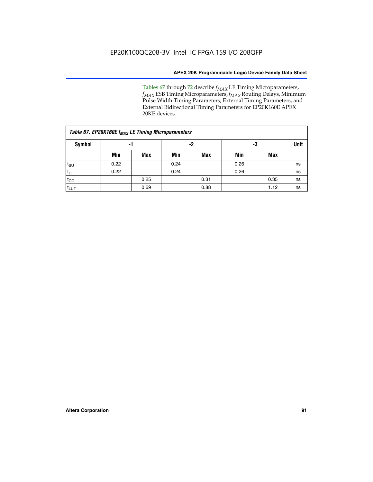Tables 67 through 72 describe *f<sub>MAX</sub>* LE Timing Microparameters, *f<sub>MAX</sub>* ESB Timing Microparameters, *f<sub>MAX</sub>* Routing Delays, Minimum Pulse Width Timing Parameters, External Timing Parameters, and External Bidirectional Timing Parameters for EP20K160E APEX 20KE devices.

|                  | Table 67. EP20K160E f <sub>MAX</sub> LE Timing Microparameters |            |      |            |      |      |    |  |  |  |  |  |
|------------------|----------------------------------------------------------------|------------|------|------------|------|------|----|--|--|--|--|--|
| Symbol           | -1                                                             |            |      | -2         |      | -3   |    |  |  |  |  |  |
|                  | Min                                                            | <b>Max</b> | Min  | <b>Max</b> | Min  | Max  |    |  |  |  |  |  |
| $t_{\text{SU}}$  | 0.22                                                           |            | 0.24 |            | 0.26 |      | ns |  |  |  |  |  |
| $t_H$            | 0.22                                                           |            | 0.24 |            | 0.26 |      | ns |  |  |  |  |  |
| $t_{CO}$         |                                                                | 0.25       |      | 0.31       |      | 0.35 | ns |  |  |  |  |  |
| t <sub>LUT</sub> |                                                                | 0.69       |      | 0.88       |      | 1.12 | ns |  |  |  |  |  |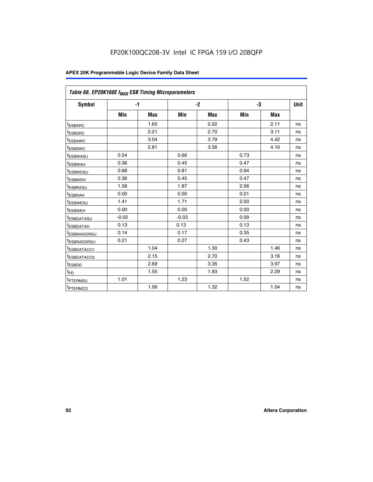| Table 68. EP20K160E f <sub>MAX</sub> ESB Timing Microparameters |         |            |         |            |      |      |             |
|-----------------------------------------------------------------|---------|------------|---------|------------|------|------|-------------|
| <b>Symbol</b>                                                   |         | $-1$       |         | $-2$       |      | -3   | <b>Unit</b> |
|                                                                 | Min     | <b>Max</b> | Min     | <b>Max</b> | Min  | Max  |             |
| <sup>t</sup> ESBARC                                             |         | 1.65       |         | 2.02       |      | 2.11 | ns          |
| t <sub>ESBSRC</sub>                                             |         | 2.21       |         | 2.70       |      | 3.11 | ns          |
| <sup>t</sup> ESBAWC                                             |         | 3.04       |         | 3.79       |      | 4.42 | ns          |
| <sup>t</sup> ESBSWC                                             |         | 2.81       |         | 3.56       |      | 4.10 | ns          |
| t <sub>ESBWASU</sub>                                            | 0.54    |            | 0.66    |            | 0.73 |      | ns          |
| <sup>t</sup> ESBWAH                                             | 0.36    |            | 0.45    |            | 0.47 |      | ns          |
| t <sub>ESBWDSU</sub>                                            | 0.68    |            | 0.81    |            | 0.94 |      | ns          |
| t <sub>ESBWDH</sub>                                             | 0.36    |            | 0.45    |            | 0.47 |      | ns          |
| t <sub>ESBRASU</sub>                                            | 1.58    |            | 1.87    |            | 2.06 |      | ns          |
| <sup>t</sup> ESBRAH                                             | 0.00    |            | 0.00    |            | 0.01 |      | ns          |
| <sup>t</sup> ESBWESU                                            | 1.41    |            | 1.71    |            | 2.00 |      | ns          |
| <sup>t</sup> ESBWEH                                             | 0.00    |            | 0.00    |            | 0.00 |      | ns          |
| <sup>t</sup> ESBDATASU                                          | $-0.02$ |            | $-0.03$ |            | 0.09 |      | ns          |
| t <sub>esbdatah</sub>                                           | 0.13    |            | 0.13    |            | 0.13 |      | ns          |
| t <sub>ESBWADDRSU</sub>                                         | 0.14    |            | 0.17    |            | 0.35 |      | ns          |
| <sup>t</sup> ESBRADDRSU                                         | 0.21    |            | 0.27    |            | 0.43 |      | ns          |
| t <sub>ESBDATACO1</sub>                                         |         | 1.04       |         | 1.30       |      | 1.46 | ns          |
| t <sub>ESBDATACO2</sub>                                         |         | 2.15       |         | 2.70       |      | 3.16 | ns          |
| <sup>t</sup> ESBDD                                              |         | 2.69       |         | 3.35       |      | 3.97 | ns          |
| t <sub>PD</sub>                                                 |         | 1.55       |         | 1.93       |      | 2.29 | ns          |
| t <sub>PTERMSU</sub>                                            | 1.01    |            | 1.23    |            | 1.52 |      | ns          |
| t <sub>PTERMCO</sub>                                            |         | 1.06       |         | 1.32       |      | 1.04 | ns          |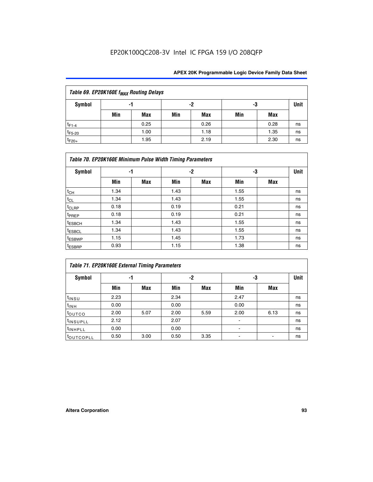| Table 69. EP20K160E f <sub>MAX</sub> Routing Delays |     |      |     |      |     |      |    |  |  |  |  |
|-----------------------------------------------------|-----|------|-----|------|-----|------|----|--|--|--|--|
| Symbol                                              |     | -1   |     | -2   |     | -3   |    |  |  |  |  |
|                                                     | Min | Max  | Min | Max  | Min | Max  |    |  |  |  |  |
| $t_{F1-4}$                                          |     | 0.25 |     | 0.26 |     | 0.28 | ns |  |  |  |  |
| $t_{F5-20}$                                         |     | 1.00 |     | 1.18 |     | 1.35 | ns |  |  |  |  |
| $t_{F20+}$                                          |     | 1.95 |     | 2.19 |     | 2.30 | ns |  |  |  |  |

|                    | Table 70. EP20K160E Minimum Pulse Width Timing Parameters |     |      |     |      |     |             |  |  |  |  |  |
|--------------------|-----------------------------------------------------------|-----|------|-----|------|-----|-------------|--|--|--|--|--|
| <b>Symbol</b>      |                                                           | -1  |      | -2  |      | -3  | <b>Unit</b> |  |  |  |  |  |
|                    | Min                                                       | Max | Min  | Max | Min  | Max |             |  |  |  |  |  |
| $t_{CH}$           | 1.34                                                      |     | 1.43 |     | 1.55 |     | ns          |  |  |  |  |  |
| $t_{CL}$           | 1.34                                                      |     | 1.43 |     | 1.55 |     | ns          |  |  |  |  |  |
| t <sub>CLRP</sub>  | 0.18                                                      |     | 0.19 |     | 0.21 |     | ns          |  |  |  |  |  |
| t <sub>PREP</sub>  | 0.18                                                      |     | 0.19 |     | 0.21 |     | ns          |  |  |  |  |  |
| <sup>t</sup> ESBCH | 1.34                                                      |     | 1.43 |     | 1.55 |     | ns          |  |  |  |  |  |
| <sup>t</sup> ESBCL | 1.34                                                      |     | 1.43 |     | 1.55 |     | ns          |  |  |  |  |  |
| <sup>t</sup> ESBWP | 1.15                                                      |     | 1.45 |     | 1.73 |     | ns          |  |  |  |  |  |
| <sup>t</sup> ESBRP | 0.93                                                      |     | 1.15 |     | 1.38 |     | ns          |  |  |  |  |  |

|                      | Table 71. EP20K160E External Timing Parameters |      |      |      |                |      |    |  |  |  |  |  |
|----------------------|------------------------------------------------|------|------|------|----------------|------|----|--|--|--|--|--|
| Symbol               | -1                                             |      |      | -2   | -3             | Unit |    |  |  |  |  |  |
|                      | Min                                            | Max  | Min  | Max  | Min            | Max  |    |  |  |  |  |  |
| $t_{INSU}$           | 2.23                                           |      | 2.34 |      | 2.47           |      | ns |  |  |  |  |  |
| $t_{INH}$            | 0.00                                           |      | 0.00 |      | 0.00           |      | ns |  |  |  |  |  |
| toutco               | 2.00                                           | 5.07 | 2.00 | 5.59 | 2.00           | 6.13 | ns |  |  |  |  |  |
| <sup>t</sup> INSUPLL | 2.12                                           |      | 2.07 |      | $\blacksquare$ |      | ns |  |  |  |  |  |
| <sup>t</sup> INHPLL  | 0.00                                           |      | 0.00 |      | ۰              |      | ns |  |  |  |  |  |
| toutcopll            | 0.50                                           | 3.00 | 0.50 | 3.35 |                |      | ns |  |  |  |  |  |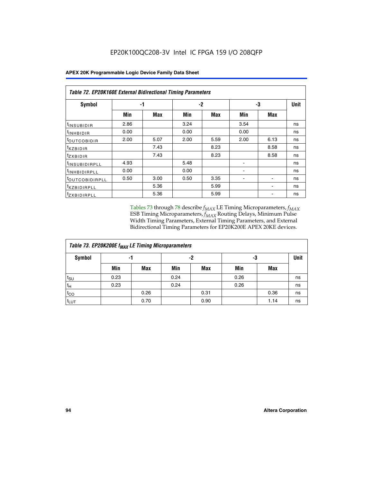|                               | <b>Table 72. EP20K160E External Bidirectional Timing Parameters</b> |      |      |            |                |      |      |  |  |  |  |
|-------------------------------|---------------------------------------------------------------------|------|------|------------|----------------|------|------|--|--|--|--|
| Symbol                        |                                                                     | -1   |      | -2         |                | -3   | Unit |  |  |  |  |
|                               | Min                                                                 | Max  | Min  | <b>Max</b> | Min            | Max  |      |  |  |  |  |
| t <sub>insu<u>bidir</u></sub> | 2.86                                                                |      | 3.24 |            | 3.54           |      | ns   |  |  |  |  |
| <b>UNHBIDIR</b>               | 0.00                                                                |      | 0.00 |            | 0.00           |      | ns   |  |  |  |  |
| <b>LOUTCOBIDIR</b>            | 2.00                                                                | 5.07 | 2.00 | 5.59       | 2.00           | 6.13 | ns   |  |  |  |  |
| KZBIDIR                       |                                                                     | 7.43 |      | 8.23       |                | 8.58 | ns   |  |  |  |  |
| <sup>t</sup> zxbidir          |                                                                     | 7.43 |      | 8.23       |                | 8.58 | ns   |  |  |  |  |
| <sup>t</sup> INSUBIDIRPLL     | 4.93                                                                |      | 5.48 |            | ۰              |      | ns   |  |  |  |  |
| <b>INHBIDIRPLL</b>            | 0.00                                                                |      | 0.00 |            | $\blacksquare$ |      | ns   |  |  |  |  |
| <b><i>LOUTCOBIDIRPLL</i></b>  | 0.50                                                                | 3.00 | 0.50 | 3.35       |                |      | ns   |  |  |  |  |
| <sup>T</sup> XZBIDIRPLL       |                                                                     | 5.36 |      | 5.99       |                |      | ns   |  |  |  |  |
| <sup>t</sup> ZXBIDIRPLL       |                                                                     | 5.36 |      | 5.99       |                |      | ns   |  |  |  |  |

Tables 73 through 78 describe  $f_{MAX}$  LE Timing Microparameters,  $f_{MAX}$ ESB Timing Microparameters, *f<sub>MAX</sub>* Routing Delays, Minimum Pulse Width Timing Parameters, External Timing Parameters, and External Bidirectional Timing Parameters for EP20K200E APEX 20KE devices.

|                     | Table 73. EP20K200E f <sub>MAX</sub> LE Timing Microparameters |      |      |            |      |      |             |  |  |  |  |  |
|---------------------|----------------------------------------------------------------|------|------|------------|------|------|-------------|--|--|--|--|--|
| <b>Symbol</b><br>-1 |                                                                |      | -2   |            | -3   |      | <b>Unit</b> |  |  |  |  |  |
|                     | Min                                                            | Max  | Min  | <b>Max</b> | Min  | Max  |             |  |  |  |  |  |
| $t_{\text{SU}}$     | 0.23                                                           |      | 0.24 |            | 0.26 |      | ns          |  |  |  |  |  |
| $t_H$               | 0.23                                                           |      | 0.24 |            | 0.26 |      | ns          |  |  |  |  |  |
| $t_{CO}$            |                                                                | 0.26 |      | 0.31       |      | 0.36 | ns          |  |  |  |  |  |
| t <sub>LUT</sub>    |                                                                | 0.70 |      | 0.90       |      | 1.14 | ns          |  |  |  |  |  |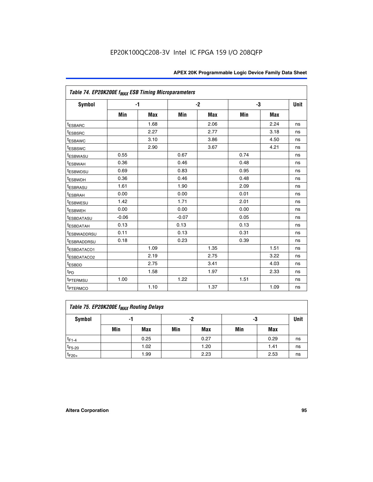|                                     | Table 74. EP20K200E f <sub>MAX</sub> ESB Timing Microparameters |            |         |      |      |      |             |  |  |  |  |
|-------------------------------------|-----------------------------------------------------------------|------------|---------|------|------|------|-------------|--|--|--|--|
| <b>Symbol</b>                       |                                                                 | $-1$       |         | $-2$ | -3   |      | <b>Unit</b> |  |  |  |  |
|                                     | Min                                                             | <b>Max</b> | Min     | Max  | Min  | Max  |             |  |  |  |  |
| <sup>t</sup> ESBARC                 |                                                                 | 1.68       |         | 2.06 |      | 2.24 | ns          |  |  |  |  |
| <sup>t</sup> ESBSRC                 |                                                                 | 2.27       |         | 2.77 |      | 3.18 | ns          |  |  |  |  |
| t <sub>ESBAWC</sub>                 |                                                                 | 3.10       |         | 3.86 |      | 4.50 | ns          |  |  |  |  |
| <sup>t</sup> ESBSWC                 |                                                                 | 2.90       |         | 3.67 |      | 4.21 | ns          |  |  |  |  |
| t <sub>ESBWASU</sub>                | 0.55                                                            |            | 0.67    |      | 0.74 |      | ns          |  |  |  |  |
| <sup>t</sup> ESBWAH                 | 0.36                                                            |            | 0.46    |      | 0.48 |      | ns          |  |  |  |  |
| <sup>t</sup> ESBWDSU                | 0.69                                                            |            | 0.83    |      | 0.95 |      | ns          |  |  |  |  |
| <sup>t</sup> ESBWDH                 | 0.36                                                            |            | 0.46    |      | 0.48 |      | ns          |  |  |  |  |
| <sup>t</sup> ESBRASU                | 1.61                                                            |            | 1.90    |      | 2.09 |      | ns          |  |  |  |  |
| t <sub>ESBRAH</sub>                 | 0.00                                                            |            | 0.00    |      | 0.01 |      | ns          |  |  |  |  |
| t <sub>ESBWESU</sub>                | 1.42                                                            |            | 1.71    |      | 2.01 |      | ns          |  |  |  |  |
| <sup>I</sup> ESBWEH                 | 0.00                                                            |            | 0.00    |      | 0.00 |      | ns          |  |  |  |  |
| t <sub>ESBDATASU</sub>              | $-0.06$                                                         |            | $-0.07$ |      | 0.05 |      | ns          |  |  |  |  |
| <b>ESBDATAH</b>                     | 0.13                                                            |            | 0.13    |      | 0.13 |      | ns          |  |  |  |  |
| t <sub>ESBWADDRSU</sub>             | 0.11                                                            |            | 0.13    |      | 0.31 |      | ns          |  |  |  |  |
| <sup>t</sup> ESBRADDRSU             | 0.18                                                            |            | 0.23    |      | 0.39 |      | ns          |  |  |  |  |
| ESBDATACO1                          |                                                                 | 1.09       |         | 1.35 |      | 1.51 | ns          |  |  |  |  |
| <sup>t</sup> ESBDATACO <sub>2</sub> |                                                                 | 2.19       |         | 2.75 |      | 3.22 | ns          |  |  |  |  |
| t <sub>ESBDD</sub>                  |                                                                 | 2.75       |         | 3.41 |      | 4.03 | ns          |  |  |  |  |
| $t_{PD}$                            |                                                                 | 1.58       |         | 1.97 |      | 2.33 | ns          |  |  |  |  |
| <sup>t</sup> PTERMSU                | 1.00                                                            |            | 1.22    |      | 1.51 |      | ns          |  |  |  |  |
| t <sub>PTERMCO</sub>                |                                                                 | 1.10       |         | 1.37 |      | 1.09 | ns          |  |  |  |  |

| Table 75. EP20K200E f <sub>MAX</sub> Routing Delays |     |      |     |            |     |      |             |  |  |  |
|-----------------------------------------------------|-----|------|-----|------------|-----|------|-------------|--|--|--|
| Symbol                                              |     | -1   |     | -2         | -3  |      | <b>Unit</b> |  |  |  |
|                                                     | Min | Max  | Min | <b>Max</b> | Min | Max  |             |  |  |  |
| $t_{F1-4}$                                          |     | 0.25 |     | 0.27       |     | 0.29 | ns          |  |  |  |
| $t_{F5-20}$                                         |     | 1.02 |     | 1.20       |     | 1.41 | ns          |  |  |  |
| $t_{F20+}$                                          |     | 1.99 |     | 2.23       |     | 2.53 | ns          |  |  |  |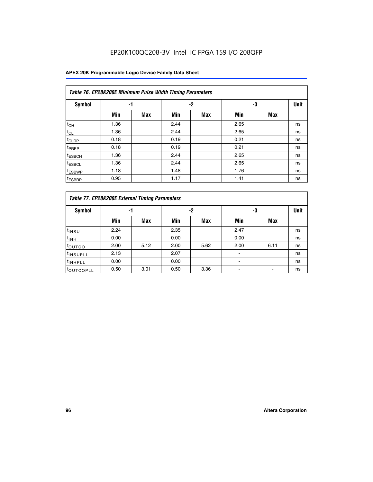## EP20K100QC208-3V Intel IC FPGA 159 I/O 208QFP

|                    | Table 76. EP20K200E Minimum Pulse Width Timing Parameters |            |      |      |      |            |             |  |  |  |  |  |
|--------------------|-----------------------------------------------------------|------------|------|------|------|------------|-------------|--|--|--|--|--|
| Symbol             | -1                                                        |            |      | $-2$ | -3   |            | <b>Unit</b> |  |  |  |  |  |
|                    | Min                                                       | <b>Max</b> | Min  | Max  | Min  | <b>Max</b> |             |  |  |  |  |  |
| $t_{CH}$           | 1.36                                                      |            | 2.44 |      | 2.65 |            | ns          |  |  |  |  |  |
| $t_{CL}$           | 1.36                                                      |            | 2.44 |      | 2.65 |            | ns          |  |  |  |  |  |
| $t_{CLRP}$         | 0.18                                                      |            | 0.19 |      | 0.21 |            | ns          |  |  |  |  |  |
| <sup>t</sup> PREP  | 0.18                                                      |            | 0.19 |      | 0.21 |            | ns          |  |  |  |  |  |
| <sup>t</sup> ESBCH | 1.36                                                      |            | 2.44 |      | 2.65 |            | ns          |  |  |  |  |  |
| <sup>t</sup> ESBCL | 1.36                                                      |            | 2.44 |      | 2.65 |            | ns          |  |  |  |  |  |
| <sup>t</sup> ESBWP | 1.18                                                      |            | 1.48 |      | 1.76 |            | ns          |  |  |  |  |  |
| <sup>t</sup> ESBRP | 0.95                                                      |            | 1.17 |      | 1.41 |            | ns          |  |  |  |  |  |

|                      | Table 77. EP20K200E External Timing Parameters |            |      |            |                          |            |             |  |  |  |  |  |
|----------------------|------------------------------------------------|------------|------|------------|--------------------------|------------|-------------|--|--|--|--|--|
| <b>Symbol</b>        |                                                | -1         |      | -2         |                          | -3         | <b>Unit</b> |  |  |  |  |  |
|                      | Min                                            | <b>Max</b> | Min  | <b>Max</b> | Min                      | <b>Max</b> |             |  |  |  |  |  |
| t <sub>INSU</sub>    | 2.24                                           |            | 2.35 |            | 2.47                     |            | ns          |  |  |  |  |  |
| $t_{\rm INH}$        | 0.00                                           |            | 0.00 |            | 0.00                     |            | ns          |  |  |  |  |  |
| <b>t</b> outco       | 2.00                                           | 5.12       | 2.00 | 5.62       | 2.00                     | 6.11       | ns          |  |  |  |  |  |
| <sup>t</sup> INSUPLL | 2.13                                           |            | 2.07 |            |                          |            | ns          |  |  |  |  |  |
| <sup>t</sup> INHPLL  | 0.00                                           |            | 0.00 |            | $\overline{\phantom{a}}$ |            | ns          |  |  |  |  |  |
| <b>LOUTCOPLL</b>     | 0.50                                           | 3.01       | 0.50 | 3.36       |                          |            | ns          |  |  |  |  |  |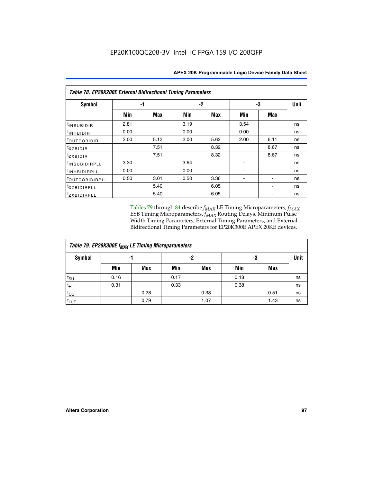| Table 78. EP20K200E External Bidirectional Timing Parameters |      |      |      |      |      |             |    |  |  |  |  |
|--------------------------------------------------------------|------|------|------|------|------|-------------|----|--|--|--|--|
| Symbol                                                       | -1   |      | $-2$ |      | -3   | <b>Unit</b> |    |  |  |  |  |
|                                                              | Min  | Max  | Min  | Max  | Min  | Max         |    |  |  |  |  |
| $t_{INSUBIDIR}$                                              | 2.81 |      | 3.19 |      | 3.54 |             | ns |  |  |  |  |
| $t_{INHBIDIR}$                                               | 0.00 |      | 0.00 |      | 0.00 |             | ns |  |  |  |  |
| t <sub>OUTCOBIDIR</sub>                                      | 2.00 | 5.12 | 2.00 | 5.62 | 2.00 | 6.11        | ns |  |  |  |  |
| <i>txzbidir</i>                                              |      | 7.51 |      | 8.32 |      | 8.67        | ns |  |  |  |  |
| tzxbidir                                                     |      | 7.51 |      | 8.32 |      | 8.67        | ns |  |  |  |  |
| <sup>t</sup> INSUBIDIRPLL                                    | 3.30 |      | 3.64 |      |      |             | ns |  |  |  |  |
| t <sub>INHBIDIRPLL</sub>                                     | 0.00 |      | 0.00 |      |      |             | ns |  |  |  |  |
| <sup>t</sup> OUTCOBIDIRPLL                                   | 0.50 | 3.01 | 0.50 | 3.36 |      |             | ns |  |  |  |  |
| <i>txzBIDIRPLL</i>                                           |      | 5.40 |      | 6.05 |      |             | ns |  |  |  |  |
| tzxBIDIRPLL                                                  |      | 5.40 |      | 6.05 |      |             | ns |  |  |  |  |

Tables 79 through 84 describe  $f_{MAX}$  LE Timing Microparameters,  $f_{MAX}$ ESB Timing Microparameters, *f<sub>MAX</sub>* Routing Delays, Minimum Pulse Width Timing Parameters, External Timing Parameters, and External Bidirectional Timing Parameters for EP20K300E APEX 20KE devices.

| Table 79. EP20K300E f <sub>MAX</sub> LE Timing Microparameters |      |            |      |            |      |            |    |  |  |  |
|----------------------------------------------------------------|------|------------|------|------------|------|------------|----|--|--|--|
| <b>Symbol</b>                                                  |      | -1         |      | -2         |      | -3         |    |  |  |  |
|                                                                | Min  | <b>Max</b> | Min  | <b>Max</b> | Min  | <b>Max</b> |    |  |  |  |
| $t_{\text{SU}}$                                                | 0.16 |            | 0.17 |            | 0.18 |            | ns |  |  |  |
| $t_H$                                                          | 0.31 |            | 0.33 |            | 0.38 |            | ns |  |  |  |
| $t_{CO}$                                                       |      | 0.28       |      | 0.38       |      | 0.51       | ns |  |  |  |
| $t_{LUT}$                                                      |      | 0.79       |      | 1.07       |      | 1.43       | ns |  |  |  |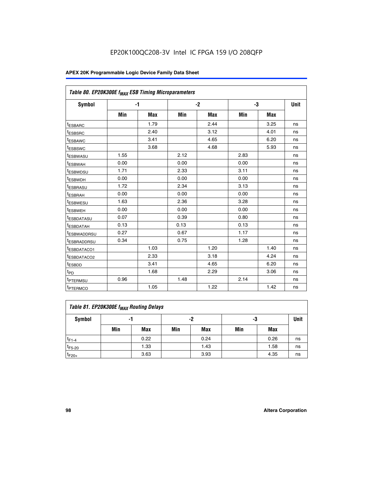| Table 80. EP20K300E f <sub>MAX</sub> ESB Timing Microparameters |      |            |      |            |      |            |      |
|-----------------------------------------------------------------|------|------------|------|------------|------|------------|------|
| <b>Symbol</b>                                                   |      | -1         |      | $-2$       |      | -3         | Unit |
|                                                                 | Min  | <b>Max</b> | Min  | <b>Max</b> | Min  | <b>Max</b> |      |
| t <sub>ESBARC</sub>                                             |      | 1.79       |      | 2.44       |      | 3.25       | ns   |
| t <sub>ESBSRC</sub>                                             |      | 2.40       |      | 3.12       |      | 4.01       | ns   |
| t <sub>ESBAWC</sub>                                             |      | 3.41       |      | 4.65       |      | 6.20       | ns   |
| t <sub>ESBSWC</sub>                                             |      | 3.68       |      | 4.68       |      | 5.93       | ns   |
| <sup>I</sup> ESBWASU                                            | 1.55 |            | 2.12 |            | 2.83 |            | ns   |
| <sup>t</sup> ESBWAH                                             | 0.00 |            | 0.00 |            | 0.00 |            | ns   |
| <sup>I</sup> ESBWDSU                                            | 1.71 |            | 2.33 |            | 3.11 |            | ns   |
| <sup>t</sup> ESBWDH                                             | 0.00 |            | 0.00 |            | 0.00 |            | ns   |
| <sup>t</sup> ESBRASU                                            | 1.72 |            | 2.34 |            | 3.13 |            | ns   |
| t <sub>ESBRAH</sub>                                             | 0.00 |            | 0.00 |            | 0.00 |            | ns   |
| <sup>t</sup> ESBWESU                                            | 1.63 |            | 2.36 |            | 3.28 |            | ns   |
| <sup>t</sup> ESBWEH                                             | 0.00 |            | 0.00 |            | 0.00 |            | ns   |
| t <sub>ESBDATASU</sub>                                          | 0.07 |            | 0.39 |            | 0.80 |            | ns   |
| <sup>t</sup> ESBDATAH                                           | 0.13 |            | 0.13 |            | 0.13 |            | ns   |
| <sup>t</sup> ESBWADDRSU                                         | 0.27 |            | 0.67 |            | 1.17 |            | ns   |
| <sup>t</sup> ESBRADDRSU                                         | 0.34 |            | 0.75 |            | 1.28 |            | ns   |
| <sup>I</sup> ESBDATACO1                                         |      | 1.03       |      | 1.20       |      | 1.40       | ns   |
| <sup>t</sup> ESBDATACO2                                         |      | 2.33       |      | 3.18       |      | 4.24       | ns   |
| <sup>t</sup> ESBDD                                              |      | 3.41       |      | 4.65       |      | 6.20       | ns   |
| t <sub>PD</sub>                                                 |      | 1.68       |      | 2.29       |      | 3.06       | ns   |
| t <sub>PTERMSU</sub>                                            | 0.96 |            | 1.48 |            | 2.14 |            | ns   |
| t <sub>PTERMCO</sub>                                            |      | 1.05       |      | 1.22       |      | 1.42       | ns   |

| Table 81. EP20K300E f <sub>MAX</sub> Routing Delays |     |      |     |            |     |      |      |  |  |  |
|-----------------------------------------------------|-----|------|-----|------------|-----|------|------|--|--|--|
| Symbol                                              |     | -1   |     | -2         | -3  |      | Unit |  |  |  |
|                                                     | Min | Max  | Min | <b>Max</b> | Min | Max  |      |  |  |  |
| $t_{F1-4}$                                          |     | 0.22 |     | 0.24       |     | 0.26 | ns   |  |  |  |
| $t_{F5-20}$                                         |     | 1.33 |     | 1.43       |     | 1.58 | ns   |  |  |  |
| $t_{F20+}$                                          |     | 3.63 |     | 3.93       |     | 4.35 | ns   |  |  |  |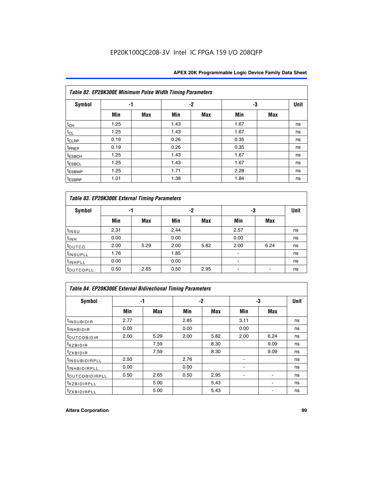|                    | Table 82. EP20K300E Minimum Pulse Width Timing Parameters |            |      |      |      |     |             |  |  |  |  |
|--------------------|-----------------------------------------------------------|------------|------|------|------|-----|-------------|--|--|--|--|
| <b>Symbol</b>      | -1                                                        |            |      | $-2$ | -3   |     | <b>Unit</b> |  |  |  |  |
|                    | Min                                                       | <b>Max</b> | Min  | Max  | Min  | Max |             |  |  |  |  |
| $t_{CH}$           | 1.25                                                      |            | 1.43 |      | 1.67 |     | ns          |  |  |  |  |
| $t_{CL}$           | 1.25                                                      |            | 1.43 |      | 1.67 |     | ns          |  |  |  |  |
| t <sub>CLRP</sub>  | 0.19                                                      |            | 0.26 |      | 0.35 |     | ns          |  |  |  |  |
| t <sub>PREP</sub>  | 0.19                                                      |            | 0.26 |      | 0.35 |     | ns          |  |  |  |  |
| t <sub>ESBCH</sub> | 1.25                                                      |            | 1.43 |      | 1.67 |     | ns          |  |  |  |  |
| <sup>t</sup> ESBCL | 1.25                                                      |            | 1.43 |      | 1.67 |     | ns          |  |  |  |  |
| <sup>t</sup> ESBWP | 1.25                                                      |            | 1.71 |      | 2.28 |     | ns          |  |  |  |  |
| <sup>t</sup> ESBRP | 1.01                                                      |            | 1.38 |      | 1.84 |     | ns          |  |  |  |  |

|                       | Table 83. EP20K300E External Timing Parameters |      |      |      |      |            |             |  |  |  |  |  |  |
|-----------------------|------------------------------------------------|------|------|------|------|------------|-------------|--|--|--|--|--|--|
| Symbol                |                                                | -1   |      | -2   |      | -3         | <b>Unit</b> |  |  |  |  |  |  |
|                       | Min                                            | Max  | Min  | Max  | Min  | <b>Max</b> |             |  |  |  |  |  |  |
| t <sub>INSU</sub>     | 2.31                                           |      | 2.44 |      | 2.57 |            | ns          |  |  |  |  |  |  |
| $t_{INH}$             | 0.00                                           |      | 0.00 |      | 0.00 |            | ns          |  |  |  |  |  |  |
| toutco                | 2.00                                           | 5.29 | 2.00 | 5.82 | 2.00 | 6.24       | ns          |  |  |  |  |  |  |
| <sup>t</sup> INSUPLL  | 1.76                                           |      | 1.85 |      |      |            | ns          |  |  |  |  |  |  |
| <sup>t</sup> INHPLL   | 0.00                                           |      | 0.00 |      | -    |            | ns          |  |  |  |  |  |  |
| <sup>t</sup> OUTCOPLL | 0.50                                           | 2.65 | 0.50 | 2.95 |      |            | ns          |  |  |  |  |  |  |

| Table 84. EP20K300E External Bidirectional Timing Parameters |      |      |      |      |      |             |    |  |  |  |  |
|--------------------------------------------------------------|------|------|------|------|------|-------------|----|--|--|--|--|
| Symbol                                                       | -1   |      | -2   |      | -3   | <b>Unit</b> |    |  |  |  |  |
|                                                              | Min  | Max  | Min  | Max  | Min  | Max         |    |  |  |  |  |
| <sup>t</sup> INSUBIDIR                                       | 2.77 |      | 2.85 |      | 3.11 |             | ns |  |  |  |  |
| <b>TINHBIDIR</b>                                             | 0.00 |      | 0.00 |      | 0.00 |             | ns |  |  |  |  |
| <sup>t</sup> OUTCOBIDIR                                      | 2.00 | 5.29 | 2.00 | 5.82 | 2.00 | 6.24        | ns |  |  |  |  |
| KZBIDIR                                                      |      | 7.59 |      | 8.30 |      | 9.09        | ns |  |  |  |  |
| $t_{Z}$ <i>x</i> BIDIR                                       |      | 7.59 |      | 8.30 |      | 9.09        | ns |  |  |  |  |
| <sup>I</sup> INSUBIDIRPLL                                    | 2.50 |      | 2.76 |      |      |             | ns |  |  |  |  |
| <sup>t</sup> INHBIDIRPLL                                     | 0.00 |      | 0.00 |      |      |             | ns |  |  |  |  |
| <b><i>LOUTCOBIDIRPLL</i></b>                                 | 0.50 | 2.65 | 0.50 | 2.95 |      |             | ns |  |  |  |  |
| <sup>T</sup> XZBIDIRPLL                                      |      | 5.00 |      | 5.43 |      |             | ns |  |  |  |  |
| <sup>t</sup> zxbidirpll                                      |      | 5.00 |      | 5.43 |      |             | ns |  |  |  |  |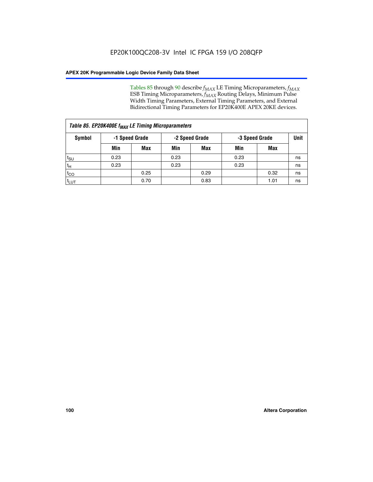Tables 85 through 90 describe  $f_{MAX}$  LE Timing Microparameters,  $f_{MAX}$ ESB Timing Microparameters, *f<sub>MAX</sub>* Routing Delays, Minimum Pulse Width Timing Parameters, External Timing Parameters, and External Bidirectional Timing Parameters for EP20K400E APEX 20KE devices.

| Table 85. EP20K400E f <sub>MAX</sub> LE Timing Microparameters |      |                |      |                |      |                |    |  |  |  |
|----------------------------------------------------------------|------|----------------|------|----------------|------|----------------|----|--|--|--|
| <b>Symbol</b>                                                  |      | -1 Speed Grade |      | -2 Speed Grade |      | -3 Speed Grade |    |  |  |  |
|                                                                | Min  | <b>Max</b>     | Min  | Max            | Min  | Max            |    |  |  |  |
| t <sub>SU</sub>                                                | 0.23 |                | 0.23 |                | 0.23 |                | ns |  |  |  |
| tн                                                             | 0.23 |                | 0.23 |                | 0.23 |                | ns |  |  |  |
| $t_{CO}$                                                       |      | 0.25           |      | 0.29           |      | 0.32           | ns |  |  |  |
| <sup>t</sup> LUT                                               |      | 0.70           |      | 0.83           |      | 1.01           | ns |  |  |  |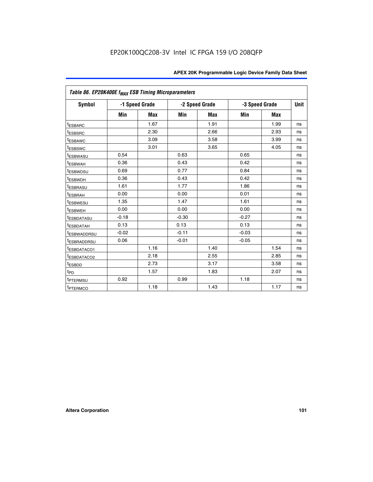|                         | Table 86. EP20K400E f <sub>MAX</sub> ESB Timing Microparameters |                |         |                |                |            |      |  |  |  |  |
|-------------------------|-----------------------------------------------------------------|----------------|---------|----------------|----------------|------------|------|--|--|--|--|
| Symbol                  |                                                                 | -1 Speed Grade |         | -2 Speed Grade | -3 Speed Grade |            | Unit |  |  |  |  |
|                         | Min                                                             | <b>Max</b>     | Min     | Max            | Min            | <b>Max</b> |      |  |  |  |  |
| <sup>t</sup> ESBARC     |                                                                 | 1.67           |         | 1.91           |                | 1.99       | ns   |  |  |  |  |
| <sup>t</sup> ESBSRC     |                                                                 | 2.30           |         | 2.66           |                | 2.93       | ns   |  |  |  |  |
| <sup>t</sup> ESBAWC     |                                                                 | 3.09           |         | 3.58           |                | 3.99       | ns   |  |  |  |  |
| <sup>t</sup> ESBSWC     |                                                                 | 3.01           |         | 3.65           |                | 4.05       | ns   |  |  |  |  |
| <sup>t</sup> ESBWASU    | 0.54                                                            |                | 0.63    |                | 0.65           |            | ns   |  |  |  |  |
| t <sub>ESBWAH</sub>     | 0.36                                                            |                | 0.43    |                | 0.42           |            | ns   |  |  |  |  |
| <sup>t</sup> ESBWDSU    | 0.69                                                            |                | 0.77    |                | 0.84           |            | ns   |  |  |  |  |
| <sup>I</sup> ESBWDH     | 0.36                                                            |                | 0.43    |                | 0.42           |            | ns   |  |  |  |  |
| t <sub>ESBRASU</sub>    | 1.61                                                            |                | 1.77    |                | 1.86           |            | ns   |  |  |  |  |
| t <sub>ESBRAH</sub>     | 0.00                                                            |                | 0.00    |                | 0.01           |            | ns   |  |  |  |  |
| <sup>t</sup> ESBWESU    | 1.35                                                            |                | 1.47    |                | 1.61           |            | ns   |  |  |  |  |
| t <sub>ESBWEH</sub>     | 0.00                                                            |                | 0.00    |                | 0.00           |            | ns   |  |  |  |  |
| <sup>I</sup> ESBDATASU  | $-0.18$                                                         |                | $-0.30$ |                | $-0.27$        |            | ns   |  |  |  |  |
| <b>ESBDATAH</b>         | 0.13                                                            |                | 0.13    |                | 0.13           |            | ns   |  |  |  |  |
| <sup>T</sup> ESBWADDRSU | $-0.02$                                                         |                | $-0.11$ |                | $-0.03$        |            | ns   |  |  |  |  |
| <sup>T</sup> ESBRADDRSU | 0.06                                                            |                | $-0.01$ |                | $-0.05$        |            | ns   |  |  |  |  |
| <sup>t</sup> ESBDATACO1 |                                                                 | 1.16           |         | 1.40           |                | 1.54       | ns   |  |  |  |  |
| <sup>t</sup> ESBDATACO2 |                                                                 | 2.18           |         | 2.55           |                | 2.85       | ns   |  |  |  |  |
| <sup>t</sup> ESBDD      |                                                                 | 2.73           |         | 3.17           |                | 3.58       | ns   |  |  |  |  |
| $t_{P\underline{D}}$    |                                                                 | 1.57           |         | 1.83           |                | 2.07       | ns   |  |  |  |  |
| t <sub>PTERMSU</sub>    | 0.92                                                            |                | 0.99    |                | 1.18           |            | ns   |  |  |  |  |
| <sup>t</sup> PTERMCO    |                                                                 | 1.18           |         | 1.43           |                | 1.17       | ns   |  |  |  |  |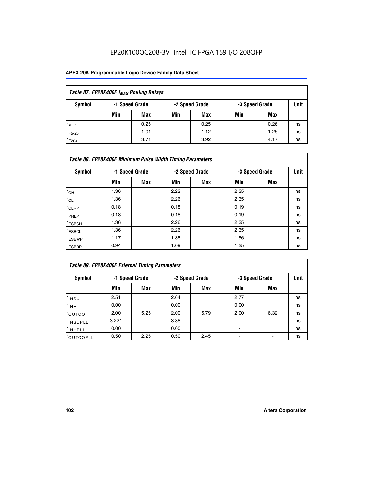## EP20K100QC208-3V Intel IC FPGA 159 I/O 208QFP

| Table 87. EP20K400E f <sub>MAX</sub> Routing Delays |                                                    |            |     |      |     |      |      |  |  |  |  |
|-----------------------------------------------------|----------------------------------------------------|------------|-----|------|-----|------|------|--|--|--|--|
| Symbol                                              | -2 Speed Grade<br>-1 Speed Grade<br>-3 Speed Grade |            |     |      |     |      | Unit |  |  |  |  |
|                                                     | Min                                                | <b>Max</b> | Min | Max  | Min | Max  |      |  |  |  |  |
| $t_{F1-4}$                                          |                                                    | 0.25       |     | 0.25 |     | 0.26 | ns   |  |  |  |  |
| $t_{F5-20}$                                         |                                                    | 1.01       |     | 1.12 |     | 1.25 | ns   |  |  |  |  |
| $t_{F20+}$                                          |                                                    | 3.71       |     | 3.92 |     | 4.17 | ns   |  |  |  |  |

|                    | Table 88. EP20K400E Minimum Pulse Width Timing Parameters |                |      |                |      |                |             |  |  |  |  |
|--------------------|-----------------------------------------------------------|----------------|------|----------------|------|----------------|-------------|--|--|--|--|
| Symbol             |                                                           | -1 Speed Grade |      | -2 Speed Grade |      | -3 Speed Grade | <b>Unit</b> |  |  |  |  |
|                    | Min                                                       | <b>Max</b>     | Min  | <b>Max</b>     | Min  | Max            |             |  |  |  |  |
| $t_{CH}$           | 1.36                                                      |                | 2.22 |                | 2.35 |                | ns          |  |  |  |  |
| $t_{\rm CL}$       | 1.36                                                      |                | 2.26 |                | 2.35 |                | ns          |  |  |  |  |
| $t_{CLRP}$         | 0.18                                                      |                | 0.18 |                | 0.19 |                | ns          |  |  |  |  |
| <sup>t</sup> PREP  | 0.18                                                      |                | 0.18 |                | 0.19 |                | ns          |  |  |  |  |
| <sup>t</sup> ESBCH | 1.36                                                      |                | 2.26 |                | 2.35 |                | ns          |  |  |  |  |
| <sup>t</sup> ESBCL | 1.36                                                      |                | 2.26 |                | 2.35 |                | ns          |  |  |  |  |
| <sup>t</sup> ESBWP | 1.17                                                      |                | 1.38 |                | 1.56 |                | ns          |  |  |  |  |
| <sup>t</sup> ESBRP | 0.94                                                      |                | 1.09 |                | 1.25 |                | ns          |  |  |  |  |

| Table 89. EP20K400E External Timing Parameters |                |            |      |                |                |      |    |  |  |  |
|------------------------------------------------|----------------|------------|------|----------------|----------------|------|----|--|--|--|
| Symbol                                         | -1 Speed Grade |            |      | -2 Speed Grade | -3 Speed Grade | Unit |    |  |  |  |
|                                                | Min            | <b>Max</b> | Min  | <b>Max</b>     | Min            | Max  |    |  |  |  |
| $t_{INSU}$                                     | 2.51           |            | 2.64 |                | 2.77           |      | ns |  |  |  |
| $t_{INH}$                                      | 0.00           |            | 0.00 |                | 0.00           |      | ns |  |  |  |
| t <sub>outco</sub>                             | 2.00           | 5.25       | 2.00 | 5.79           | 2.00           | 6.32 | ns |  |  |  |
| <sup>t</sup> INSUPLL                           | 3.221          |            | 3.38 |                |                |      | ns |  |  |  |
| <sup>t</sup> INHPLL                            | 0.00           |            | 0.00 |                | -              |      | ns |  |  |  |
| toutcopll                                      | 0.50           | 2.25       | 0.50 | 2.45           |                |      | ns |  |  |  |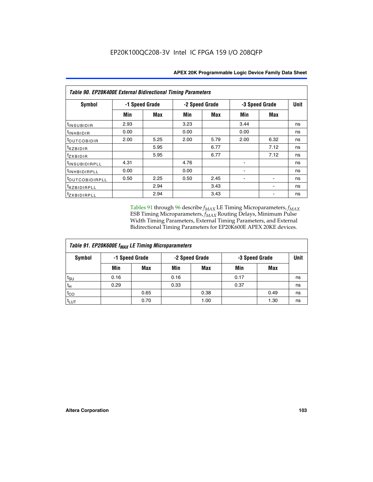| Table 90. EP20K400E External Bidirectional Timing Parameters |                |      |                |            |      |                |             |  |  |
|--------------------------------------------------------------|----------------|------|----------------|------------|------|----------------|-------------|--|--|
| Symbol                                                       | -1 Speed Grade |      | -2 Speed Grade |            |      | -3 Speed Grade | <b>Unit</b> |  |  |
|                                                              | Min            | Max  | Min            | <b>Max</b> | Min  | Max            |             |  |  |
| <sup>t</sup> INSUBIDIR                                       | 2.93           |      | 3.23           |            | 3.44 |                | ns          |  |  |
| $t_{\rm INHBIDIR}$                                           | 0.00           |      | 0.00           |            | 0.00 |                | ns          |  |  |
| <sup>t</sup> OUTCOBIDIR                                      | 2.00           | 5.25 | 2.00           | 5.79       | 2.00 | 6.32           | ns          |  |  |
| $t_{XZBIDIR}$                                                |                | 5.95 |                | 6.77       |      | 7.12           | ns          |  |  |
| tzxbidir                                                     |                | 5.95 |                | 6.77       |      | 7.12           | ns          |  |  |
| <sup>t</sup> insubidirpll                                    | 4.31           |      | 4.76           |            |      |                | ns          |  |  |
| <sup>t</sup> INHBIDIRPLL                                     | 0.00           |      | 0.00           |            |      |                | ns          |  |  |
| <sup>t</sup> OUTCOBIDIRPLL                                   | 0.50           | 2.25 | 0.50           | 2.45       |      |                | ns          |  |  |
| <sup>t</sup> XZBIDIRPLL                                      |                | 2.94 |                | 3.43       |      |                | ns          |  |  |
| <sup>t</sup> zxbidirpll                                      |                | 2.94 |                | 3.43       |      |                | ns          |  |  |

Tables 91 through 96 describe  $f_{MAX}$  LE Timing Microparameters,  $f_{MAX}$ ESB Timing Microparameters, *f<sub>MAX</sub>* Routing Delays, Minimum Pulse Width Timing Parameters, External Timing Parameters, and External Bidirectional Timing Parameters for EP20K600E APEX 20KE devices.

| Table 91. EP20K600E f <sub>MAX</sub> LE Timing Microparameters |                |      |      |                |      |                |    |  |  |
|----------------------------------------------------------------|----------------|------|------|----------------|------|----------------|----|--|--|
| Symbol                                                         | -1 Speed Grade |      |      | -2 Speed Grade |      | -3 Speed Grade |    |  |  |
|                                                                | Min            | Max  | Min  | <b>Max</b>     | Min  | Max            |    |  |  |
| $t_{\text{SU}}$                                                | 0.16           |      | 0.16 |                | 0.17 |                | ns |  |  |
| $t_H$                                                          | 0.29           |      | 0.33 |                | 0.37 |                | ns |  |  |
| $t_{CO}$                                                       |                | 0.65 |      | 0.38           |      | 0.49           | ns |  |  |
| t <sub>LUT</sub>                                               |                | 0.70 |      | 1.00           |      | 1.30           | ns |  |  |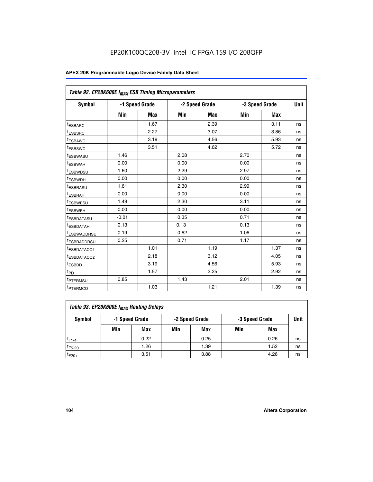| Table 92. EP20K600E f <sub>MAX</sub> ESB Timing Microparameters |         |                |      |                |                |             |    |
|-----------------------------------------------------------------|---------|----------------|------|----------------|----------------|-------------|----|
| <b>Symbol</b>                                                   |         | -1 Speed Grade |      | -2 Speed Grade | -3 Speed Grade | <b>Unit</b> |    |
|                                                                 | Min     | <b>Max</b>     | Min  | <b>Max</b>     | Min            | <b>Max</b>  |    |
| t <sub>ESBARC</sub>                                             |         | 1.67           |      | 2.39           |                | 3.11        | ns |
| t <sub>ESBSRC</sub>                                             |         | 2.27           |      | 3.07           |                | 3.86        | ns |
| <sup>t</sup> ESBAWC                                             |         | 3.19           |      | 4.56           |                | 5.93        | ns |
| t <sub>ESBSWC</sub>                                             |         | 3.51           |      | 4.62           |                | 5.72        | ns |
| <sup>t</sup> ESBWASU                                            | 1.46    |                | 2.08 |                | 2.70           |             | ns |
| t <sub>ESBWAH</sub>                                             | 0.00    |                | 0.00 |                | 0.00           |             | ns |
| t <sub>ESBWDSU</sub>                                            | 1.60    |                | 2.29 |                | 2.97           |             | ns |
| <sup>t</sup> ESBWDH                                             | 0.00    |                | 0.00 |                | 0.00           |             | ns |
| <sup>t</sup> ESBRASU                                            | 1.61    |                | 2.30 |                | 2.99           |             | ns |
| t <sub>ESBRAH</sub>                                             | 0.00    |                | 0.00 |                | 0.00           |             | ns |
| t <sub>ESBWESU</sub>                                            | 1.49    |                | 2.30 |                | 3.11           |             | ns |
| <sup>t</sup> ESBWEH                                             | 0.00    |                | 0.00 |                | 0.00           |             | ns |
| <sup>t</sup> ESBDATASU                                          | $-0.01$ |                | 0.35 |                | 0.71           |             | ns |
| <sup>t</sup> ESBDATAH                                           | 0.13    |                | 0.13 |                | 0.13           |             | ns |
| <sup>t</sup> ESBWADDRSU                                         | 0.19    |                | 0.62 |                | 1.06           |             | ns |
| <sup>t</sup> ESBRADDRSU                                         | 0.25    |                | 0.71 |                | 1.17           |             | ns |
| <sup>I</sup> ESBDATACO1                                         |         | 1.01           |      | 1.19           |                | 1.37        | ns |
| <sup>t</sup> ESBDATACO2                                         |         | 2.18           |      | 3.12           |                | 4.05        | ns |
| <sup>t</sup> ESBDD                                              |         | 3.19           |      | 4.56           |                | 5.93        | ns |
| t <sub>PD</sub>                                                 |         | 1.57           |      | 2.25           |                | 2.92        | ns |
| <b>TPTERMSU</b>                                                 | 0.85    |                | 1.43 |                | 2.01           |             | ns |
| t <sub>PTERMCO</sub>                                            |         | 1.03           |      | 1.21           |                | 1.39        | ns |

| Table 93. EP20K600E f <sub>MAX</sub> Routing Delays |                |      |     |                |     |                |    |  |  |
|-----------------------------------------------------|----------------|------|-----|----------------|-----|----------------|----|--|--|
| Symbol                                              | -1 Speed Grade |      |     | -2 Speed Grade |     | -3 Speed Grade |    |  |  |
|                                                     | Min            | Max  | Min | Max            | Min | Max            |    |  |  |
| $t_{F1-4}$                                          |                | 0.22 |     | 0.25           |     | 0.26           | ns |  |  |
| $t_{F5-20}$                                         |                | 1.26 |     | 1.39           |     | 1.52           | ns |  |  |
| $t_{F20+}$                                          |                | 3.51 |     | 3.88           |     | 4.26           | ns |  |  |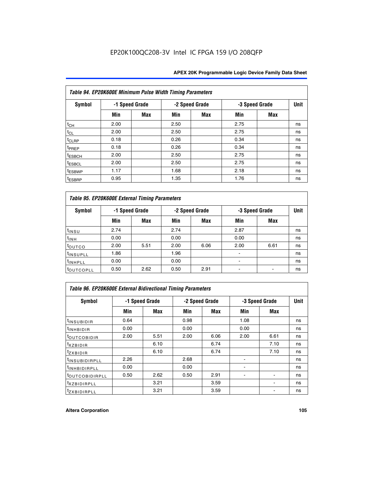| Table 94. EP20K600E Minimum Pulse Width Timing Parameters |      |                |      |                |      |                |    |  |  |
|-----------------------------------------------------------|------|----------------|------|----------------|------|----------------|----|--|--|
| Symbol                                                    |      | -1 Speed Grade |      | -2 Speed Grade |      | -3 Speed Grade |    |  |  |
|                                                           | Min  | Max            | Min  | Max            | Min  | <b>Max</b>     |    |  |  |
| $t_{CH}$                                                  | 2.00 |                | 2.50 |                | 2.75 |                | ns |  |  |
| $t_{CL}$                                                  | 2.00 |                | 2.50 |                | 2.75 |                | ns |  |  |
| t <sub>CLRP</sub>                                         | 0.18 |                | 0.26 |                | 0.34 |                | ns |  |  |
| t <sub>PREP</sub>                                         | 0.18 |                | 0.26 |                | 0.34 |                | ns |  |  |
| <sup>t</sup> ESBCH                                        | 2.00 |                | 2.50 |                | 2.75 |                | ns |  |  |
| <sup>t</sup> ESBCL                                        | 2.00 |                | 2.50 |                | 2.75 |                | ns |  |  |
| t <sub>ESBWP</sub>                                        | 1.17 |                | 1.68 |                | 2.18 |                | ns |  |  |
| <sup>t</sup> ESBRP                                        | 0.95 |                | 1.35 |                | 1.76 |                | ns |  |  |

| Table 95. EP20K600E External Timing Parameters |                |      |      |                |                          |             |    |  |  |
|------------------------------------------------|----------------|------|------|----------------|--------------------------|-------------|----|--|--|
| <b>Symbol</b>                                  | -1 Speed Grade |      |      | -2 Speed Grade | -3 Speed Grade           | <b>Unit</b> |    |  |  |
|                                                | Min            | Max  | Min  | <b>Max</b>     | Min                      | <b>Max</b>  |    |  |  |
| t <sub>insu</sub>                              | 2.74           |      | 2.74 |                | 2.87                     |             | ns |  |  |
| $t_{INH}$                                      | 0.00           |      | 0.00 |                | 0.00                     |             | ns |  |  |
| toutco                                         | 2.00           | 5.51 | 2.00 | 6.06           | 2.00                     | 6.61        | ns |  |  |
| <sup>t</sup> INSUPLL                           | 1.86           |      | 1.96 |                |                          |             | ns |  |  |
| <sup>t</sup> INHPLL                            | 0.00           |      | 0.00 |                | $\overline{\phantom{a}}$ |             | ns |  |  |
| <b>LOUTCOPLL</b>                               | 0.50           | 2.62 | 0.50 | 2.91           |                          |             | ns |  |  |

| <b>Table 96. EP20K600E External Bidirectional Timing Parameters</b> |                |            |      |                |      |                              |             |  |  |
|---------------------------------------------------------------------|----------------|------------|------|----------------|------|------------------------------|-------------|--|--|
| Symbol                                                              | -1 Speed Grade |            |      | -2 Speed Grade |      | -3 Speed Grade               | <b>Unit</b> |  |  |
|                                                                     | Min            | <b>Max</b> | Min  | Max            | Min  | <b>Max</b>                   |             |  |  |
| t <sub>INSUBIDIR</sub>                                              | 0.64           |            | 0.98 |                | 1.08 |                              | ns          |  |  |
| $t_{\rm INHBIDIR}$                                                  | 0.00           |            | 0.00 |                | 0.00 |                              | ns          |  |  |
| <sup>t</sup> OUTCOBIDIR                                             | 2.00           | 5.51       | 2.00 | 6.06           | 2.00 | 6.61                         | ns          |  |  |
| $txz$ BIDIR                                                         |                | 6.10       |      | 6.74           |      | 7.10                         | ns          |  |  |
| $t_{Z}$ <i>x</i> BIDIR                                              |                | 6.10       |      | 6.74           |      | 7.10                         | ns          |  |  |
| <sup>t</sup> INSUBIDIRPLL                                           | 2.26           |            | 2.68 |                |      |                              | ns          |  |  |
| <sup>t</sup> INHBIDIRPLL                                            | 0.00           |            | 0.00 |                |      |                              | ns          |  |  |
| <b><i>LOUTCOBIDIRPLL</i></b>                                        | 0.50           | 2.62       | 0.50 | 2.91           |      |                              | ns          |  |  |
| <sup>t</sup> xzbidirpll                                             |                | 3.21       |      | 3.59           |      | $\qquad \qquad \blacksquare$ | ns          |  |  |
| <i>t</i> zxbidirpll                                                 |                | 3.21       |      | 3.59           |      |                              | ns          |  |  |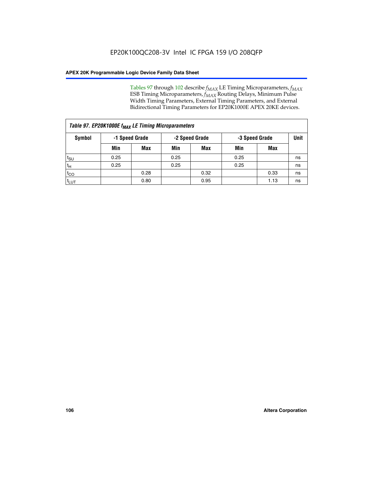Tables 97 through 102 describe  $f_{MAX}$  LE Timing Microparameters,  $f_{MAX}$ ESB Timing Microparameters, *f<sub>MAX</sub>* Routing Delays, Minimum Pulse Width Timing Parameters, External Timing Parameters, and External Bidirectional Timing Parameters for EP20K1000E APEX 20KE devices.

| Table 97. EP20K1000E f <sub>MAX</sub> LE Timing Microparameters |                |            |                |      |                |      |             |  |  |
|-----------------------------------------------------------------|----------------|------------|----------------|------|----------------|------|-------------|--|--|
| <b>Symbol</b>                                                   | -1 Speed Grade |            | -2 Speed Grade |      | -3 Speed Grade |      | <b>Unit</b> |  |  |
|                                                                 | Min            | <b>Max</b> | Min            | Max  | Min            | Max  |             |  |  |
| t <sub>SU</sub>                                                 | 0.25           |            | 0.25           |      | 0.25           |      | ns          |  |  |
| tн                                                              | 0.25           |            | 0.25           |      | 0.25           |      | ns          |  |  |
| $t_{CO}$                                                        |                | 0.28       |                | 0.32 |                | 0.33 | ns          |  |  |
| <sup>t</sup> LUT                                                |                | 0.80       |                | 0.95 |                | 1.13 | ns          |  |  |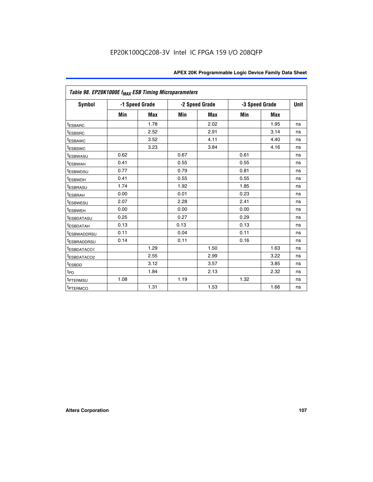|                         | Table 98. EP20K1000E f <sub>MAX</sub> ESB Timing Microparameters |            |      |                |                |             |    |  |  |  |
|-------------------------|------------------------------------------------------------------|------------|------|----------------|----------------|-------------|----|--|--|--|
| Symbol                  | -1 Speed Grade                                                   |            |      | -2 Speed Grade | -3 Speed Grade | <b>Unit</b> |    |  |  |  |
|                         | Min                                                              | <b>Max</b> | Min  | <b>Max</b>     | Min            | <b>Max</b>  |    |  |  |  |
| <sup>t</sup> ESBARC     |                                                                  | 1.78       |      | 2.02           |                | 1.95        | ns |  |  |  |
| <sup>t</sup> ESBSRC     |                                                                  | 2.52       |      | 2.91           |                | 3.14        | ns |  |  |  |
| <sup>t</sup> ESBAWC     |                                                                  | 3.52       |      | 4.11           |                | 4.40        | ns |  |  |  |
| <sup>t</sup> ESBSWC     |                                                                  | 3.23       |      | 3.84           |                | 4.16        | ns |  |  |  |
| <sup>t</sup> ESBWASU    | 0.62                                                             |            | 0.67 |                | 0.61           |             | ns |  |  |  |
| t <sub>ESBWAH</sub>     | 0.41                                                             |            | 0.55 |                | 0.55           |             | ns |  |  |  |
| <sup>t</sup> ESBWDSU    | 0.77                                                             |            | 0.79 |                | 0.81           |             | ns |  |  |  |
| <sup>t</sup> ESBWDH     | 0.41                                                             |            | 0.55 |                | 0.55           |             | ns |  |  |  |
| <i><b>LESBRASU</b></i>  | 1.74                                                             |            | 1.92 |                | 1.85           |             | ns |  |  |  |
| <sup>t</sup> ESBRAH     | 0.00                                                             |            | 0.01 |                | 0.23           |             | ns |  |  |  |
| <sup>t</sup> ESBWESU    | 2.07                                                             |            | 2.28 |                | 2.41           |             | ns |  |  |  |
| <sup>t</sup> ESBWEH     | 0.00                                                             |            | 0.00 |                | 0.00           |             | ns |  |  |  |
| <sup>t</sup> ESBDATASU  | 0.25                                                             |            | 0.27 |                | 0.29           |             | ns |  |  |  |
| <sup>t</sup> ESBDATAH   | 0.13                                                             |            | 0.13 |                | 0.13           |             | ns |  |  |  |
| <sup>T</sup> ESBWADDRSU | 0.11                                                             |            | 0.04 |                | 0.11           |             | ns |  |  |  |
| <sup>t</sup> ESBRADDRSU | 0.14                                                             |            | 0.11 |                | 0.16           |             | ns |  |  |  |
| <sup>t</sup> ESBDATACO1 |                                                                  | 1.29       |      | 1.50           |                | 1.63        | ns |  |  |  |
| <sup>t</sup> ESBDATACO2 |                                                                  | 2.55       |      | 2.99           |                | 3.22        | ns |  |  |  |
| <sup>t</sup> ESBDD      |                                                                  | 3.12       |      | 3.57           |                | 3.85        | ns |  |  |  |
| t <sub>PD</sub>         |                                                                  | 1.84       |      | 2.13           |                | 2.32        | ns |  |  |  |
| <sup>t</sup> PTERMSU    | 1.08                                                             |            | 1.19 |                | 1.32           |             | ns |  |  |  |
| <sup>t</sup> PTERMCO    |                                                                  | 1.31       |      | 1.53           |                | 1.66        | ns |  |  |  |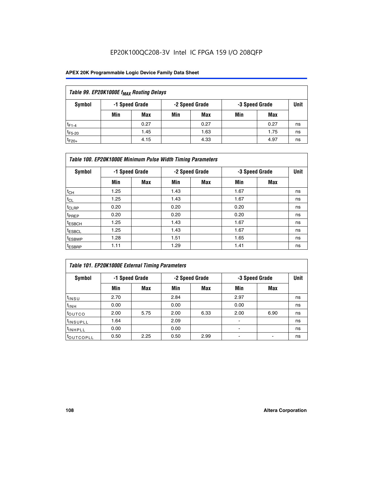## EP20K100QC208-3V Intel IC FPGA 159 I/O 208QFP

### **APEX 20K Programmable Logic Device Family Data Sheet**

| Table 99. EP20K1000E f <sub>MAX</sub> Routing Delays |                                                    |            |     |      |     |      |    |  |  |  |  |
|------------------------------------------------------|----------------------------------------------------|------------|-----|------|-----|------|----|--|--|--|--|
| Symbol                                               | -1 Speed Grade<br>-2 Speed Grade<br>-3 Speed Grade |            |     |      |     |      |    |  |  |  |  |
|                                                      | Min                                                | <b>Max</b> | Min | Max  | Min | Max  |    |  |  |  |  |
| $t_{F1-4}$                                           |                                                    | 0.27       |     | 0.27 |     | 0.27 | ns |  |  |  |  |
| $t_{F5-20}$                                          |                                                    | 1.45       |     | 1.63 |     | 1.75 | ns |  |  |  |  |
| $t_{F20+}$                                           |                                                    | 4.15       |     | 4.33 |     | 4.97 | ns |  |  |  |  |

|                    | Table 100. EP20K1000E Minimum Pulse Width Timing Parameters |            |      |                |      |                |             |  |  |  |  |  |
|--------------------|-------------------------------------------------------------|------------|------|----------------|------|----------------|-------------|--|--|--|--|--|
| Symbol             | -1 Speed Grade                                              |            |      | -2 Speed Grade |      | -3 Speed Grade | <b>Unit</b> |  |  |  |  |  |
|                    | Min                                                         | <b>Max</b> | Min  | Max            | Min  | Max            |             |  |  |  |  |  |
| $t_{CH}$           | 1.25                                                        |            | 1.43 |                | 1.67 |                | ns          |  |  |  |  |  |
| $t_{CL}$           | 1.25                                                        |            | 1.43 |                | 1.67 |                | ns          |  |  |  |  |  |
| t <sub>CLRP</sub>  | 0.20                                                        |            | 0.20 |                | 0.20 |                | ns          |  |  |  |  |  |
| <sup>t</sup> PREP  | 0.20                                                        |            | 0.20 |                | 0.20 |                | ns          |  |  |  |  |  |
| <sup>t</sup> ESBCH | 1.25                                                        |            | 1.43 |                | 1.67 |                | ns          |  |  |  |  |  |
| <sup>t</sup> ESBCL | 1.25                                                        |            | 1.43 |                | 1.67 |                | ns          |  |  |  |  |  |
| <sup>t</sup> ESBWP | 1.28                                                        |            | 1.51 |                | 1.65 |                | ns          |  |  |  |  |  |
| <sup>t</sup> ESBRP | 1.11                                                        |            | 1.29 |                | 1.41 |                | ns          |  |  |  |  |  |

| Table 101. EP20K1000E External Timing Parameters |      |                |      |                |                          |                |             |  |  |  |  |
|--------------------------------------------------|------|----------------|------|----------------|--------------------------|----------------|-------------|--|--|--|--|
| Symbol                                           |      | -1 Speed Grade |      | -2 Speed Grade |                          | -3 Speed Grade | <b>Unit</b> |  |  |  |  |
|                                                  | Min  | Max            | Min  | <b>Max</b>     | Min                      | Max            |             |  |  |  |  |
| t <sub>INSU</sub>                                | 2.70 |                | 2.84 |                | 2.97                     |                | ns          |  |  |  |  |
| $t_{INH}$                                        | 0.00 |                | 0.00 |                | 0.00                     |                | ns          |  |  |  |  |
| toutco                                           | 2.00 | 5.75           | 2.00 | 6.33           | 2.00                     | 6.90           | ns          |  |  |  |  |
| <sup>t</sup> INSUPLL                             | 1.64 |                | 2.09 |                | ۰                        |                | ns          |  |  |  |  |
| I <sup>t</sup> INHPLL                            | 0.00 |                | 0.00 |                | $\overline{\phantom{a}}$ |                | ns          |  |  |  |  |
| toutcopll                                        | 0.50 | 2.25           | 0.50 | 2.99           | -                        |                | ns          |  |  |  |  |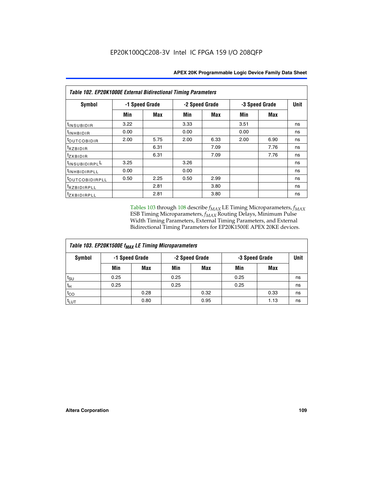| Table 102. EP20K1000E External Bidirectional Timing Parameters |                |            |                |      |                |             |    |  |  |  |
|----------------------------------------------------------------|----------------|------------|----------------|------|----------------|-------------|----|--|--|--|
| Symbol                                                         | -1 Speed Grade |            | -2 Speed Grade |      | -3 Speed Grade | <b>Unit</b> |    |  |  |  |
|                                                                | Min            | <b>Max</b> | Min            | Max  | Min            | <b>Max</b>  |    |  |  |  |
| t <sub>INSUBIDIR</sub>                                         | 3.22           |            | 3.33           |      | 3.51           |             | ns |  |  |  |
| t <sub>INHBIDIR</sub>                                          | 0.00           |            | 0.00           |      | 0.00           |             | ns |  |  |  |
| t <sub>outcobidir</sub>                                        | 2.00           | 5.75       | 2.00           | 6.33 | 2.00           | 6.90        | ns |  |  |  |
| <i>txzbidir</i>                                                |                | 6.31       |                | 7.09 |                | 7.76        | ns |  |  |  |
| tzxbidir                                                       |                | 6.31       |                | 7.09 |                | 7.76        | ns |  |  |  |
| t <sub>INSUBIDIRPL</sub> L                                     | 3.25           |            | 3.26           |      |                |             | ns |  |  |  |
| tINHBIDIRPLL                                                   | 0.00           |            | 0.00           |      |                |             | ns |  |  |  |
| tout COBIDIRPLL                                                | 0.50           | 2.25       | 0.50           | 2.99 |                |             | ns |  |  |  |
| <i>txzBIDIRPLL</i>                                             |                | 2.81       |                | 3.80 |                |             | ns |  |  |  |
| tzxBIDIRPLL                                                    |                | 2.81       |                | 3.80 |                |             | ns |  |  |  |

Tables 103 through 108 describe  $f_{MAX}$  LE Timing Microparameters,  $f_{MAX}$ ESB Timing Microparameters, *f<sub>MAX</sub>* Routing Delays, Minimum Pulse Width Timing Parameters, External Timing Parameters, and External Bidirectional Timing Parameters for EP20K1500E APEX 20KE devices.

| Table 103. EP20K1500E f <sub>MAX</sub> LE Timing Microparameters |      |                |                |            |                |      |             |  |  |  |  |
|------------------------------------------------------------------|------|----------------|----------------|------------|----------------|------|-------------|--|--|--|--|
| Symbol                                                           |      | -1 Speed Grade | -2 Speed Grade |            | -3 Speed Grade |      | <b>Unit</b> |  |  |  |  |
|                                                                  | Min  | <b>Max</b>     | Min            | <b>Max</b> | Min            | Max  |             |  |  |  |  |
| $t_{\text{SU}}$                                                  | 0.25 |                | 0.25           |            | 0.25           |      | ns          |  |  |  |  |
| $t_H$                                                            | 0.25 |                | 0.25           |            | 0.25           |      | ns          |  |  |  |  |
| $t_{CO}$                                                         |      | 0.28           |                | 0.32       |                | 0.33 | ns          |  |  |  |  |
| t <sub>lut</sub>                                                 |      | 0.80           |                | 0.95       |                | 1.13 | ns          |  |  |  |  |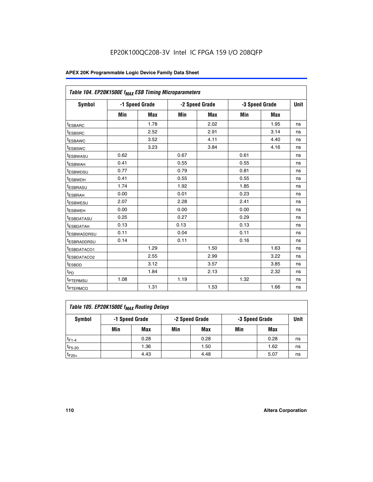|                         | Table 104. EP20K1500E f <sub>MAX</sub> ESB Timing Microparameters |                |            |                |      |                |             |  |  |  |  |  |
|-------------------------|-------------------------------------------------------------------|----------------|------------|----------------|------|----------------|-------------|--|--|--|--|--|
| <b>Symbol</b>           |                                                                   | -1 Speed Grade |            | -2 Speed Grade |      | -3 Speed Grade | <b>Unit</b> |  |  |  |  |  |
|                         | Min                                                               | <b>Max</b>     | <b>Min</b> | Max            | Min  | Max            |             |  |  |  |  |  |
| <sup>t</sup> ESBARC     |                                                                   | 1.78           |            | 2.02           |      | 1.95           | ns          |  |  |  |  |  |
| t <sub>ESBSRC</sub>     |                                                                   | 2.52           |            | 2.91           |      | 3.14           | ns          |  |  |  |  |  |
| <sup>t</sup> ESBAWC     |                                                                   | 3.52           |            | 4.11           |      | 4.40           | ns          |  |  |  |  |  |
| t <sub>ESBSWC</sub>     |                                                                   | 3.23           |            | 3.84           |      | 4.16           | ns          |  |  |  |  |  |
| t <sub>ESBWASU</sub>    | 0.62                                                              |                | 0.67       |                | 0.61 |                | ns          |  |  |  |  |  |
| t <sub>ESBWAH</sub>     | 0.41                                                              |                | 0.55       |                | 0.55 |                | ns          |  |  |  |  |  |
| <sup>t</sup> ESBWDSU    | 0.77                                                              |                | 0.79       |                | 0.81 |                | ns          |  |  |  |  |  |
| t <sub>ESBWDH</sub>     | 0.41                                                              |                | 0.55       |                | 0.55 |                | ns          |  |  |  |  |  |
| <sup>t</sup> ESBRASU    | 1.74                                                              |                | 1.92       |                | 1.85 |                | ns          |  |  |  |  |  |
| <sup>t</sup> ESBRAH     | 0.00                                                              |                | 0.01       |                | 0.23 |                | ns          |  |  |  |  |  |
| <sup>t</sup> ESBWESU    | 2.07                                                              |                | 2.28       |                | 2.41 |                | ns          |  |  |  |  |  |
| <sup>t</sup> ESBWEH     | 0.00                                                              |                | 0.00       |                | 0.00 |                | ns          |  |  |  |  |  |
| <sup>t</sup> ESBDATASU  | 0.25                                                              |                | 0.27       |                | 0.29 |                | ns          |  |  |  |  |  |
| <sup>t</sup> ESBDATAH   | 0.13                                                              |                | 0.13       |                | 0.13 |                | ns          |  |  |  |  |  |
| <sup>t</sup> ESBWADDRSU | 0.11                                                              |                | 0.04       |                | 0.11 |                | ns          |  |  |  |  |  |
| t <sub>ESBRADDRSU</sub> | 0.14                                                              |                | 0.11       |                | 0.16 |                | ns          |  |  |  |  |  |
| <sup>I</sup> ESBDATACO1 |                                                                   | 1.29           |            | 1.50           |      | 1.63           | ns          |  |  |  |  |  |
| <sup>t</sup> ESBDATACO2 |                                                                   | 2.55           |            | 2.99           |      | 3.22           | ns          |  |  |  |  |  |
| <sup>t</sup> ESBDD      |                                                                   | 3.12           |            | 3.57           |      | 3.85           | ns          |  |  |  |  |  |
| t <sub>PD</sub>         |                                                                   | 1.84           |            | 2.13           |      | 2.32           | ns          |  |  |  |  |  |
| t <sub>PTERMSU</sub>    | 1.08                                                              |                | 1.19       |                | 1.32 |                | ns          |  |  |  |  |  |
| t <sub>PTERMCO</sub>    |                                                                   | 1.31           |            | 1.53           |      | 1.66           | ns          |  |  |  |  |  |

| Table 105. EP20K1500E f <sub>MAX</sub> Routing Delays |                                                    |      |     |      |     |      |    |  |  |  |
|-------------------------------------------------------|----------------------------------------------------|------|-----|------|-----|------|----|--|--|--|
| Symbol                                                | -1 Speed Grade<br>-2 Speed Grade<br>-3 Speed Grade |      |     |      |     |      |    |  |  |  |
|                                                       | Min                                                | Max  | Min | Max  | Min | Max  |    |  |  |  |
| $t_{F1-4}$                                            |                                                    | 0.28 |     | 0.28 |     | 0.28 | ns |  |  |  |
| $t_{F5-20}$                                           |                                                    | 1.36 |     | 1.50 |     | 1.62 | ns |  |  |  |
| $t_{F20+}$                                            |                                                    | 4.43 |     | 4.48 |     | 5.07 | ns |  |  |  |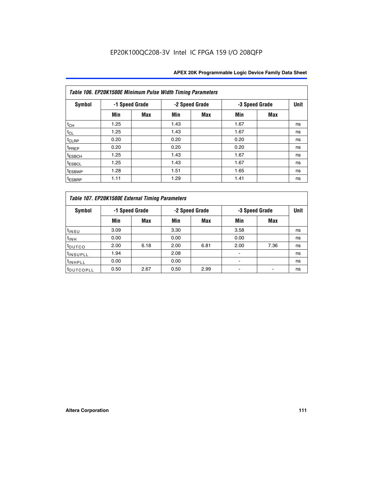|                    | Table 106. EP20K1500E Minimum Pulse Width Timing Parameters |                |      |                |                |            |             |  |  |  |  |  |
|--------------------|-------------------------------------------------------------|----------------|------|----------------|----------------|------------|-------------|--|--|--|--|--|
| Symbol             |                                                             | -1 Speed Grade |      | -2 Speed Grade | -3 Speed Grade |            | <b>Unit</b> |  |  |  |  |  |
|                    | Min                                                         | <b>Max</b>     | Min  | Max            | Min            | <b>Max</b> |             |  |  |  |  |  |
| $t_{CH}$           | 1.25                                                        |                | 1.43 |                | 1.67           |            | ns          |  |  |  |  |  |
| $t_{CL}$           | 1.25                                                        |                | 1.43 |                | 1.67           |            | ns          |  |  |  |  |  |
| t <sub>CLRP</sub>  | 0.20                                                        |                | 0.20 |                | 0.20           |            | ns          |  |  |  |  |  |
| <sup>t</sup> PREP  | 0.20                                                        |                | 0.20 |                | 0.20           |            | ns          |  |  |  |  |  |
| <sup>t</sup> ESBCH | 1.25                                                        |                | 1.43 |                | 1.67           |            | ns          |  |  |  |  |  |
| <sup>t</sup> ESBCL | 1.25                                                        |                | 1.43 |                | 1.67           |            | ns          |  |  |  |  |  |
| <sup>t</sup> ESBWP | 1.28                                                        |                | 1.51 |                | 1.65           |            | ns          |  |  |  |  |  |
| <sup>t</sup> ESBRP | 1.11                                                        |                | 1.29 |                | 1.41           |            | ns          |  |  |  |  |  |

|                       | Table 107. EP20K1500E External Timing Parameters |      |      |                |                          |                |             |  |  |  |  |  |  |
|-----------------------|--------------------------------------------------|------|------|----------------|--------------------------|----------------|-------------|--|--|--|--|--|--|
| Symbol                | -1 Speed Grade                                   |      |      | -2 Speed Grade |                          | -3 Speed Grade | <b>Unit</b> |  |  |  |  |  |  |
|                       | Min                                              | Max  | Min  | <b>Max</b>     | Min                      | Max            |             |  |  |  |  |  |  |
| t <sub>insu</sub>     | 3.09                                             |      | 3.30 |                | 3.58                     |                | ns          |  |  |  |  |  |  |
| $t_{INH}$             | 0.00                                             |      | 0.00 |                | 0.00                     |                | ns          |  |  |  |  |  |  |
| toutco                | 2.00                                             | 6.18 | 2.00 | 6.81           | 2.00                     | 7.36           | ns          |  |  |  |  |  |  |
| <sup>t</sup> INSUPLL  | 1.94                                             |      | 2.08 |                |                          |                | ns          |  |  |  |  |  |  |
| <sup>t</sup> INHPLL   | 0.00                                             |      | 0.00 |                | $\overline{\phantom{0}}$ |                | ns          |  |  |  |  |  |  |
| <sup>t</sup> OUTCOPLL | 0.50                                             | 2.67 | 0.50 | 2.99           |                          |                | ns          |  |  |  |  |  |  |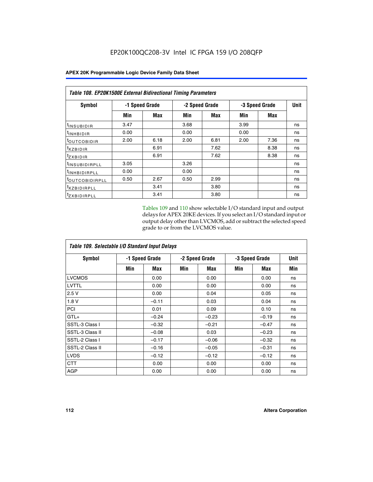|                            | <b>Table 108. EP20K1500E External Bidirectional Timing Parameters</b> |            |                |      |                |             |    |  |  |  |  |
|----------------------------|-----------------------------------------------------------------------|------------|----------------|------|----------------|-------------|----|--|--|--|--|
| Symbol                     | -1 Speed Grade                                                        |            | -2 Speed Grade |      | -3 Speed Grade | <b>Unit</b> |    |  |  |  |  |
|                            | Min                                                                   | <b>Max</b> | Min            | Max  | Min            | <b>Max</b>  |    |  |  |  |  |
| <sup>t</sup> INSUBIDIR     | 3.47                                                                  |            | 3.68           |      | 3.99           |             | ns |  |  |  |  |
| $t_{\rm INHBIDIR}$         | 0.00                                                                  |            | 0.00           |      | 0.00           |             | ns |  |  |  |  |
| <sup>t</sup> OUTCOBIDIR    | 2.00                                                                  | 6.18       | 2.00           | 6.81 | 2.00           | 7.36        | ns |  |  |  |  |
| txzBIDIR                   |                                                                       | 6.91       |                | 7.62 |                | 8.38        | ns |  |  |  |  |
| $t_{Z}$ <i>x</i> BIDIR     |                                                                       | 6.91       |                | 7.62 |                | 8.38        | ns |  |  |  |  |
| <sup>t</sup> INSUBIDIRPLL  | 3.05                                                                  |            | 3.26           |      |                |             | ns |  |  |  |  |
| <sup>t</sup> INHBIDIRPLL   | 0.00                                                                  |            | 0.00           |      |                |             | ns |  |  |  |  |
| <sup>t</sup> OUTCOBIDIRPLL | 0.50                                                                  | 2.67       | 0.50           | 2.99 |                |             | ns |  |  |  |  |
| <sup>t</sup> XZBIDIRPLL    |                                                                       | 3.41       |                | 3.80 |                |             | ns |  |  |  |  |
| <sup>t</sup> zxbidirpll    |                                                                       | 3.41       |                | 3.80 |                |             | ns |  |  |  |  |

Tables 109 and 110 show selectable I/O standard input and output delays for APEX 20KE devices. If you select an I/O standard input or output delay other than LVCMOS, add or subtract the selected speed grade to or from the LVCMOS value.

| Table 109. Selectable I/O Standard Input Delays |                |         |     |                |     |                |     |  |  |  |
|-------------------------------------------------|----------------|---------|-----|----------------|-----|----------------|-----|--|--|--|
| <b>Symbol</b>                                   | -1 Speed Grade |         |     | -2 Speed Grade |     | -3 Speed Grade |     |  |  |  |
|                                                 | Min            | Max     | Min | Max            | Min | Max            | Min |  |  |  |
| <b>LVCMOS</b>                                   |                | 0.00    |     | 0.00           |     | 0.00           | ns  |  |  |  |
| <b>LVTTL</b>                                    |                | 0.00    |     | 0.00           |     | 0.00           | ns  |  |  |  |
| 2.5V                                            |                | 0.00    |     | 0.04           |     | 0.05           | ns  |  |  |  |
| 1.8V                                            |                | $-0.11$ |     | 0.03           |     | 0.04           | ns  |  |  |  |
| PCI                                             |                | 0.01    |     | 0.09           |     | 0.10           | ns  |  |  |  |
| $GTL+$                                          |                | $-0.24$ |     | $-0.23$        |     | $-0.19$        | ns  |  |  |  |
| SSTL-3 Class I                                  |                | $-0.32$ |     | $-0.21$        |     | $-0.47$        | ns  |  |  |  |
| SSTL-3 Class II                                 |                | $-0.08$ |     | 0.03           |     | $-0.23$        | ns  |  |  |  |
| SSTL-2 Class I                                  |                | $-0.17$ |     | $-0.06$        |     | $-0.32$        | ns  |  |  |  |
| SSTL-2 Class II                                 |                | $-0.16$ |     | $-0.05$        |     | $-0.31$        | ns  |  |  |  |
| <b>LVDS</b>                                     |                | $-0.12$ |     | $-0.12$        |     | $-0.12$        | ns  |  |  |  |
| <b>CTT</b>                                      |                | 0.00    |     | 0.00           |     | 0.00           | ns  |  |  |  |
| <b>AGP</b>                                      |                | 0.00    |     | 0.00           |     | 0.00           | ns  |  |  |  |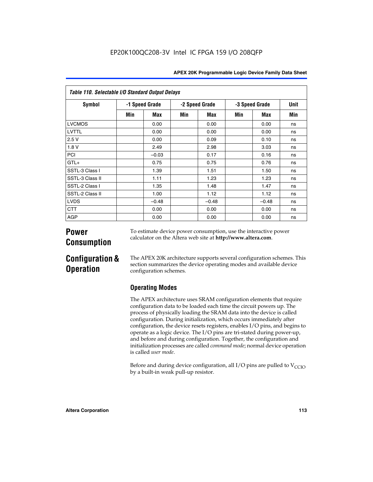| Table 110. Selectable I/O Standard Output Delays |                |         |                |         |                |         |      |  |  |  |  |
|--------------------------------------------------|----------------|---------|----------------|---------|----------------|---------|------|--|--|--|--|
| <b>Symbol</b>                                    | -1 Speed Grade |         | -2 Speed Grade |         | -3 Speed Grade |         | Unit |  |  |  |  |
|                                                  | Min            | Max     | Min            | Max     | Min            | Max     | Min  |  |  |  |  |
| <b>LVCMOS</b>                                    |                | 0.00    |                | 0.00    |                | 0.00    | ns   |  |  |  |  |
| <b>LVTTL</b>                                     |                | 0.00    |                | 0.00    |                | 0.00    | ns   |  |  |  |  |
| 2.5V                                             |                | 0.00    |                | 0.09    |                | 0.10    | ns   |  |  |  |  |
| 1.8 V                                            |                | 2.49    |                | 2.98    |                | 3.03    | ns   |  |  |  |  |
| <b>PCI</b>                                       |                | $-0.03$ |                | 0.17    |                | 0.16    | ns   |  |  |  |  |
| $GTL+$                                           |                | 0.75    |                | 0.75    |                | 0.76    | ns   |  |  |  |  |
| SSTL-3 Class I                                   |                | 1.39    |                | 1.51    |                | 1.50    | ns   |  |  |  |  |
| SSTL-3 Class II                                  |                | 1.11    |                | 1.23    |                | 1.23    | ns   |  |  |  |  |
| SSTL-2 Class I                                   |                | 1.35    |                | 1.48    |                | 1.47    | ns   |  |  |  |  |
| SSTL-2 Class II                                  |                | 1.00    |                | 1.12    |                | 1.12    | ns   |  |  |  |  |
| <b>LVDS</b>                                      |                | $-0.48$ |                | $-0.48$ |                | $-0.48$ | ns   |  |  |  |  |
| <b>CTT</b>                                       |                | 0.00    |                | 0.00    |                | 0.00    | ns   |  |  |  |  |
| <b>AGP</b>                                       |                | 0.00    |                | 0.00    |                | 0.00    | ns   |  |  |  |  |

# **Power Consumption**

To estimate device power consumption, use the interactive power calculator on the Altera web site at **http://www.altera.com**.

# **Configuration & Operation**

The APEX 20K architecture supports several configuration schemes. This section summarizes the device operating modes and available device configuration schemes.

## **Operating Modes**

The APEX architecture uses SRAM configuration elements that require configuration data to be loaded each time the circuit powers up. The process of physically loading the SRAM data into the device is called configuration. During initialization, which occurs immediately after configuration, the device resets registers, enables I/O pins, and begins to operate as a logic device. The I/O pins are tri-stated during power-up, and before and during configuration. Together, the configuration and initialization processes are called *command mode*; normal device operation is called *user mode*.

Before and during device configuration, all I/O pins are pulled to  $V_{\text{CCTO}}$ by a built-in weak pull-up resistor.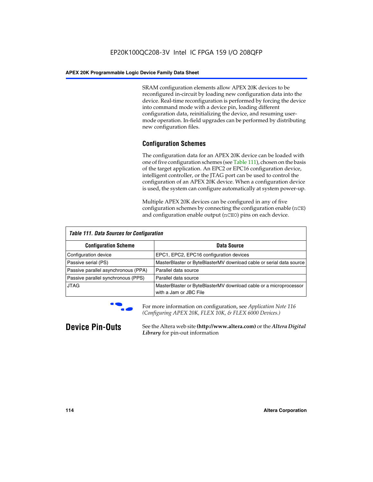SRAM configuration elements allow APEX 20K devices to be reconfigured in-circuit by loading new configuration data into the device. Real-time reconfiguration is performed by forcing the device into command mode with a device pin, loading different configuration data, reinitializing the device, and resuming usermode operation. In-field upgrades can be performed by distributing new configuration files.

## **Configuration Schemes**

The configuration data for an APEX 20K device can be loaded with one of five configuration schemes (see Table 111), chosen on the basis of the target application. An EPC2 or EPC16 configuration device, intelligent controller, or the JTAG port can be used to control the configuration of an APEX 20K device. When a configuration device is used, the system can configure automatically at system power-up.

Multiple APEX 20K devices can be configured in any of five configuration schemes by connecting the configuration enable (nCE) and configuration enable output (nCEO) pins on each device.

| <b>Table 111. Data Sources for Configuration</b> |                                                                                             |
|--------------------------------------------------|---------------------------------------------------------------------------------------------|
| <b>Configuration Scheme</b>                      | Data Source                                                                                 |
| Configuration device                             | EPC1, EPC2, EPC16 configuration devices                                                     |
| Passive serial (PS)                              | MasterBlaster or ByteBlasterMV download cable or serial data source                         |
| Passive parallel asynchronous (PPA)              | Parallel data source                                                                        |
| Passive parallel synchronous (PPS)               | Parallel data source                                                                        |
| <b>JTAG</b>                                      | MasterBlaster or ByteBlasterMV download cable or a microprocessor<br>with a Jam or JBC File |



**For more information on configuration, see Application Note 116** *(Configuring APEX 20K, FLEX 10K, & FLEX 6000 Devices.)*

**Device Pin-Outs** See the Altera web site **(http://www.altera.com)** or the *Altera Digital Library* for pin-out information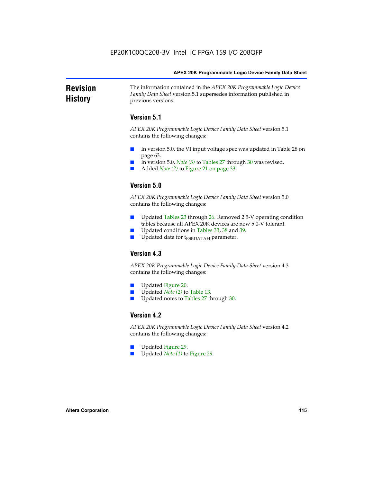### **Revision History** The information contained in the *APEX 20K Programmable Logic Device Family Data Sheet* version 5.1 supersedes information published in previous versions.

## **Version 5.1**

*APEX 20K Programmable Logic Device Family Data Sheet* version 5.1 contains the following changes:

- In version 5.0, the VI input voltage spec was updated in Table 28 on page 63.
- In version 5.0, *Note* (5) to Tables 27 through 30 was revised.
- Added *Note* (2) to Figure 21 on page 33.

## **Version 5.0**

*APEX 20K Programmable Logic Device Family Data Sheet* version 5.0 contains the following changes:

- Updated Tables 23 through 26. Removed 2.5-V operating condition tables because all APEX 20K devices are now 5.0-V tolerant.
- Updated conditions in Tables 33, 38 and 39.
- Updated data for t<sub>ESBDATAH</sub> parameter.

## **Version 4.3**

*APEX 20K Programmable Logic Device Family Data Sheet* version 4.3 contains the following changes:

- Updated Figure 20.
- Updated *Note (2)* to Table 13.
- Updated notes to Tables 27 through 30.

## **Version 4.2**

*APEX 20K Programmable Logic Device Family Data Sheet* version 4.2 contains the following changes:

- Updated Figure 29.
- Updated *Note (1)* to Figure 29.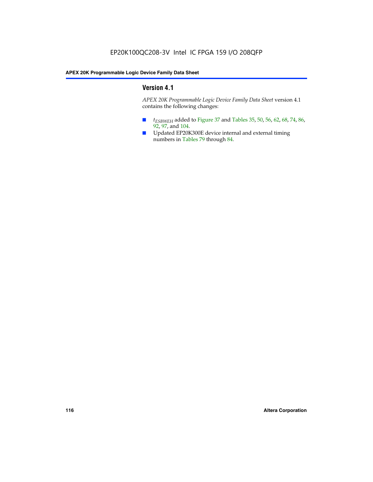## **Version 4.1**

*APEX 20K Programmable Logic Device Family Data Sheet* version 4.1 contains the following changes:

- *t<sub>ESBWEH</sub>* added to Figure 37 and Tables 35, 50, 56, 62, 68, 74, 86, 92, 97, and 104.
- Updated EP20K300E device internal and external timing numbers in Tables 79 through 84.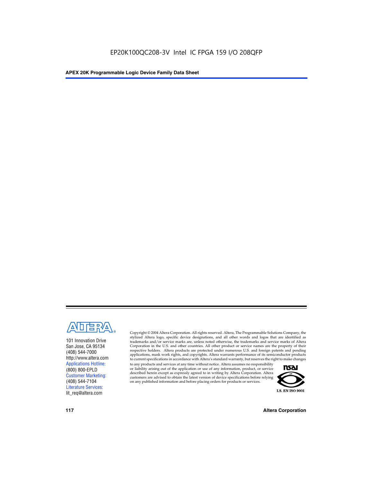

101 Innovation Drive San Jose, CA 95134 (408) 544-7000 http://www.altera.com Applications Hotline: (800) 800-EPLD Customer Marketing: (408) 544-7104 Literature Services: lit\_req@altera.com

Copyright © 2004 Altera Corporation. All rights reserved. Altera, The Programmable Solutions Company, the stylized Altera logo, specific device designations, and all other words and logos that are identified as trademarks and/or service marks are, unless noted otherwise, the trademarks and service marks of Altera Corporation in the U.S. and other countries. All other product or service names are the property of their respective holders. Altera products are protected under numerous U.S. and foreign patents and pending applications, mask work rights, and copyrights. Altera warrants performance of its semiconductor products to current specifications in accordance with Altera's standard warranty, but reserves the right to make changes

to any products and services at any time without notice. Altera assumes no responsibility or liability arising out of the application or use of any information, product, or service described herein except as expressly agreed to in writing by Altera Corporation. Altera customers are advised to obtain the latest version of device specifications before relying on any published information and before placing orders for products or services.



**117 Altera Corporation**